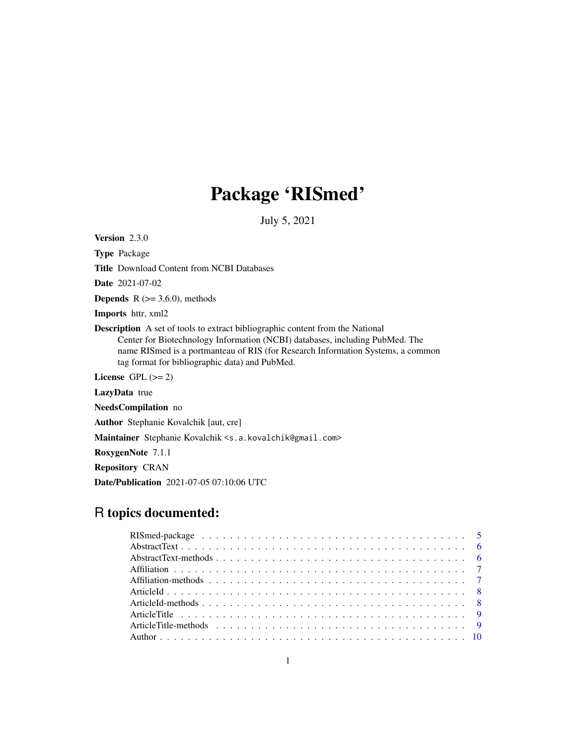# Package 'RISmed'

July 5, 2021

<span id="page-0-0"></span>Version 2.3.0

Type Package Title Download Content from NCBI Databases Date 2021-07-02 **Depends** R  $(>= 3.6.0)$ , methods Imports httr, xml2 Description A set of tools to extract bibliographic content from the National Center for Biotechnology Information (NCBI) databases, including PubMed. The name RISmed is a portmanteau of RIS (for Research Information Systems, a common tag format for bibliographic data) and PubMed. License GPL  $(>= 2)$ LazyData true NeedsCompilation no Author Stephanie Kovalchik [aut, cre]

Maintainer Stephanie Kovalchik <s.a.kovalchik@gmail.com>

RoxygenNote 7.1.1

Repository CRAN

Date/Publication 2021-07-05 07:10:06 UTC

# R topics documented: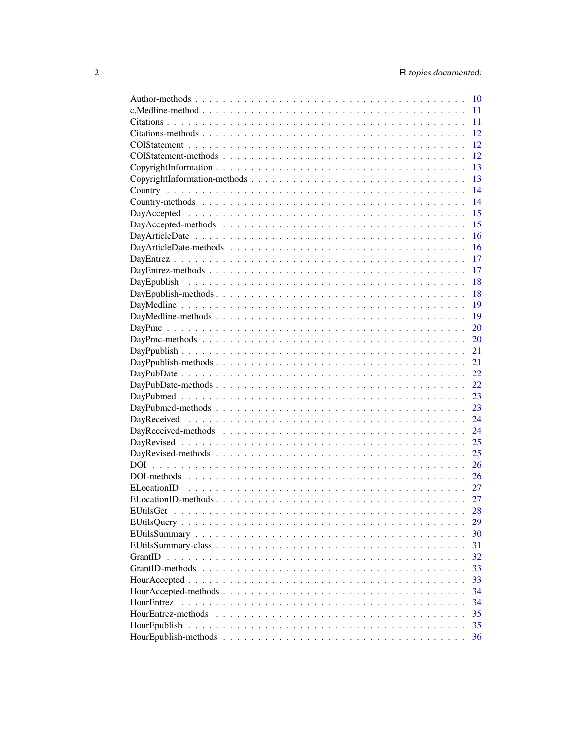|             | 10 |
|-------------|----|
|             | 11 |
|             | 11 |
|             | 12 |
|             | 12 |
|             | 12 |
|             | 13 |
|             | 13 |
|             | 14 |
|             | 14 |
|             | 15 |
|             | 15 |
|             | 16 |
|             | 16 |
|             | 17 |
|             | 17 |
| DayEpublish | 18 |
|             | 18 |
|             | 19 |
|             | 19 |
|             |    |
|             | 20 |
|             | 20 |
|             | 21 |
|             | 21 |
|             | 22 |
|             | 22 |
|             | 23 |
|             | 23 |
|             | 24 |
|             | 24 |
|             | 25 |
|             | 25 |
|             | 26 |
|             | 26 |
|             | 27 |
|             | 27 |
|             | 28 |
|             | 29 |
|             | 30 |
|             | 31 |
|             | 32 |
|             | 33 |
|             | 33 |
|             | 34 |
|             | 34 |
|             | 35 |
|             | 35 |
|             | 36 |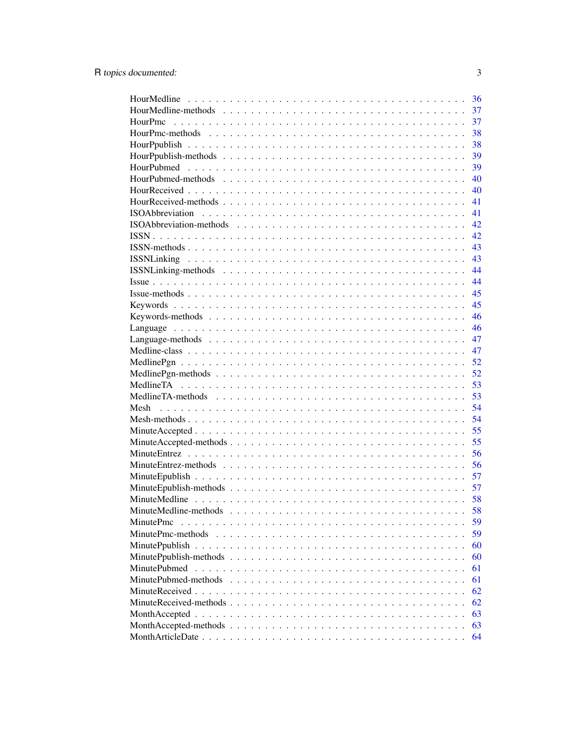|                                                                                                                     | 36 |
|---------------------------------------------------------------------------------------------------------------------|----|
|                                                                                                                     | 37 |
|                                                                                                                     | 37 |
|                                                                                                                     | 38 |
|                                                                                                                     | 38 |
|                                                                                                                     | 39 |
| HourPubmed                                                                                                          | 39 |
|                                                                                                                     | 40 |
|                                                                                                                     | 40 |
|                                                                                                                     | 41 |
|                                                                                                                     | 41 |
|                                                                                                                     | 42 |
|                                                                                                                     | 42 |
|                                                                                                                     | 43 |
|                                                                                                                     | 43 |
|                                                                                                                     | 44 |
|                                                                                                                     | 44 |
|                                                                                                                     | 45 |
|                                                                                                                     | 45 |
|                                                                                                                     | 46 |
|                                                                                                                     | 46 |
|                                                                                                                     | 47 |
|                                                                                                                     | 47 |
|                                                                                                                     | 52 |
|                                                                                                                     | 52 |
|                                                                                                                     | 53 |
|                                                                                                                     | 53 |
|                                                                                                                     | 54 |
|                                                                                                                     | 54 |
|                                                                                                                     | 55 |
|                                                                                                                     | 55 |
|                                                                                                                     | 56 |
|                                                                                                                     | 56 |
|                                                                                                                     | 57 |
|                                                                                                                     | 57 |
|                                                                                                                     | 58 |
|                                                                                                                     | 58 |
| MinutePmc                                                                                                           | 59 |
| MinutePmc-methods                                                                                                   | 59 |
|                                                                                                                     | 60 |
|                                                                                                                     | 60 |
| MinutePubmed                                                                                                        | 61 |
|                                                                                                                     | 61 |
|                                                                                                                     | 62 |
|                                                                                                                     | 62 |
|                                                                                                                     | 63 |
| Month Accepted-methods $\ldots \ldots \ldots \ldots \ldots \ldots \ldots \ldots \ldots \ldots \ldots \ldots \ldots$ | 63 |
|                                                                                                                     | 64 |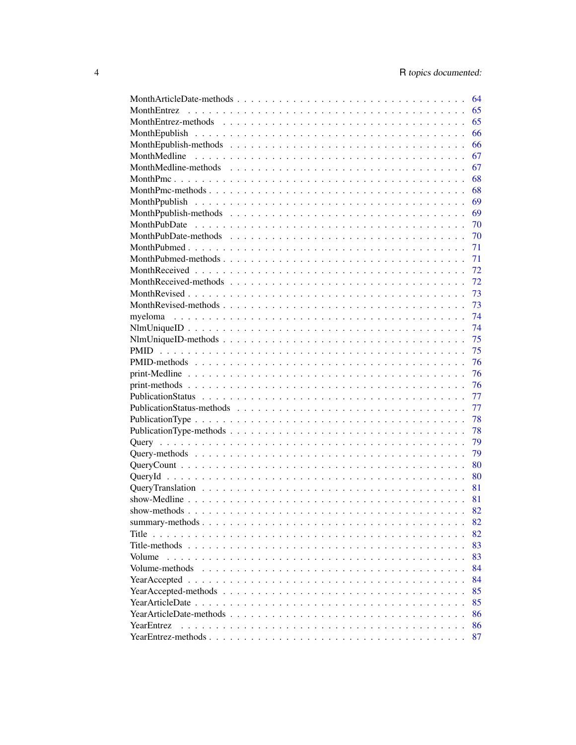|                                                                                                                                                                                                                                                                                                          | 64 |
|----------------------------------------------------------------------------------------------------------------------------------------------------------------------------------------------------------------------------------------------------------------------------------------------------------|----|
|                                                                                                                                                                                                                                                                                                          | 65 |
|                                                                                                                                                                                                                                                                                                          | 65 |
|                                                                                                                                                                                                                                                                                                          | 66 |
|                                                                                                                                                                                                                                                                                                          | 66 |
|                                                                                                                                                                                                                                                                                                          | 67 |
|                                                                                                                                                                                                                                                                                                          | 67 |
|                                                                                                                                                                                                                                                                                                          | 68 |
|                                                                                                                                                                                                                                                                                                          | 68 |
|                                                                                                                                                                                                                                                                                                          | 69 |
|                                                                                                                                                                                                                                                                                                          | 69 |
|                                                                                                                                                                                                                                                                                                          | 70 |
|                                                                                                                                                                                                                                                                                                          | 70 |
|                                                                                                                                                                                                                                                                                                          | 71 |
|                                                                                                                                                                                                                                                                                                          | 71 |
|                                                                                                                                                                                                                                                                                                          | 72 |
|                                                                                                                                                                                                                                                                                                          | 72 |
|                                                                                                                                                                                                                                                                                                          | 73 |
|                                                                                                                                                                                                                                                                                                          | 73 |
|                                                                                                                                                                                                                                                                                                          | 74 |
|                                                                                                                                                                                                                                                                                                          | 74 |
|                                                                                                                                                                                                                                                                                                          | 75 |
|                                                                                                                                                                                                                                                                                                          | 75 |
|                                                                                                                                                                                                                                                                                                          | 76 |
|                                                                                                                                                                                                                                                                                                          | 76 |
|                                                                                                                                                                                                                                                                                                          | 76 |
|                                                                                                                                                                                                                                                                                                          |    |
|                                                                                                                                                                                                                                                                                                          | 77 |
|                                                                                                                                                                                                                                                                                                          | 77 |
|                                                                                                                                                                                                                                                                                                          | 78 |
|                                                                                                                                                                                                                                                                                                          | 78 |
|                                                                                                                                                                                                                                                                                                          | 79 |
|                                                                                                                                                                                                                                                                                                          | 79 |
|                                                                                                                                                                                                                                                                                                          | 80 |
|                                                                                                                                                                                                                                                                                                          | 80 |
|                                                                                                                                                                                                                                                                                                          | 81 |
|                                                                                                                                                                                                                                                                                                          | 81 |
|                                                                                                                                                                                                                                                                                                          | 82 |
|                                                                                                                                                                                                                                                                                                          | 82 |
| Title<br>$\mathcal{L}$ , and $\mathcal{L}$ , and<br>$\mathbf{r}$ , $\mathbf{r}$ , $\mathbf{r}$ , $\mathbf{r}$ , $\mathbf{r}$ , $\mathbf{r}$<br>$\frac{1}{2}$ . $\frac{1}{2}$ . $\frac{1}{2}$ . $\frac{1}{2}$ . $\frac{1}{2}$ . $\frac{1}{2}$ . $\frac{1}{2}$ . $\frac{1}{2}$ . $\frac{1}{2}$<br>$\cdots$ | 82 |
| Title-methods                                                                                                                                                                                                                                                                                            | 83 |
| Volume                                                                                                                                                                                                                                                                                                   | 83 |
| Volume-methods                                                                                                                                                                                                                                                                                           | 84 |
|                                                                                                                                                                                                                                                                                                          | 84 |
|                                                                                                                                                                                                                                                                                                          | 85 |
|                                                                                                                                                                                                                                                                                                          | 85 |
|                                                                                                                                                                                                                                                                                                          | 86 |
| YearEntrez                                                                                                                                                                                                                                                                                               | 86 |
|                                                                                                                                                                                                                                                                                                          | 87 |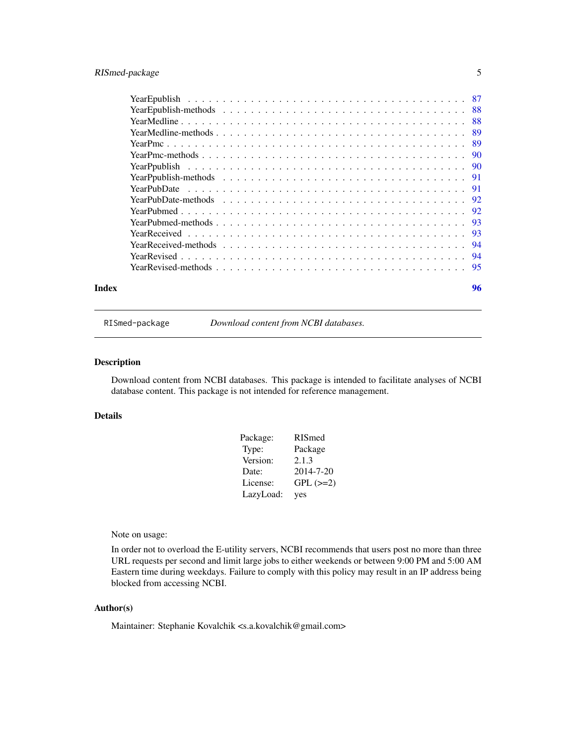# <span id="page-4-0"></span>RISmed-package 5

| Index |  |  |  |  |  |  |  |  |  |  |  |  |  |  | 96 |  |
|-------|--|--|--|--|--|--|--|--|--|--|--|--|--|--|----|--|

RISmed-package *Download content from NCBI databases.*

#### Description

Download content from NCBI databases. This package is intended to facilitate analyses of NCBI database content. This package is not intended for reference management.

#### Details

| Package:  | <b>RISmed</b> |
|-----------|---------------|
| Type:     | Package       |
| Version:  | 2.1.3         |
| Date:     | 2014-7-20     |
| License:  | $GPL (=2)$    |
| LazyLoad: | yes           |

Note on usage:

In order not to overload the E-utility servers, NCBI recommends that users post no more than three URL requests per second and limit large jobs to either weekends or between 9:00 PM and 5:00 AM Eastern time during weekdays. Failure to comply with this policy may result in an IP address being blocked from accessing NCBI.

#### Author(s)

Maintainer: Stephanie Kovalchik <s.a.kovalchik@gmail.com>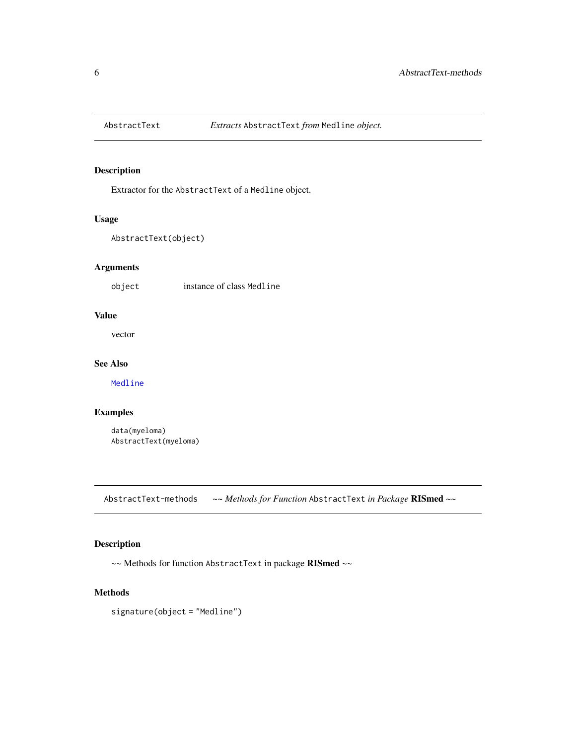<span id="page-5-0"></span>

Extractor for the AbstractText of a Medline object.

# Usage

```
AbstractText(object)
```
# Arguments

object instance of class Medline

# Value

vector

# See Also

[Medline](#page-46-1)

# Examples

data(myeloma) AbstractText(myeloma)

AbstractText-methods *~~ Methods for Function* AbstractText *in Package* RISmed *~~*

#### Description

~~ Methods for function AbstractText in package RISmed ~~

#### Methods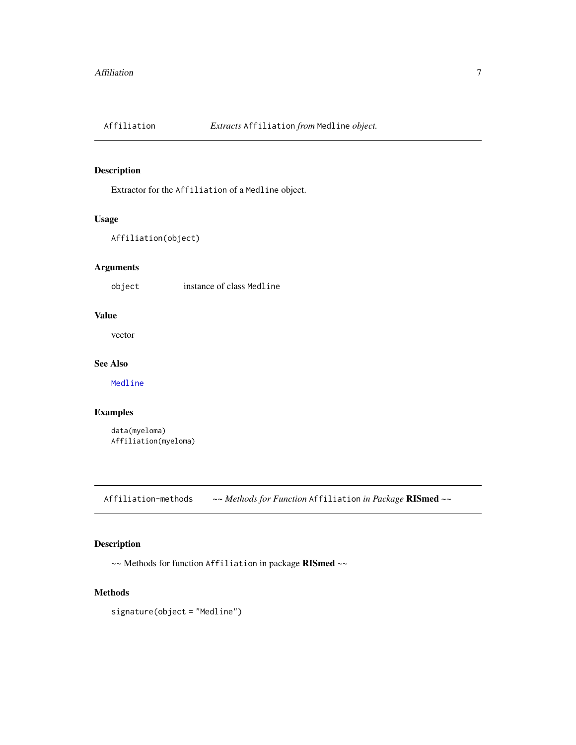<span id="page-6-0"></span>

Extractor for the Affiliation of a Medline object.

# Usage

```
Affiliation(object)
```
# Arguments

object instance of class Medline

# Value

vector

# See Also

[Medline](#page-46-1)

# Examples

data(myeloma) Affiliation(myeloma)

Affiliation-methods *~~ Methods for Function* Affiliation *in Package* RISmed *~~*

# Description

~~ Methods for function Affiliation in package RISmed ~~

#### Methods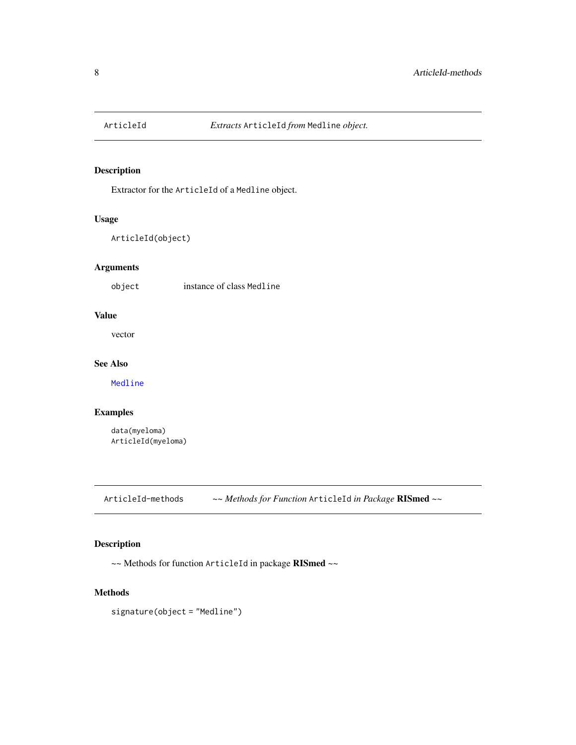<span id="page-7-0"></span>

Extractor for the ArticleId of a Medline object.

# Usage

```
ArticleId(object)
```
# Arguments

object instance of class Medline

# Value

vector

# See Also

[Medline](#page-46-1)

# Examples

data(myeloma) ArticleId(myeloma)

ArticleId-methods *~~ Methods for Function* ArticleId *in Package* RISmed *~~*

# Description

~~ Methods for function ArticleId in package RISmed ~~

# Methods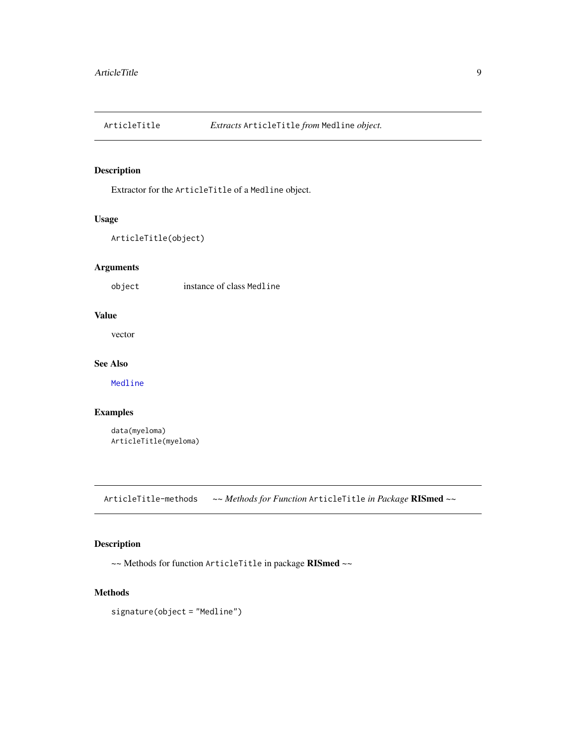<span id="page-8-0"></span>

Extractor for the ArticleTitle of a Medline object.

# Usage

```
ArticleTitle(object)
```
# Arguments

object instance of class Medline

# Value

vector

# See Also

[Medline](#page-46-1)

# Examples

data(myeloma) ArticleTitle(myeloma)

ArticleTitle-methods *~~ Methods for Function* ArticleTitle *in Package* RISmed *~~*

# Description

~~ Methods for function ArticleTitle in package RISmed ~~

#### Methods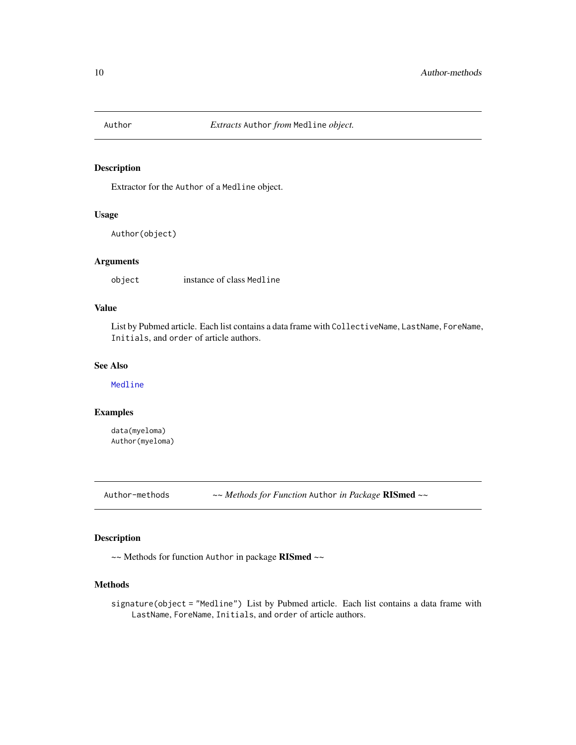<span id="page-9-0"></span>

Extractor for the Author of a Medline object.

#### Usage

Author(object)

# Arguments

object instance of class Medline

#### Value

List by Pubmed article. Each list contains a data frame with CollectiveName, LastName, ForeName, Initials, and order of article authors.

#### See Also

[Medline](#page-46-1)

# Examples

data(myeloma) Author(myeloma)

Author-methods *~~ Methods for Function* Author *in Package* RISmed *~~*

# Description

~~ Methods for function Author in package RISmed ~~

# Methods

signature(object = "Medline") List by Pubmed article. Each list contains a data frame with LastName, ForeName, Initials, and order of article authors.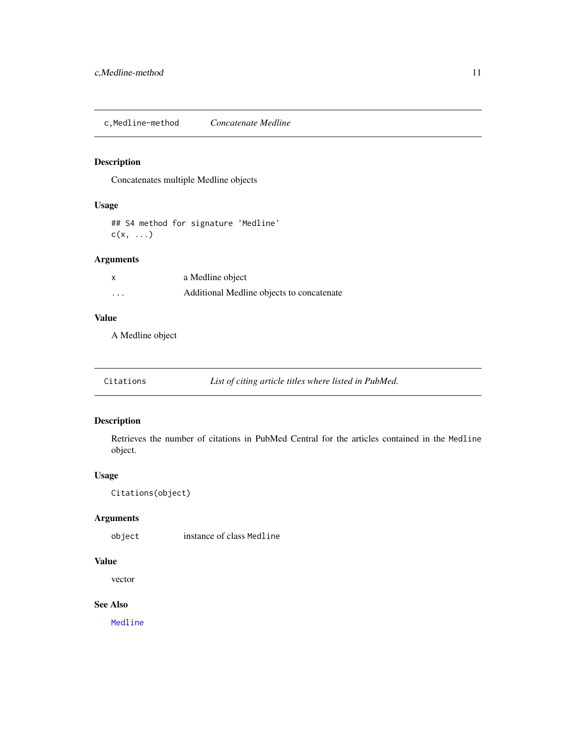<span id="page-10-0"></span>c,Medline-method *Concatenate Medline*

# Description

Concatenates multiple Medline objects

# Usage

## S4 method for signature 'Medline'  $c(x, \ldots)$ 

# Arguments

|          | a Medline object                          |
|----------|-------------------------------------------|
| $\cdots$ | Additional Medline objects to concatenate |

#### Value

A Medline object

| Citations |  | List of citing article titles where listed in PubMed. |
|-----------|--|-------------------------------------------------------|
|-----------|--|-------------------------------------------------------|

# Description

Retrieves the number of citations in PubMed Central for the articles contained in the Medline object.

# Usage

```
Citations(object)
```
# Arguments

object instance of class Medline

#### Value

vector

#### See Also

[Medline](#page-46-1)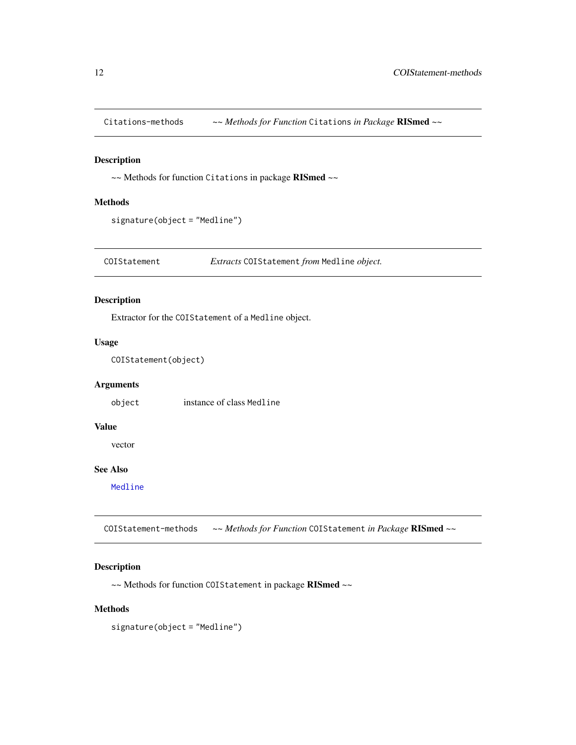<span id="page-11-0"></span>Citations-methods *~~ Methods for Function* Citations *in Package* RISmed *~~*

# Description

~~ Methods for function Citations in package RISmed ~~

# Methods

signature(object = "Medline")

COIStatement *Extracts* COIStatement *from* Medline *object.*

# Description

Extractor for the COIStatement of a Medline object.

#### Usage

COIStatement(object)

# Arguments

object instance of class Medline

# Value

vector

#### See Also

[Medline](#page-46-1)

COIStatement-methods *~~ Methods for Function* COIStatement *in Package* RISmed *~~*

# Description

~~ Methods for function COIStatement in package RISmed ~~

#### Methods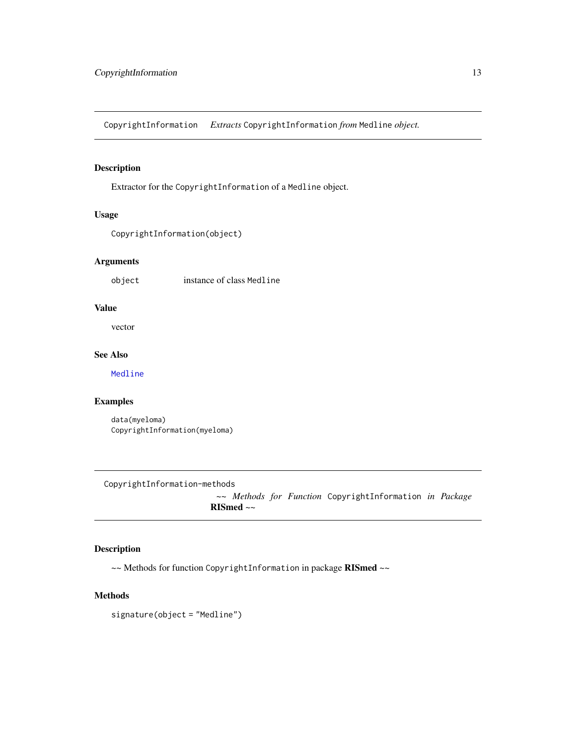<span id="page-12-0"></span>CopyrightInformation *Extracts* CopyrightInformation *from* Medline *object.*

# Description

Extractor for the CopyrightInformation of a Medline object.

# Usage

```
CopyrightInformation(object)
```
# Arguments

object instance of class Medline

#### Value

vector

# See Also

[Medline](#page-46-1)

# Examples

data(myeloma) CopyrightInformation(myeloma)

CopyrightInformation-methods

*~~ Methods for Function* CopyrightInformation *in Package* RISmed *~~*

#### Description

~~ Methods for function CopyrightInformation in package RISmed ~~

#### Methods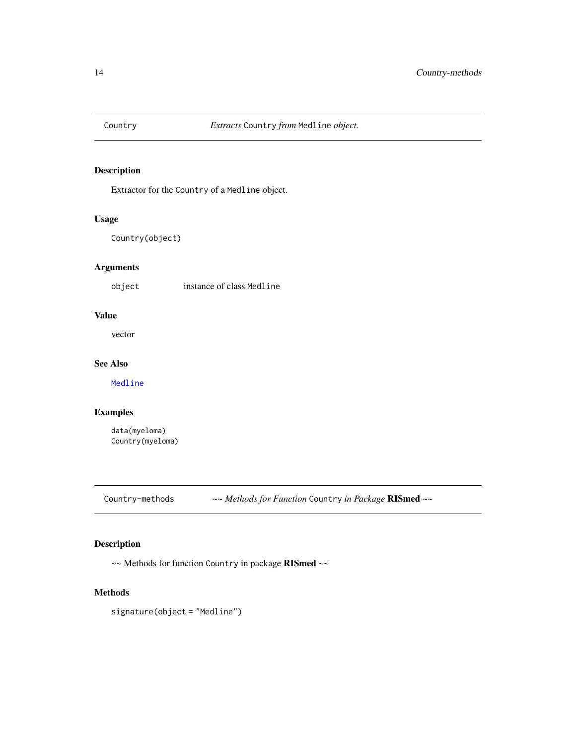<span id="page-13-0"></span>

Extractor for the Country of a Medline object.

# Usage

Country(object)

# Arguments

object instance of class Medline

# Value

vector

# See Also

[Medline](#page-46-1)

# Examples

data(myeloma) Country(myeloma)

Country-methods *~~ Methods for Function* Country *in Package* RISmed *~~*

# Description

~~ Methods for function Country in package RISmed ~~

# Methods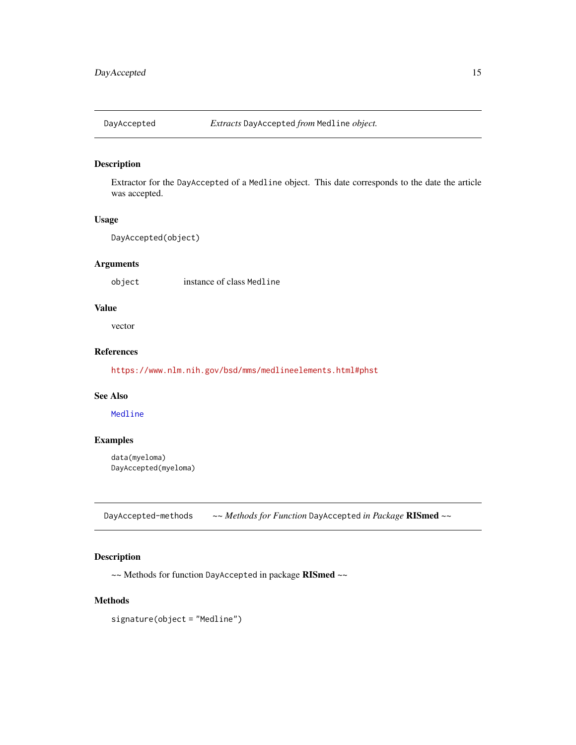<span id="page-14-0"></span>

Extractor for the DayAccepted of a Medline object. This date corresponds to the date the article was accepted.

#### Usage

```
DayAccepted(object)
```
# Arguments

object instance of class Medline

#### Value

vector

# References

<https://www.nlm.nih.gov/bsd/mms/medlineelements.html#phst>

#### See Also

[Medline](#page-46-1)

#### Examples

data(myeloma) DayAccepted(myeloma)

DayAccepted-methods *~~ Methods for Function* DayAccepted *in Package* RISmed *~~*

# Description

~~ Methods for function DayAccepted in package RISmed ~~

#### Methods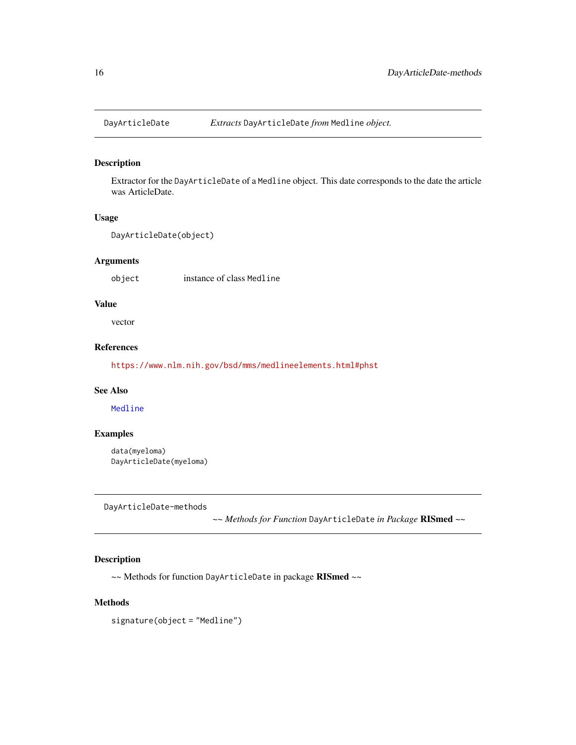<span id="page-15-0"></span>

Extractor for the DayArticleDate of a Medline object. This date corresponds to the date the article was ArticleDate.

#### Usage

```
DayArticleDate(object)
```
# Arguments

object instance of class Medline

#### Value

vector

# References

<https://www.nlm.nih.gov/bsd/mms/medlineelements.html#phst>

#### See Also

[Medline](#page-46-1)

# Examples

data(myeloma) DayArticleDate(myeloma)

DayArticleDate-methods

*~~ Methods for Function* DayArticleDate *in Package* RISmed *~~*

#### Description

~~ Methods for function DayArticleDate in package RISmed ~~

# Methods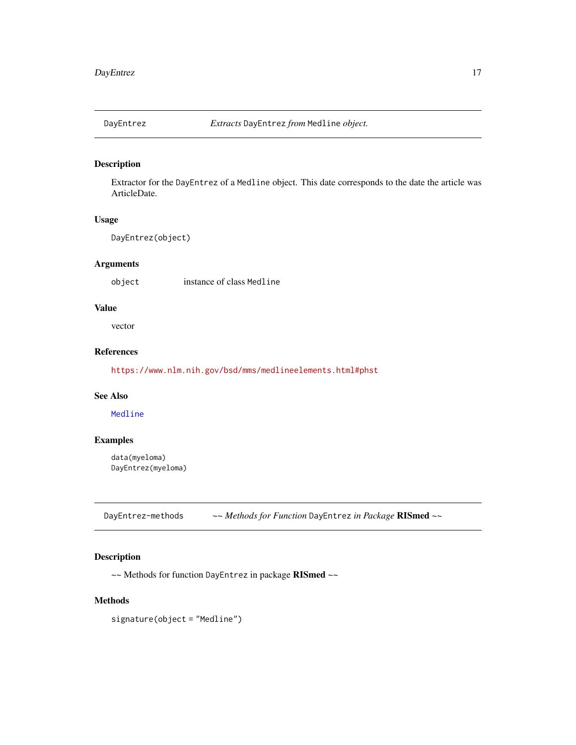<span id="page-16-0"></span>

Extractor for the DayEntrez of a Medline object. This date corresponds to the date the article was ArticleDate.

#### Usage

DayEntrez(object)

# Arguments

object instance of class Medline

#### Value

vector

# References

<https://www.nlm.nih.gov/bsd/mms/medlineelements.html#phst>

# See Also

[Medline](#page-46-1)

#### Examples

data(myeloma) DayEntrez(myeloma)

DayEntrez-methods *~~ Methods for Function* DayEntrez *in Package* RISmed *~~*

# Description

~~ Methods for function DayEntrez in package RISmed ~~

#### Methods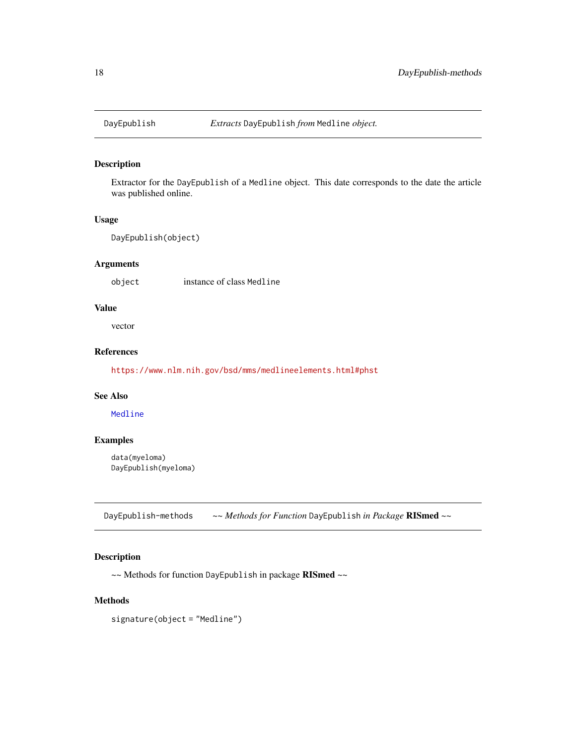<span id="page-17-0"></span>

Extractor for the DayEpublish of a Medline object. This date corresponds to the date the article was published online.

#### Usage

```
DayEpublish(object)
```
# Arguments

object instance of class Medline

# Value

vector

# References

<https://www.nlm.nih.gov/bsd/mms/medlineelements.html#phst>

#### See Also

[Medline](#page-46-1)

#### Examples

data(myeloma) DayEpublish(myeloma)

DayEpublish-methods *~~ Methods for Function* DayEpublish *in Package* RISmed *~~*

# Description

~~ Methods for function DayEpublish in package RISmed ~~

#### Methods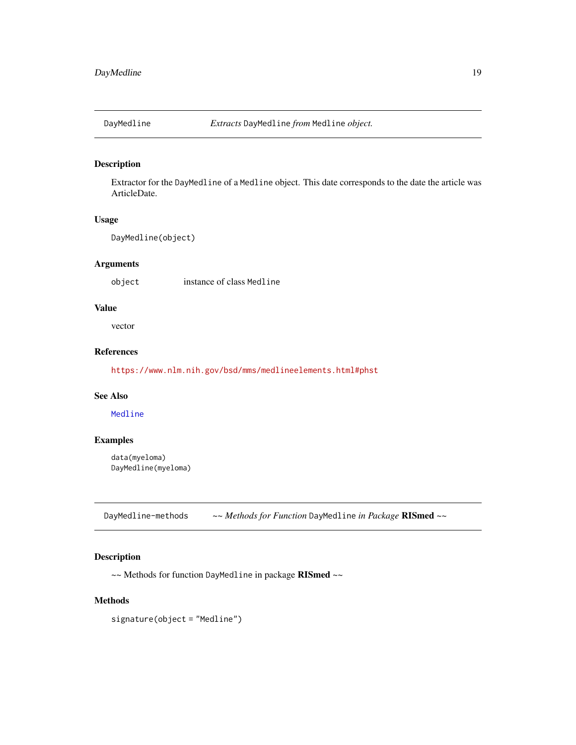<span id="page-18-0"></span>

Extractor for the DayMedline of a Medline object. This date corresponds to the date the article was ArticleDate.

#### Usage

DayMedline(object)

# Arguments

object instance of class Medline

#### Value

vector

# References

<https://www.nlm.nih.gov/bsd/mms/medlineelements.html#phst>

# See Also

[Medline](#page-46-1)

#### Examples

data(myeloma) DayMedline(myeloma)

DayMedline-methods *~~ Methods for Function* DayMedline *in Package* RISmed *~~*

# Description

~~ Methods for function DayMedline in package RISmed ~~

#### Methods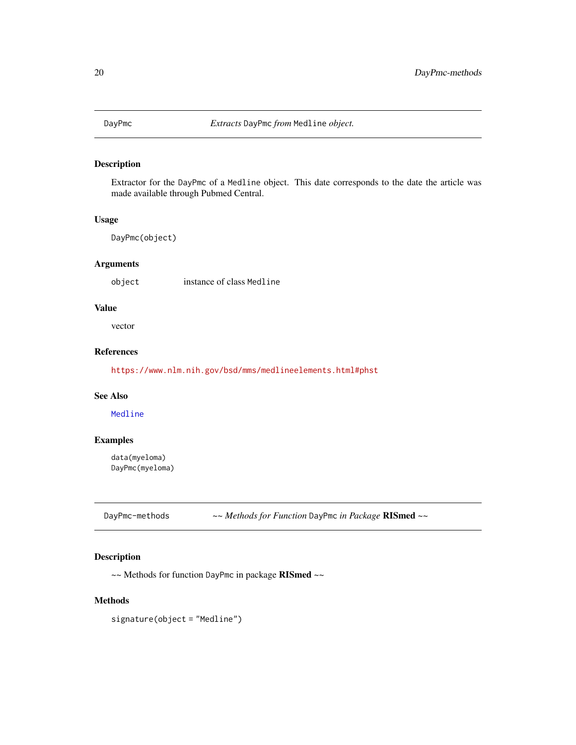<span id="page-19-0"></span>

Extractor for the DayPmc of a Medline object. This date corresponds to the date the article was made available through Pubmed Central.

#### Usage

DayPmc(object)

# Arguments

object instance of class Medline

# Value

vector

# References

<https://www.nlm.nih.gov/bsd/mms/medlineelements.html#phst>

#### See Also

[Medline](#page-46-1)

#### Examples

data(myeloma) DayPmc(myeloma)

DayPmc-methods *~~ Methods for Function* DayPmc *in Package* RISmed *~~*

# Description

~~ Methods for function DayPmc in package RISmed ~~

#### Methods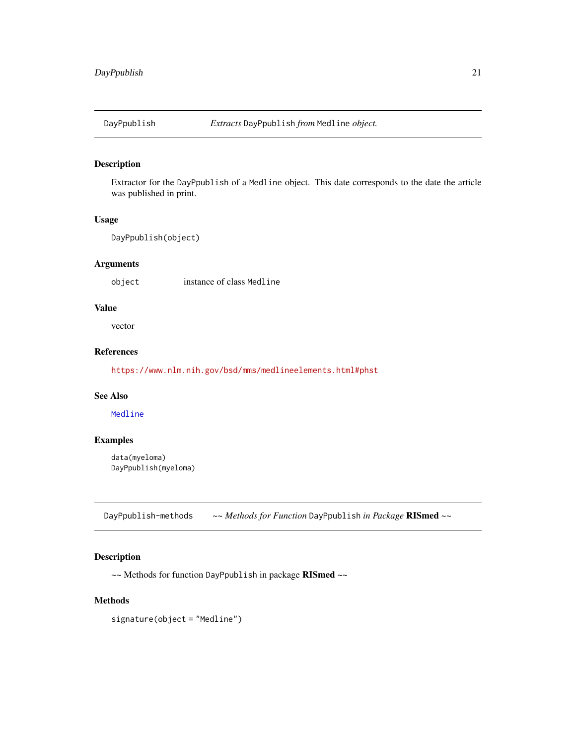<span id="page-20-0"></span>

Extractor for the DayPpublish of a Medline object. This date corresponds to the date the article was published in print.

#### Usage

```
DayPpublish(object)
```
# Arguments

object instance of class Medline

#### Value

vector

# References

<https://www.nlm.nih.gov/bsd/mms/medlineelements.html#phst>

# See Also

[Medline](#page-46-1)

#### Examples

data(myeloma) DayPpublish(myeloma)

DayPpublish-methods *~~ Methods for Function* DayPpublish *in Package* RISmed *~~*

# Description

~~ Methods for function DayPpublish in package RISmed ~~

#### Methods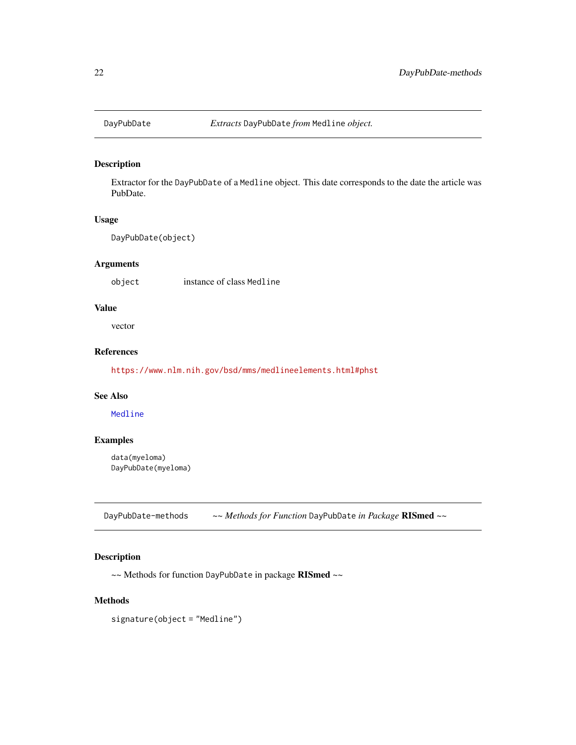<span id="page-21-0"></span>

Extractor for the DayPubDate of a Medline object. This date corresponds to the date the article was PubDate.

#### Usage

DayPubDate(object)

# Arguments

object instance of class Medline

# Value

vector

# References

<https://www.nlm.nih.gov/bsd/mms/medlineelements.html#phst>

#### See Also

[Medline](#page-46-1)

#### Examples

data(myeloma) DayPubDate(myeloma)

DayPubDate-methods *~~ Methods for Function* DayPubDate *in Package* RISmed *~~*

# Description

~~ Methods for function DayPubDate in package RISmed ~~

#### Methods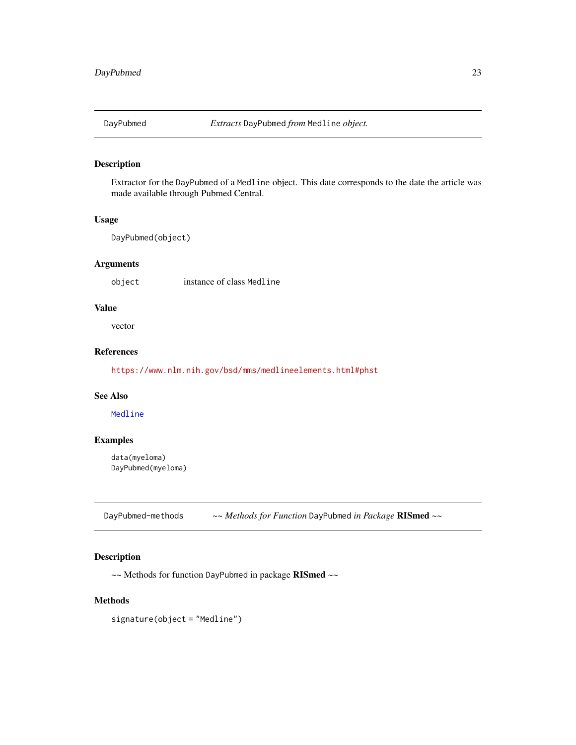<span id="page-22-0"></span>

Extractor for the DayPubmed of a Medline object. This date corresponds to the date the article was made available through Pubmed Central.

#### Usage

DayPubmed(object)

# Arguments

object instance of class Medline

#### Value

vector

# References

<https://www.nlm.nih.gov/bsd/mms/medlineelements.html#phst>

# See Also

[Medline](#page-46-1)

#### Examples

data(myeloma) DayPubmed(myeloma)

DayPubmed-methods *~~ Methods for Function* DayPubmed *in Package* RISmed *~~*

# Description

~~ Methods for function DayPubmed in package RISmed ~~

#### Methods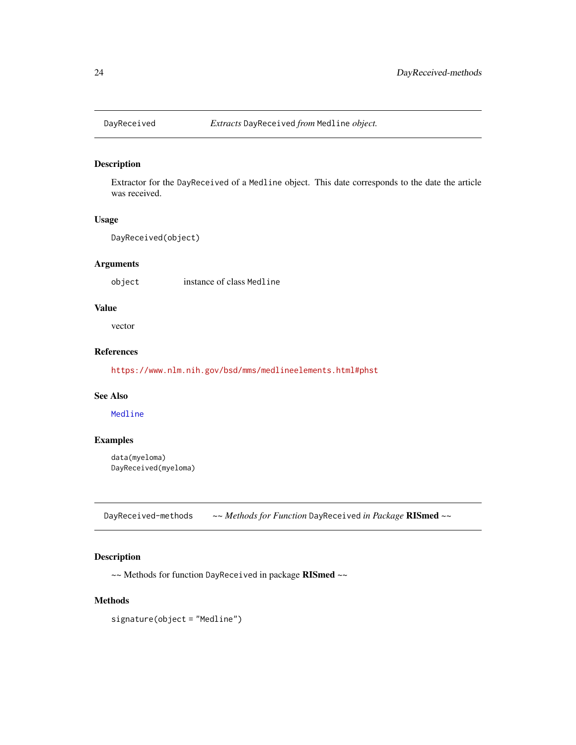<span id="page-23-0"></span>

Extractor for the DayReceived of a Medline object. This date corresponds to the date the article was received.

#### Usage

DayReceived(object)

# Arguments

object instance of class Medline

#### Value

vector

# References

<https://www.nlm.nih.gov/bsd/mms/medlineelements.html#phst>

#### See Also

[Medline](#page-46-1)

#### Examples

data(myeloma) DayReceived(myeloma)

DayReceived-methods *~~ Methods for Function* DayReceived *in Package* RISmed *~~*

# Description

~~ Methods for function DayReceived in package RISmed ~~

#### Methods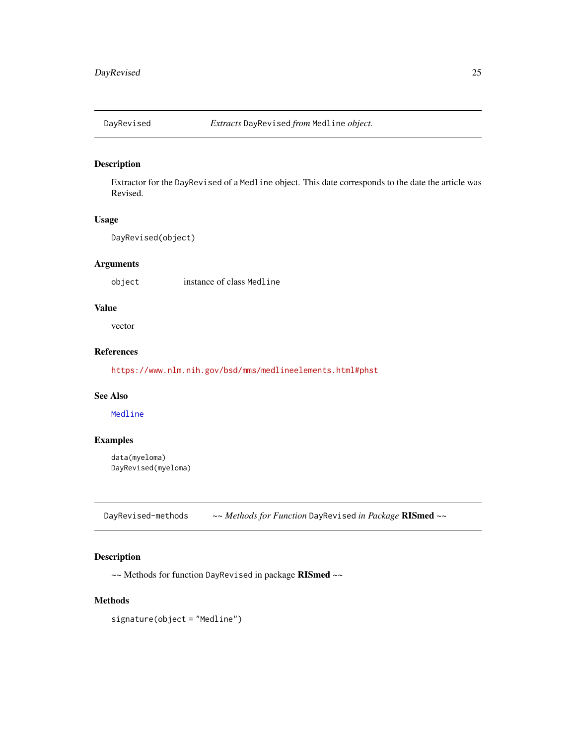<span id="page-24-0"></span>

Extractor for the DayRevised of a Medline object. This date corresponds to the date the article was Revised.

#### Usage

DayRevised(object)

# Arguments

object instance of class Medline

# Value

vector

# References

<https://www.nlm.nih.gov/bsd/mms/medlineelements.html#phst>

#### See Also

[Medline](#page-46-1)

#### Examples

data(myeloma) DayRevised(myeloma)

DayRevised-methods *~~ Methods for Function* DayRevised *in Package* RISmed *~~*

# Description

~~ Methods for function DayRevised in package RISmed ~~

#### Methods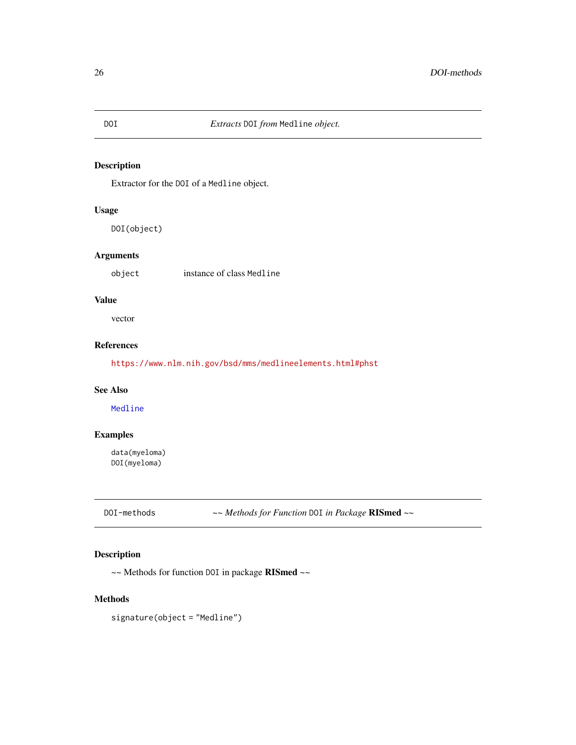Extractor for the DOI of a Medline object.

#### Usage

DOI(object)

#### Arguments

object instance of class Medline

# Value

vector

#### References

<https://www.nlm.nih.gov/bsd/mms/medlineelements.html#phst>

#### See Also

[Medline](#page-46-1)

# Examples

data(myeloma) DOI(myeloma)

DOI-methods *~~ Methods for Function* DOI *in Package* RISmed *~~*

# Description

~~ Methods for function DOI in package RISmed ~~

#### Methods

<span id="page-25-0"></span>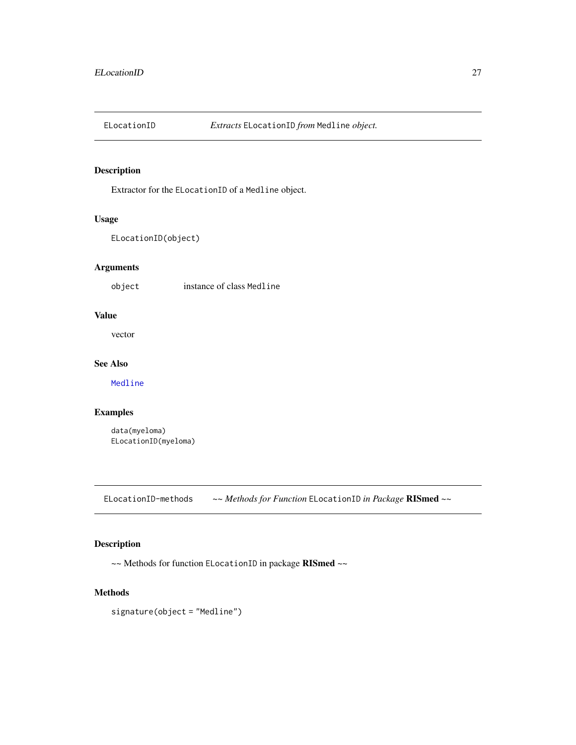<span id="page-26-0"></span>

Extractor for the ELocationID of a Medline object.

# Usage

ELocationID(object)

# Arguments

object instance of class Medline

# Value

vector

# See Also

[Medline](#page-46-1)

# Examples

data(myeloma) ELocationID(myeloma)

ELocationID-methods *~~ Methods for Function* ELocationID *in Package* RISmed *~~*

# Description

~~ Methods for function ELocationID in package RISmed ~~

#### Methods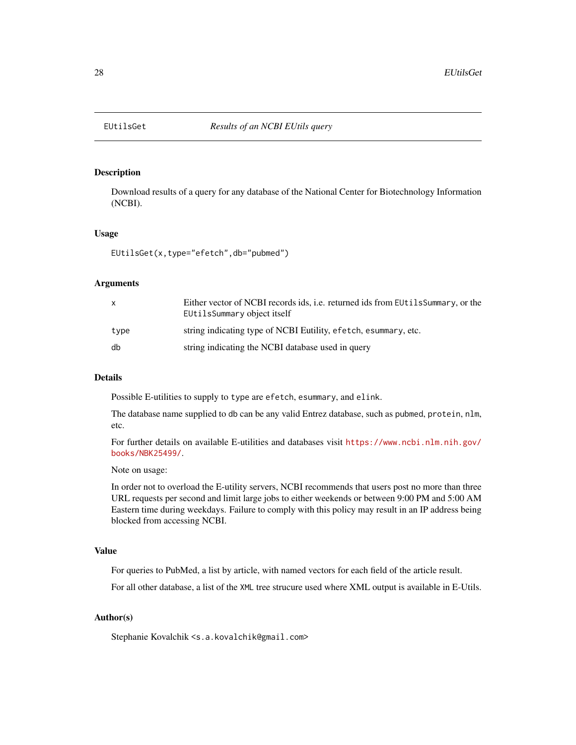<span id="page-27-0"></span>

Download results of a query for any database of the National Center for Biotechnology Information (NCBI).

#### Usage

EUtilsGet(x,type="efetch",db="pubmed")

#### Arguments

| $\mathsf{x}$ | Either vector of NCBI records ids, i.e. returned ids from EUtilsSummary, or the<br>EUtilsSummary object itself |
|--------------|----------------------------------------------------------------------------------------------------------------|
| type         | string indicating type of NCBI Eutility, efetch, esummary, etc.                                                |
| db           | string indicating the NCBI database used in query                                                              |

#### Details

Possible E-utilities to supply to type are efetch, esummary, and elink.

The database name supplied to db can be any valid Entrez database, such as pubmed, protein, nlm, etc.

For further details on available E-utilities and databases visit [https://www.ncbi.nlm.nih.gov/](https://www.ncbi.nlm.nih.gov/books/NBK25499/) [books/NBK25499/](https://www.ncbi.nlm.nih.gov/books/NBK25499/).

Note on usage:

In order not to overload the E-utility servers, NCBI recommends that users post no more than three URL requests per second and limit large jobs to either weekends or between 9:00 PM and 5:00 AM Eastern time during weekdays. Failure to comply with this policy may result in an IP address being blocked from accessing NCBI.

#### Value

For queries to PubMed, a list by article, with named vectors for each field of the article result.

For all other database, a list of the XML tree strucure used where XML output is available in E-Utils.

#### Author(s)

Stephanie Kovalchik <s.a.kovalchik@gmail.com>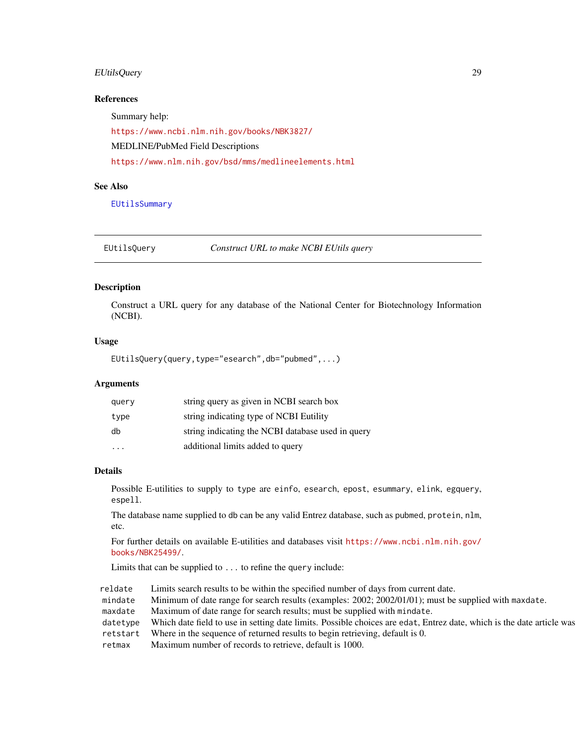# <span id="page-28-0"></span>EUtilsQuery 29

#### References

Summary help:

<https://www.ncbi.nlm.nih.gov/books/NBK3827/> MEDLINE/PubMed Field Descriptions <https://www.nlm.nih.gov/bsd/mms/medlineelements.html>

#### See Also

[EUtilsSummary](#page-29-1)

<span id="page-28-1"></span>EUtilsQuery *Construct URL to make NCBI EUtils query*

#### Description

Construct a URL query for any database of the National Center for Biotechnology Information (NCBI).

#### Usage

EUtilsQuery(query,type="esearch",db="pubmed",...)

#### Arguments

| query | string query as given in NCBI search box          |
|-------|---------------------------------------------------|
| type  | string indicating type of NCBI Eutility           |
| db    | string indicating the NCBI database used in query |
| .     | additional limits added to query                  |

#### Details

Possible E-utilities to supply to type are einfo, esearch, epost, esummary, elink, egquery, espell.

The database name supplied to db can be any valid Entrez database, such as pubmed, protein, nlm, etc.

For further details on available E-utilities and databases visit [https://www.ncbi.nlm.nih.gov/](https://www.ncbi.nlm.nih.gov/books/NBK25499/) [books/NBK25499/](https://www.ncbi.nlm.nih.gov/books/NBK25499/).

Limits that can be supplied to ... to refine the query include:

reldate Limits search results to be within the specified number of days from current date. mindate Minimum of date range for search results (examples: 2002; 2002/01/01); must be supplied with maxdate. maxdate Maximum of date range for search results; must be supplied with mindate. datetype Which date field to use in setting date limits. Possible choices are edat, Entrez date, which is the date article was retstart Where in the sequence of returned results to begin retrieving, default is 0. retmax Maximum number of records to retrieve, default is 1000.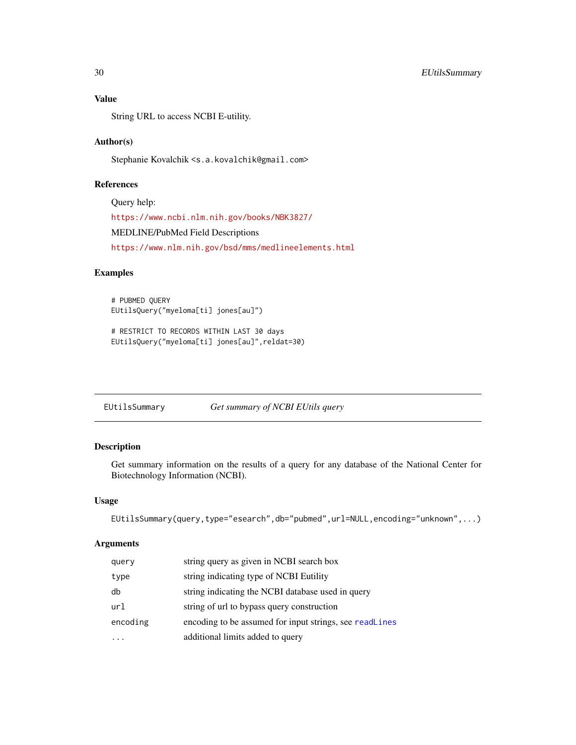# Value

String URL to access NCBI E-utility.

#### Author(s)

Stephanie Kovalchik <s.a.kovalchik@gmail.com>

# References

Query help: <https://www.ncbi.nlm.nih.gov/books/NBK3827/> MEDLINE/PubMed Field Descriptions <https://www.nlm.nih.gov/bsd/mms/medlineelements.html>

#### Examples

# PUBMED QUERY EUtilsQuery("myeloma[ti] jones[au]")

# RESTRICT TO RECORDS WITHIN LAST 30 days EUtilsQuery("myeloma[ti] jones[au]",reldat=30)

<span id="page-29-1"></span>EUtilsSummary *Get summary of NCBI EUtils query*

# Description

Get summary information on the results of a query for any database of the National Center for Biotechnology Information (NCBI).

#### Usage

```
EUtilsSummary(query,type="esearch",db="pubmed",url=NULL,encoding="unknown",...)
```
# Arguments

| query    | string query as given in NCBI search box                |
|----------|---------------------------------------------------------|
| type     | string indicating type of NCBI Eutility                 |
| db       | string indicating the NCBI database used in query       |
| url      | string of url to bypass query construction              |
| encoding | encoding to be assumed for input strings, see readlines |
|          | additional limits added to query                        |

<span id="page-29-0"></span>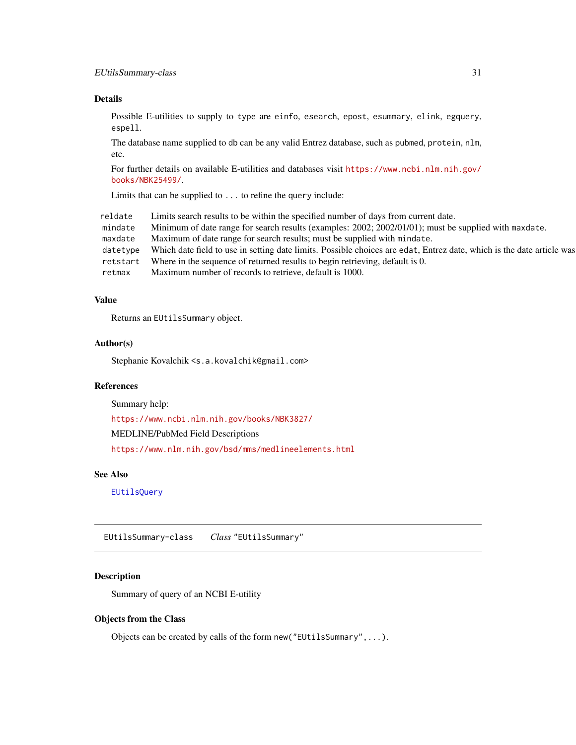#### <span id="page-30-0"></span>Details

Possible E-utilities to supply to type are einfo, esearch, epost, esummary, elink, egquery, espell.

The database name supplied to db can be any valid Entrez database, such as pubmed, protein, nlm, etc.

For further details on available E-utilities and databases visit [https://www.ncbi.nlm.nih.gov/](https://www.ncbi.nlm.nih.gov/books/NBK25499/) [books/NBK25499/](https://www.ncbi.nlm.nih.gov/books/NBK25499/).

Limits that can be supplied to ... to refine the query include:

| reldate  | Limits search results to be within the specified number of days from current date.                                    |
|----------|-----------------------------------------------------------------------------------------------------------------------|
| mindate  | Minimum of date range for search results (examples: 2002; 2002/01/01); must be supplied with maxdate.                 |
| maxdate  | Maximum of date range for search results; must be supplied with mindate.                                              |
| datetype | Which date field to use in setting date limits. Possible choices are edat, Entrez date, which is the date article was |
| retstart | Where in the sequence of returned results to begin retrieving, default is 0.                                          |
| retmax   | Maximum number of records to retrieve, default is 1000.                                                               |

#### Value

Returns an EUtilsSummary object.

# Author(s)

Stephanie Kovalchik <s.a.kovalchik@gmail.com>

# References

Summary help:

<https://www.ncbi.nlm.nih.gov/books/NBK3827/>

MEDLINE/PubMed Field Descriptions

<https://www.nlm.nih.gov/bsd/mms/medlineelements.html>

#### See Also

[EUtilsQuery](#page-28-1)

EUtilsSummary-class *Class* "EUtilsSummary"

#### Description

Summary of query of an NCBI E-utility

#### Objects from the Class

Objects can be created by calls of the form new("EUtilsSummary",...).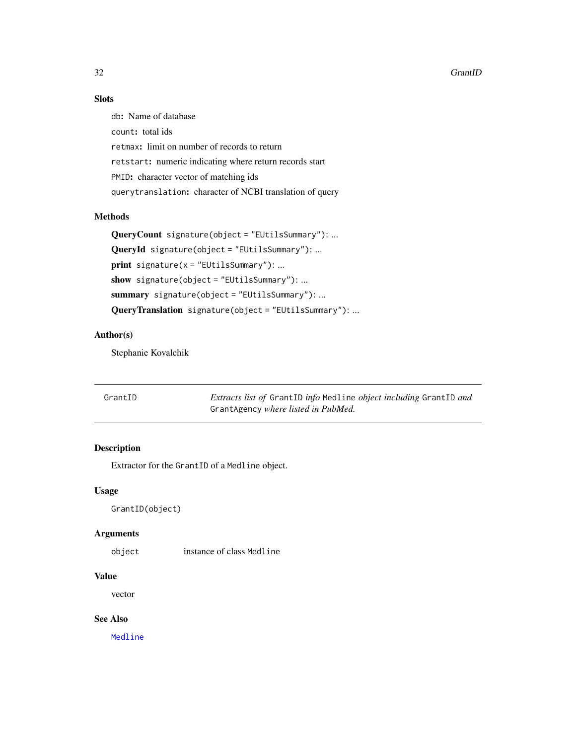#### <span id="page-31-0"></span>32 GrantID

# Slots

db: Name of database count: total ids retmax: limit on number of records to return retstart: numeric indicating where return records start PMID: character vector of matching ids querytranslation: character of NCBI translation of query

# Methods

```
QueryCount signature(object = "EUtilsSummary"): ...
QueryId signature(object = "EUtilsSummary"): ...
print signature(x = "EUtilsSummary"): ...
show signature(object = "EUtilsSummary"): ...
summary signature(object = "EUtilsSummary"): ...
QueryTranslation signature(object = "EUtilsSummary"): ...
```
#### Author(s)

Stephanie Kovalchik

| GrantID | <i>Extracts list of GrantID info Medline object including GrantID and</i> |
|---------|---------------------------------------------------------------------------|
|         | GrantAgency where listed in PubMed.                                       |

# Description

Extractor for the GrantID of a Medline object.

# Usage

GrantID(object)

#### Arguments

object instance of class Medline

# Value

vector

# See Also

[Medline](#page-46-1)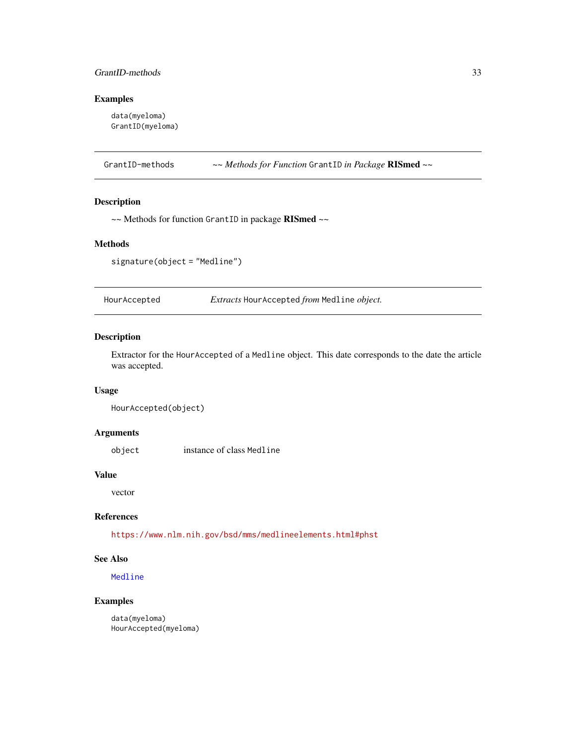# <span id="page-32-0"></span>GrantID-methods 33

#### Examples

data(myeloma) GrantID(myeloma)

GrantID-methods *~~ Methods for Function* GrantID *in Package* RISmed *~~*

# Description

~~ Methods for function GrantID in package RISmed ~~

#### Methods

signature(object = "Medline")

HourAccepted *Extracts* HourAccepted *from* Medline *object.*

#### Description

Extractor for the HourAccepted of a Medline object. This date corresponds to the date the article was accepted.

#### Usage

HourAccepted(object)

#### Arguments

object instance of class Medline

#### Value

vector

# References

<https://www.nlm.nih.gov/bsd/mms/medlineelements.html#phst>

#### See Also

[Medline](#page-46-1)

#### Examples

data(myeloma) HourAccepted(myeloma)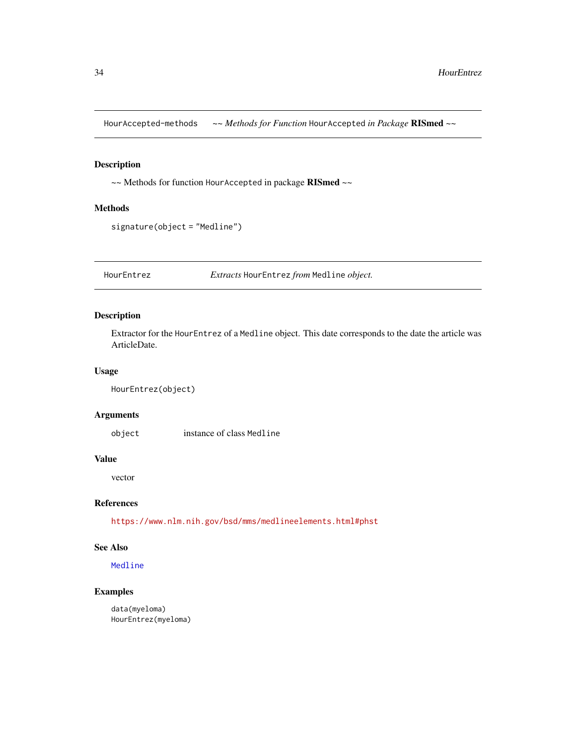<span id="page-33-0"></span>HourAccepted-methods *~~ Methods for Function* HourAccepted *in Package* RISmed *~~*

# Description

~~ Methods for function HourAccepted in package RISmed ~~

#### Methods

signature(object = "Medline")

HourEntrez *Extracts* HourEntrez *from* Medline *object.*

#### Description

Extractor for the HourEntrez of a Medline object. This date corresponds to the date the article was ArticleDate.

#### Usage

```
HourEntrez(object)
```
#### Arguments

object instance of class Medline

#### Value

vector

#### References

<https://www.nlm.nih.gov/bsd/mms/medlineelements.html#phst>

# See Also

[Medline](#page-46-1)

# Examples

data(myeloma) HourEntrez(myeloma)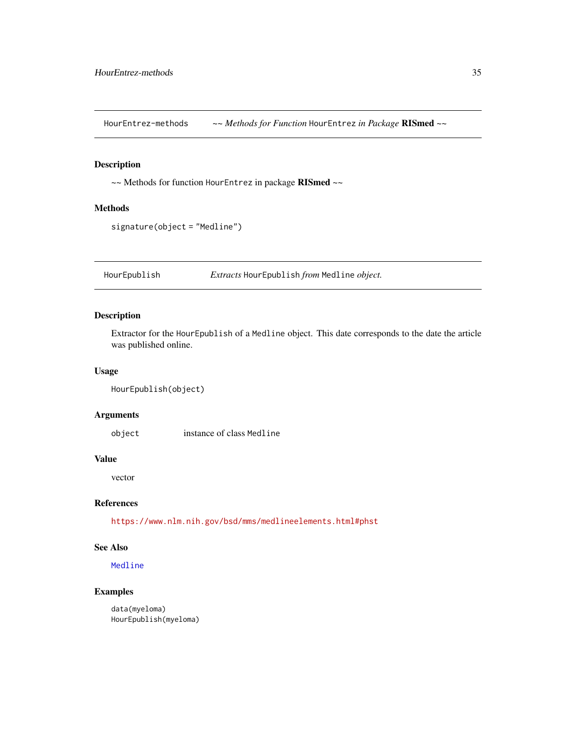<span id="page-34-0"></span>HourEntrez-methods *~~ Methods for Function* HourEntrez *in Package* RISmed *~~*

#### Description

~~ Methods for function HourEntrez in package RISmed ~~

#### Methods

```
signature(object = "Medline")
```
HourEpublish *Extracts* HourEpublish *from* Medline *object.*

#### Description

Extractor for the HourEpublish of a Medline object. This date corresponds to the date the article was published online.

#### Usage

```
HourEpublish(object)
```
#### Arguments

object instance of class Medline

#### Value

vector

#### References

<https://www.nlm.nih.gov/bsd/mms/medlineelements.html#phst>

# See Also

[Medline](#page-46-1)

# Examples

data(myeloma) HourEpublish(myeloma)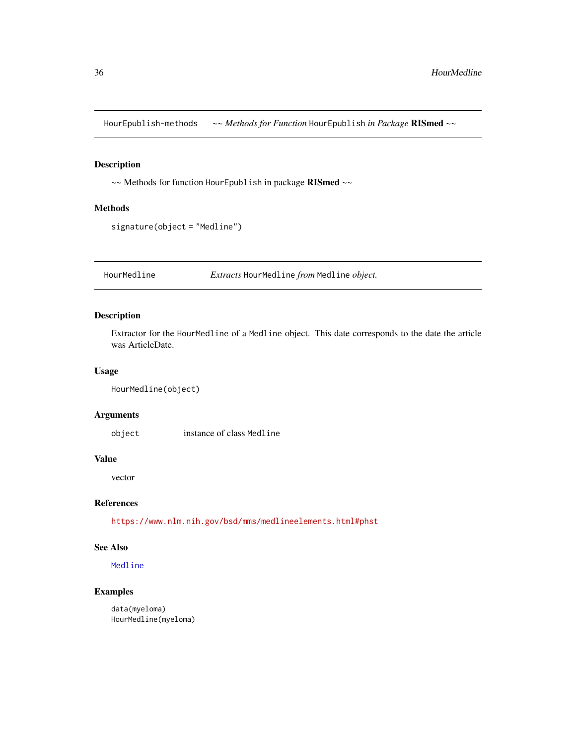<span id="page-35-0"></span>HourEpublish-methods *~~ Methods for Function* HourEpublish *in Package* RISmed *~~*

# Description

~~ Methods for function HourEpublish in package RISmed ~~

#### Methods

signature(object = "Medline")

HourMedline *Extracts* HourMedline *from* Medline *object.*

#### Description

Extractor for the HourMedline of a Medline object. This date corresponds to the date the article was ArticleDate.

#### Usage

```
HourMedline(object)
```
#### Arguments

object instance of class Medline

#### Value

vector

#### References

<https://www.nlm.nih.gov/bsd/mms/medlineelements.html#phst>

# See Also

[Medline](#page-46-1)

# Examples

data(myeloma) HourMedline(myeloma)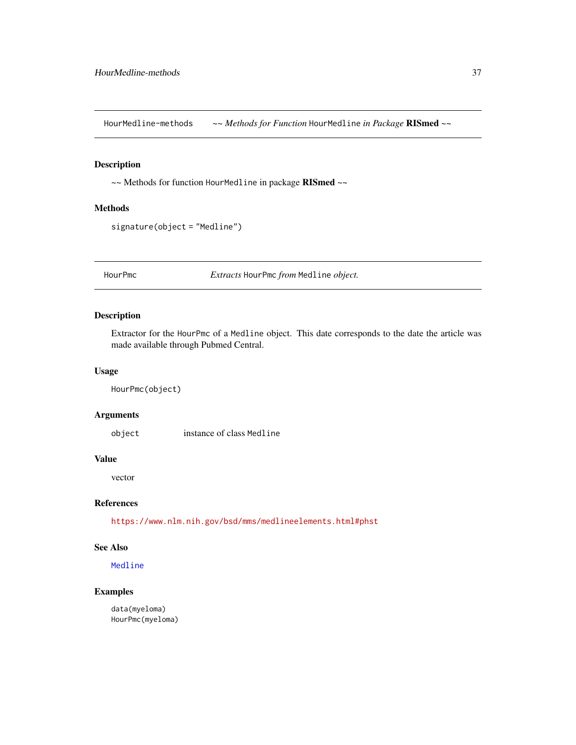HourMedline-methods *~~ Methods for Function* HourMedline *in Package* RISmed *~~*

#### Description

~~ Methods for function HourMedline in package RISmed ~~

#### Methods

signature(object = "Medline")

HourPmc *Extracts* HourPmc *from* Medline *object.*

#### Description

Extractor for the HourPmc of a Medline object. This date corresponds to the date the article was made available through Pubmed Central.

#### Usage

HourPmc(object)

#### Arguments

object instance of class Medline

#### Value

vector

### References

<https://www.nlm.nih.gov/bsd/mms/medlineelements.html#phst>

# See Also

[Medline](#page-46-0)

## Examples

data(myeloma) HourPmc(myeloma)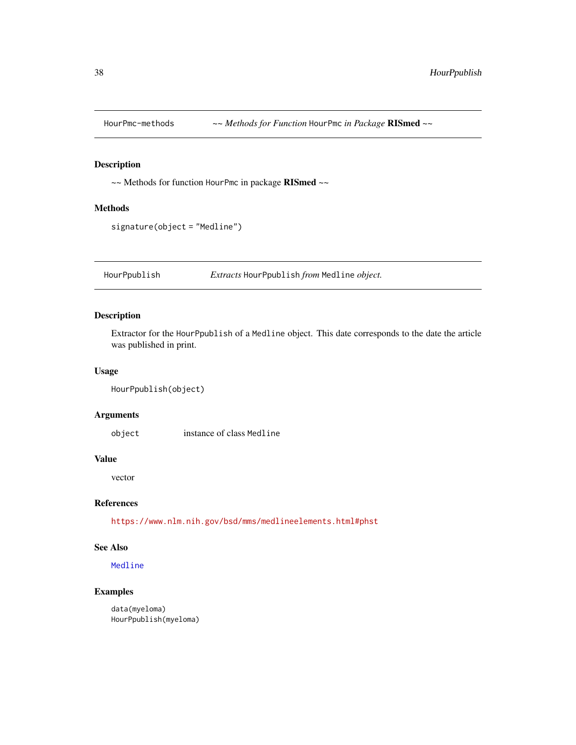~~ Methods for function HourPmc in package RISmed ~~

#### Methods

```
signature(object = "Medline")
```
HourPpublish *Extracts* HourPpublish *from* Medline *object.*

#### Description

Extractor for the HourPpublish of a Medline object. This date corresponds to the date the article was published in print.

#### Usage

```
HourPpublish(object)
```
#### Arguments

object instance of class Medline

#### Value

vector

# References

<https://www.nlm.nih.gov/bsd/mms/medlineelements.html#phst>

### See Also

#### [Medline](#page-46-0)

## Examples

data(myeloma) HourPpublish(myeloma)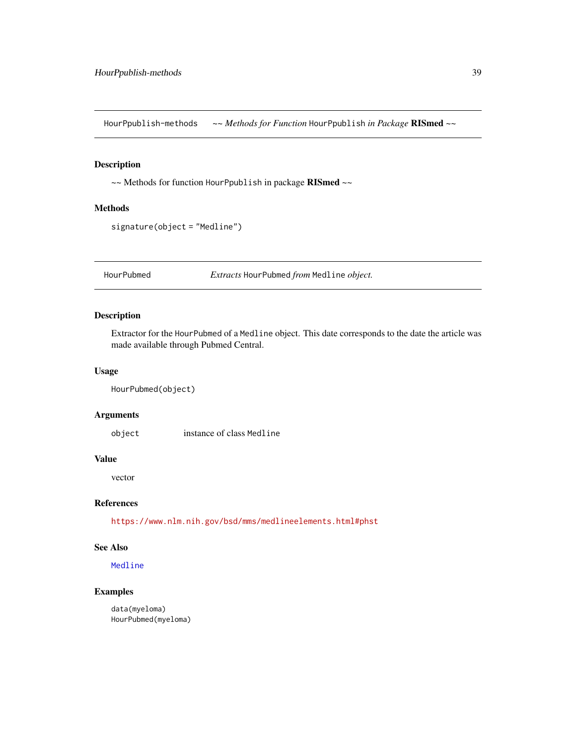HourPpublish-methods *~~ Methods for Function* HourPpublish *in Package* RISmed *~~*

#### Description

~~ Methods for function HourPpublish in package RISmed ~~

#### Methods

```
signature(object = "Medline")
```
HourPubmed *Extracts* HourPubmed *from* Medline *object.*

#### Description

Extractor for the HourPubmed of a Medline object. This date corresponds to the date the article was made available through Pubmed Central.

#### Usage

```
HourPubmed(object)
```
#### Arguments

object instance of class Medline

#### Value

vector

### References

<https://www.nlm.nih.gov/bsd/mms/medlineelements.html#phst>

# See Also

[Medline](#page-46-0)

### Examples

data(myeloma) HourPubmed(myeloma)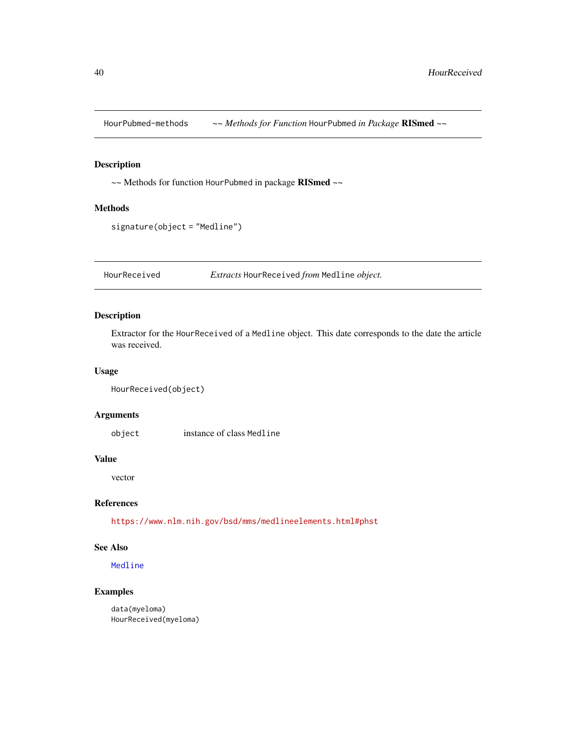HourPubmed-methods *~~ Methods for Function* HourPubmed *in Package* RISmed *~~*

## Description

~~ Methods for function HourPubmed in package RISmed ~~

#### Methods

signature(object = "Medline")

HourReceived *Extracts* HourReceived *from* Medline *object.*

### Description

Extractor for the HourReceived of a Medline object. This date corresponds to the date the article was received.

#### Usage

```
HourReceived(object)
```
#### Arguments

object instance of class Medline

#### Value

vector

### References

<https://www.nlm.nih.gov/bsd/mms/medlineelements.html#phst>

# See Also

[Medline](#page-46-0)

## Examples

data(myeloma) HourReceived(myeloma)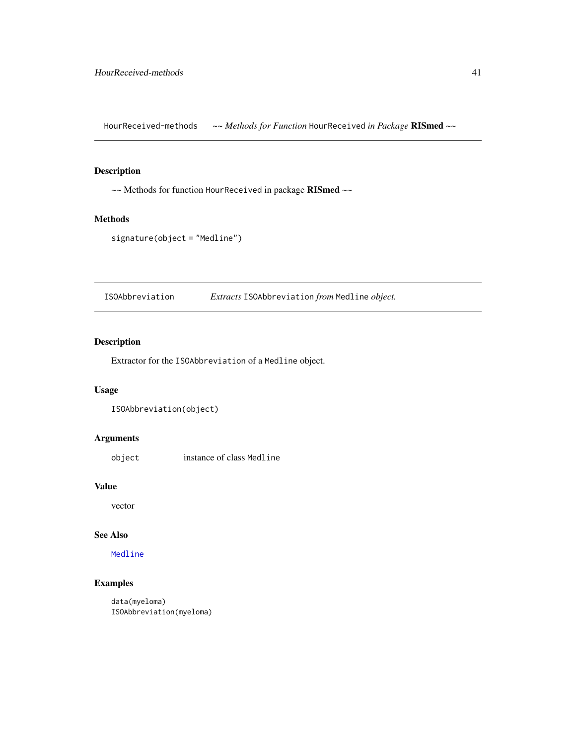HourReceived-methods *~~ Methods for Function* HourReceived *in Package* RISmed *~~*

### Description

~~ Methods for function HourReceived in package RISmed ~~

#### Methods

```
signature(object = "Medline")
```
ISOAbbreviation *Extracts* ISOAbbreviation *from* Medline *object.*

# Description

Extractor for the ISOAbbreviation of a Medline object.

#### Usage

```
ISOAbbreviation(object)
```
## Arguments

object instance of class Medline

## Value

vector

# See Also

[Medline](#page-46-0)

## Examples

data(myeloma) ISOAbbreviation(myeloma)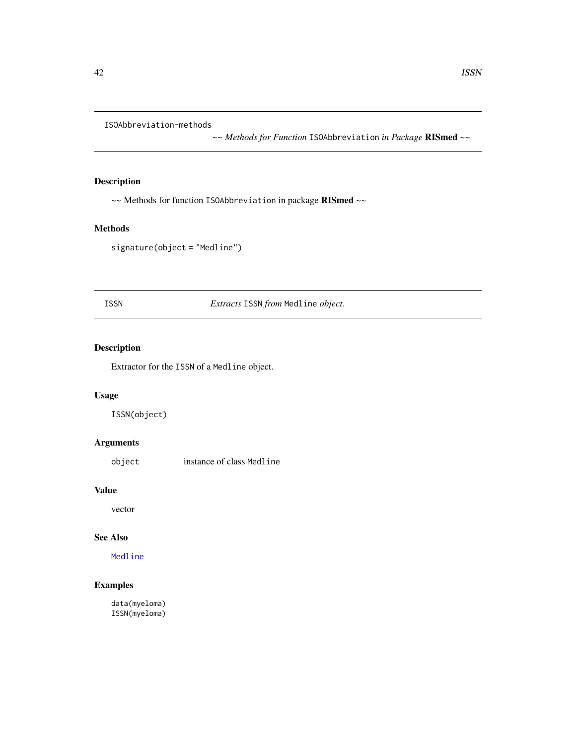ISOAbbreviation-methods

*~~ Methods for Function* ISOAbbreviation *in Package* RISmed *~~*

## Description

~~ Methods for function ISOAbbreviation in package RISmed ~~

# Methods

signature(object = "Medline")

ISSN *Extracts* ISSN *from* Medline *object.*

# Description

Extractor for the ISSN of a Medline object.

## Usage

ISSN(object)

## Arguments

object instance of class Medline

#### Value

vector

#### See Also

[Medline](#page-46-0)

# Examples

data(myeloma) ISSN(myeloma)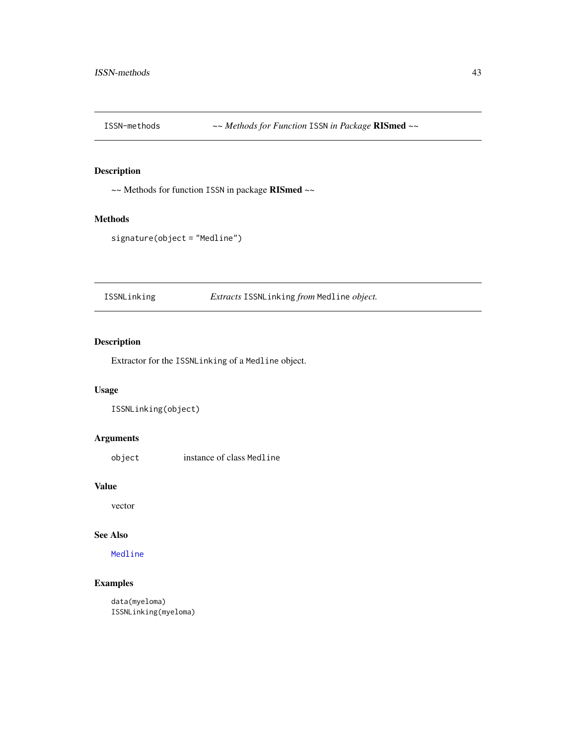~~ Methods for function ISSN in package RISmed ~~

#### Methods

```
signature(object = "Medline")
```
ISSNLinking *Extracts* ISSNLinking *from* Medline *object.*

# Description

Extractor for the ISSNLinking of a Medline object.

## Usage

```
ISSNLinking(object)
```
## Arguments

object instance of class Medline

## Value

vector

# See Also

[Medline](#page-46-0)

## Examples

data(myeloma) ISSNLinking(myeloma)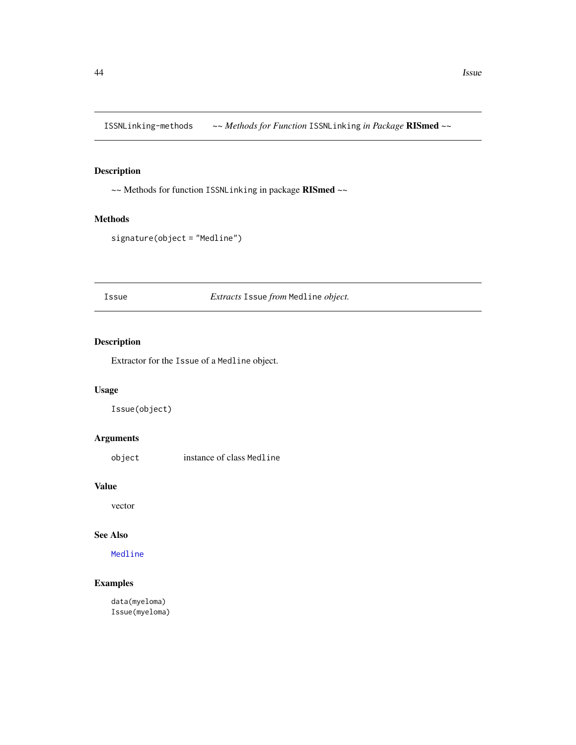ISSNLinking-methods *~~ Methods for Function* ISSNLinking *in Package* RISmed *~~*

## Description

~~ Methods for function ISSNLinking in package RISmed ~~

#### Methods

```
signature(object = "Medline")
```
Issue *Extracts* Issue *from* Medline *object.*

# Description

Extractor for the Issue of a Medline object.

## Usage

Issue(object)

## Arguments

object instance of class Medline

## Value

vector

# See Also

[Medline](#page-46-0)

## Examples

data(myeloma) Issue(myeloma)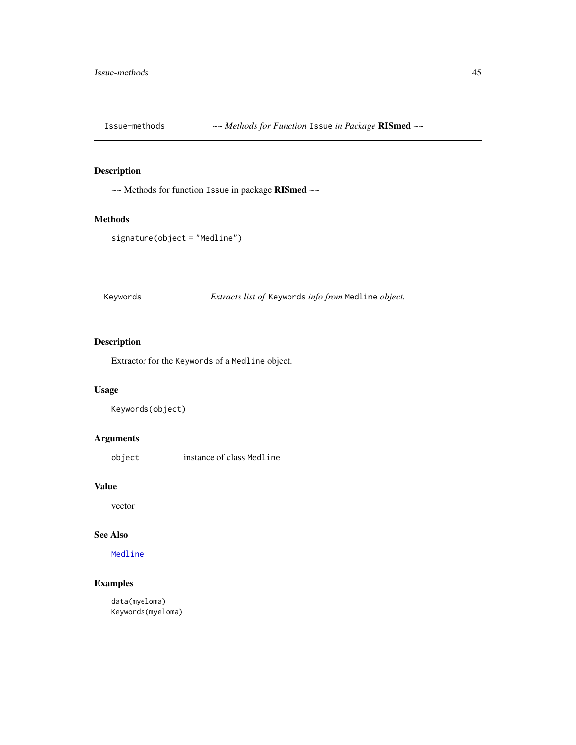Issue-methods *~~ Methods for Function* Issue *in Package* RISmed *~~*

## Description

~~ Methods for function Issue in package RISmed ~~

#### Methods

```
signature(object = "Medline")
```
Keywords *Extracts list of* Keywords *info from* Medline *object.*

# Description

Extractor for the Keywords of a Medline object.

## Usage

```
Keywords(object)
```
## Arguments

object instance of class Medline

## Value

vector

# See Also

[Medline](#page-46-0)

## Examples

data(myeloma) Keywords(myeloma)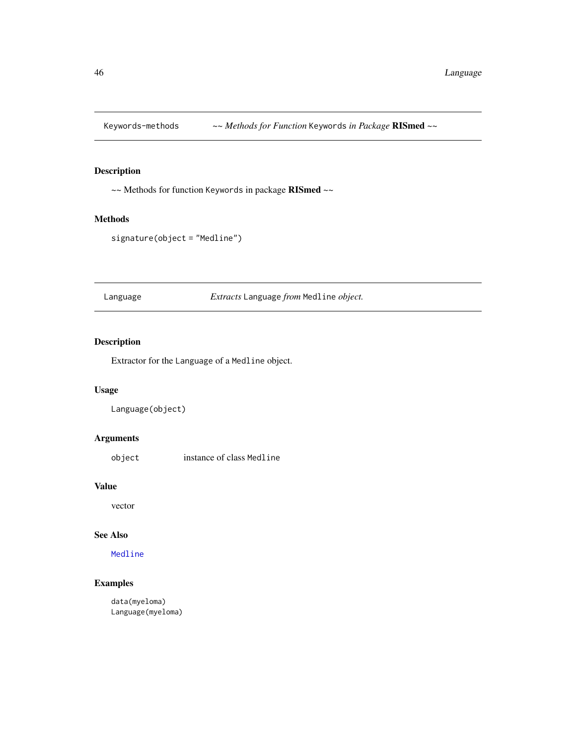Keywords-methods *~~ Methods for Function* Keywords *in Package* RISmed *~~*

## Description

~~ Methods for function Keywords in package RISmed ~~

## Methods

```
signature(object = "Medline")
```
Language *Extracts* Language *from* Medline *object.*

# Description

Extractor for the Language of a Medline object.

## Usage

```
Language(object)
```
## Arguments

object instance of class Medline

## Value

vector

# See Also

[Medline](#page-46-0)

## Examples

data(myeloma) Language(myeloma)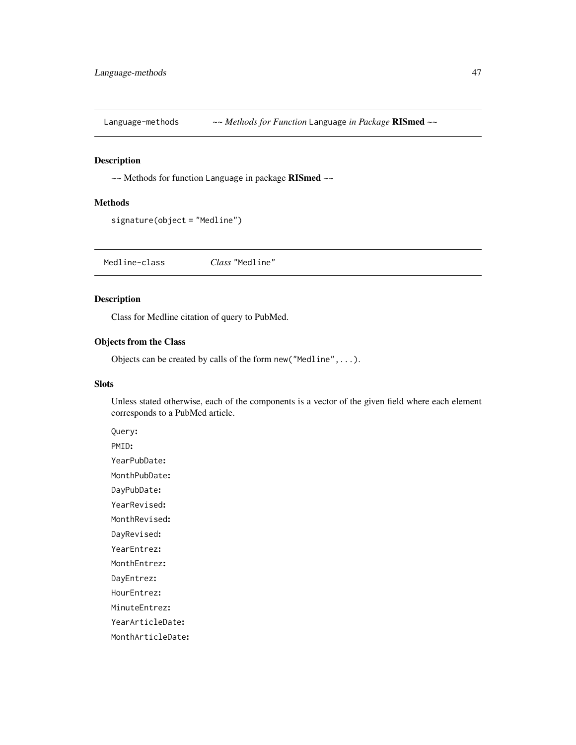Language-methods *~~ Methods for Function* Language *in Package* RISmed *~~*

# Description

~~ Methods for function Language in package RISmed ~~

#### Methods

signature(object = "Medline")

Medline-class *Class* "Medline"

## <span id="page-46-0"></span>Description

Class for Medline citation of query to PubMed.

## Objects from the Class

Objects can be created by calls of the form new("Medline",...).

### Slots

Unless stated otherwise, each of the components is a vector of the given field where each element corresponds to a PubMed article.

PMID: YearPubDate: MonthPubDate: DayPubDate: YearRevised: MonthRevised:

Query:

DayRevised:

YearEntrez:

MonthEntrez:

DayEntrez:

HourEntrez:

MinuteEntrez:

YearArticleDate:

MonthArticleDate: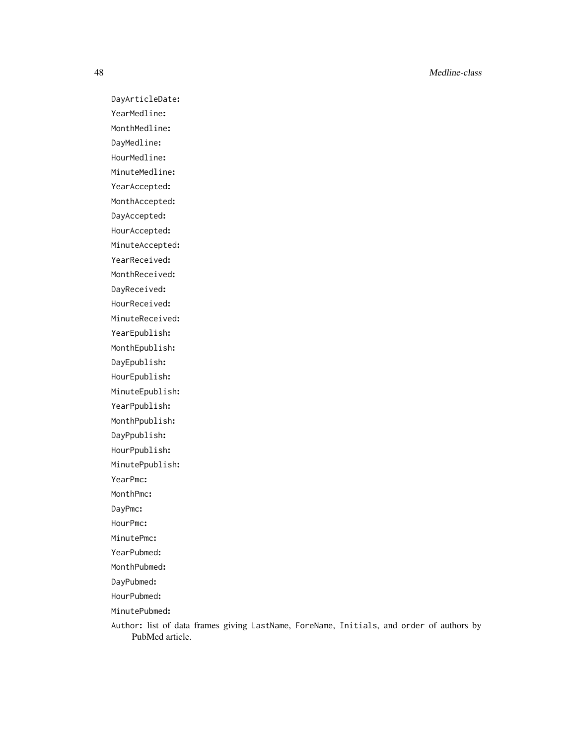48 Medline-class

DayArticleDate: YearMedline: MonthMedline: DayMedline: HourMedline: MinuteMedline: YearAccepted: MonthAccepted: DayAccepted: HourAccepted: MinuteAccepted: YearReceived: MonthReceived: DayReceived: HourReceived: MinuteReceived: YearEpublish: MonthEpublish: DayEpublish: HourEpublish: MinuteEpublish: YearPpublish: MonthPpublish: DayPpublish: HourPpublish: MinutePpublish: YearPmc: MonthPmc: DayPmc: HourPmc: MinutePmc: YearPubmed: MonthPubmed: DayPubmed: HourPubmed:

MinutePubmed:

Author: list of data frames giving LastName, ForeName, Initials, and order of authors by PubMed article.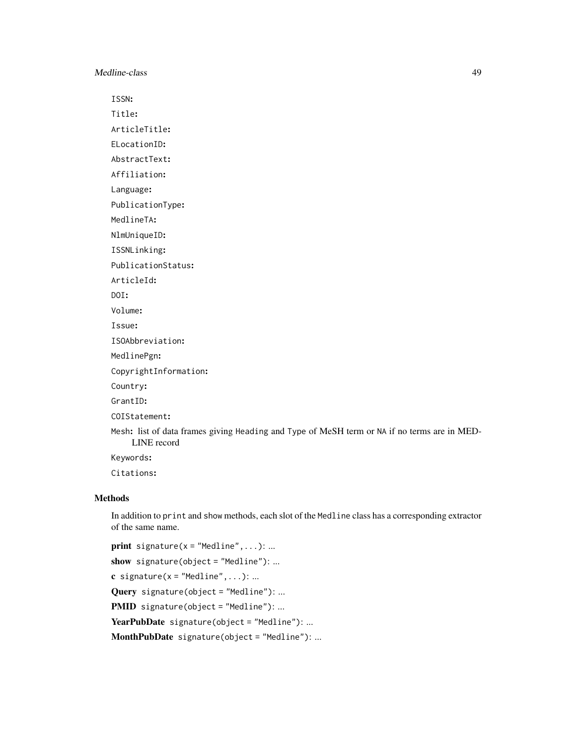Medline-class 49

ISSN:

Title: ArticleTitle:

ELocationID:

AbstractText:

Affiliation:

Language:

PublicationType:

MedlineTA:

NlmUniqueID:

ISSNLinking:

PublicationStatus:

ArticleId:

DOI:

Volume:

Issue: ISOAbbreviation:

MedlinePgn:

CopyrightInformation:

Country:

GrantID:

COIStatement:

Mesh: list of data frames giving Heading and Type of MeSH term or NA if no terms are in MED-LINE record

Keywords:

Citations:

### Methods

In addition to print and show methods, each slot of the Medline class has a corresponding extractor of the same name.

**print** signature( $x = "Median", \ldots): \ldots$ show signature(object = "Medline"): ... c signature( $x =$ "Medline",...): ... Query signature(object = "Medline"): ... PMID signature(object = "Medline"): ... YearPubDate signature(object = "Medline"): ... MonthPubDate signature(object = "Medline"): ...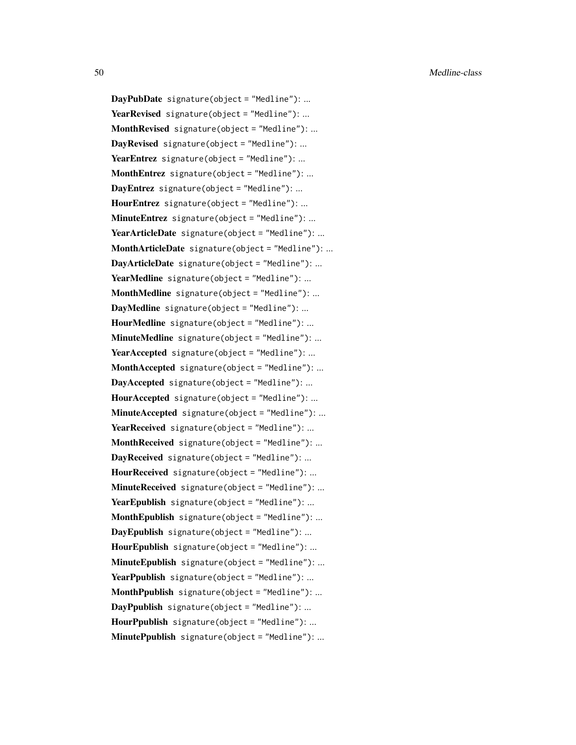DayPubDate signature(object = "Medline"): ... YearRevised signature(object = "Medline"): ... **MonthRevised** signature(object = "Medline"): ... DayRevised signature(object = "Medline"): ... YearEntrez signature(object = "Medline"): ... **MonthEntrez** signature(object = "Medline"): ... DayEntrez signature(object = "Medline"): ... HourEntrez signature(object = "Medline"): ...  $MinuteEntrez$  signature(object = "Medline"): ... YearArticleDate signature(object = "Medline"): ... MonthArticleDate signature(object = "Medline"): ... DayArticleDate signature(object = "Medline"): ... YearMedline signature(object = "Medline"): ... MonthMedline signature(object = "Medline"): ... DayMedline signature(object = "Medline"): ... HourMedline signature(object = "Medline"): ... MinuteMedline signature(object = "Medline"): ... YearAccepted signature(object = "Medline"): ... MonthAccepted signature(object = "Medline"): ... DayAccepted signature(object = "Medline"): ... HourAccepted signature(object = "Medline"): ... MinuteAccepted signature(object = "Medline"): ... YearReceived signature(object = "Medline"): ... MonthReceived signature(object = "Medline"): ... DayReceived signature(object = "Medline"): ... HourReceived signature(object = "Medline"): ...  $MinuteReceived$  signature(object = "Medline"): ... YearEpublish signature(object = "Medline"): ... MonthEpublish signature(object = "Medline"): ... DayEpublish signature(object = "Medline"): ... HourEpublish signature(object = "Medline"): ... MinuteEpublish signature(object = "Medline"): ... YearPpublish signature(object = "Medline"): ... **MonthPpublish** signature(object = "Medline"): ...  $DayPpublich$  signature(object = "Medline"): ...  $HourP publish$  signature(object = "Medline"): ... MinutePpublish signature(object = "Medline"): ...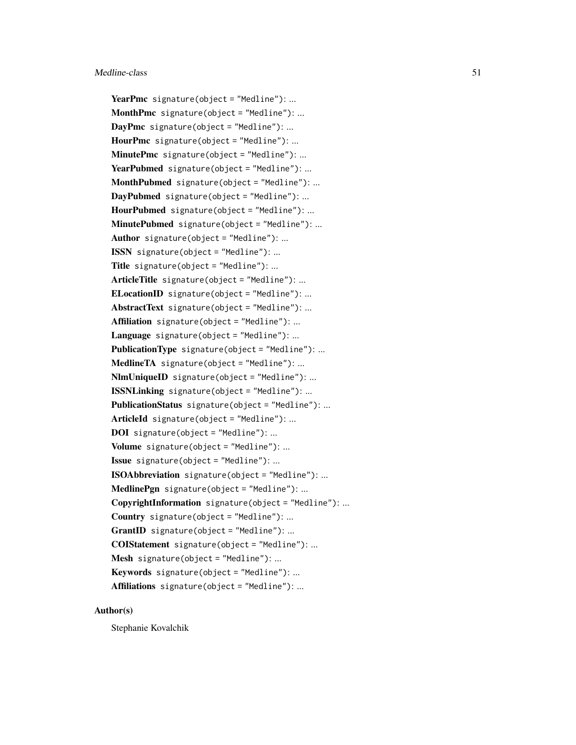YearPmc signature(object = "Medline"): ... MonthPmc signature(object = "Medline"): ...  $DayPmc$  signature(object = "Medline"): ... **HourPmc** signature(object = "Medline"): ... MinutePmc signature(object = "Medline"): ... YearPubmed signature(object = "Medline"): ... MonthPubmed signature(object = "Medline"): ... DayPubmed signature(object = "Medline"): ... HourPubmed signature(object = "Medline"): ... MinutePubmed signature(object = "Medline"): ... Author signature(object = "Medline"): ... ISSN signature(object = "Medline"): ... Title signature(object = "Medline"): ... ArticleTitle signature(object = "Medline"): ... ELocationID signature(object = "Medline"): ... AbstractText signature(object = "Medline"): ... Affiliation signature(object = "Medline"): ... Language signature(object = "Medline"): ... **PublicationType** signature(object = "Medline"): ... MedlineTA signature(object = "Medline"): ... NlmUniqueID signature(object = "Medline"): ... ISSNLinking signature(object = "Medline"): ... PublicationStatus signature(object = "Medline"): ... ArticleId signature(object = "Medline"): ... DOI signature(object = "Medline"): ... Volume signature(object = "Medline"): ... Issue signature(object = "Medline"): ... ISOAbbreviation signature(object = "Medline"): ...  $MedlinePgn$  signature(object = "Medline"): ... CopyrightInformation signature(object = "Medline"): ... Country signature(object = "Medline"): ...  $$ COIStatement signature(object = "Medline"): ... Mesh signature(object = "Medline"): ... Keywords signature(object = "Medline"): ... Affiliations signature(object = "Medline"): ...

#### Author(s)

Stephanie Kovalchik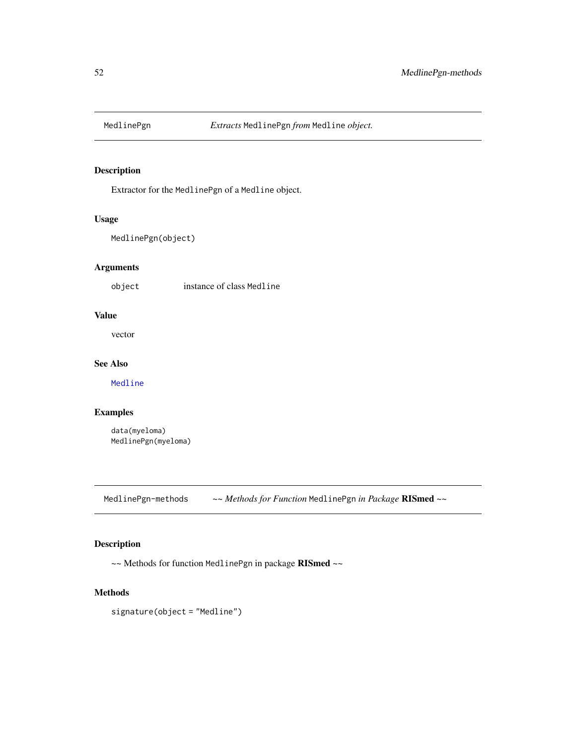Extractor for the MedlinePgn of a Medline object.

## Usage

```
MedlinePgn(object)
```
## Arguments

object instance of class Medline

# Value

vector

# See Also

[Medline](#page-46-0)

## Examples

data(myeloma) MedlinePgn(myeloma)

MedlinePgn-methods *~~ Methods for Function* MedlinePgn *in Package* RISmed *~~*

## Description

~~ Methods for function MedlinePgn in package RISmed ~~

#### Methods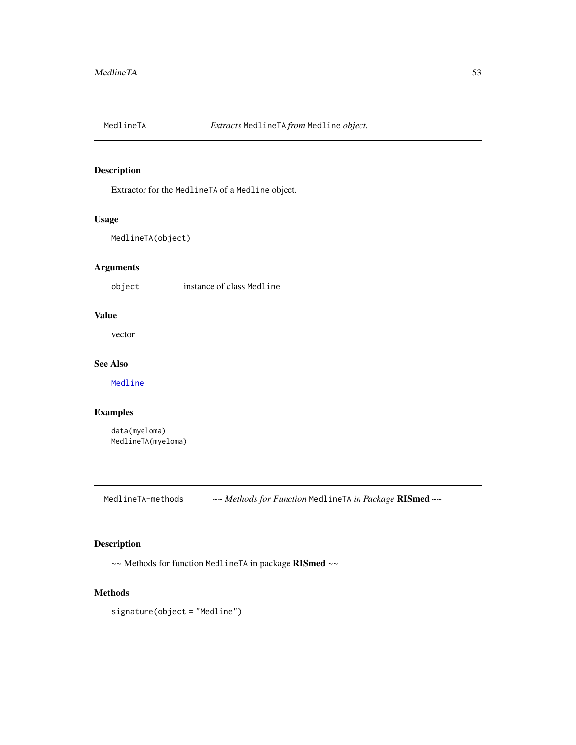Extractor for the MedlineTA of a Medline object.

## Usage

```
MedlineTA(object)
```
## Arguments

object instance of class Medline

# Value

vector

# See Also

[Medline](#page-46-0)

## Examples

data(myeloma) MedlineTA(myeloma)

MedlineTA-methods *~~ Methods for Function* MedlineTA *in Package* RISmed *~~*

## Description

~~ Methods for function MedlineTA in package RISmed ~~

#### Methods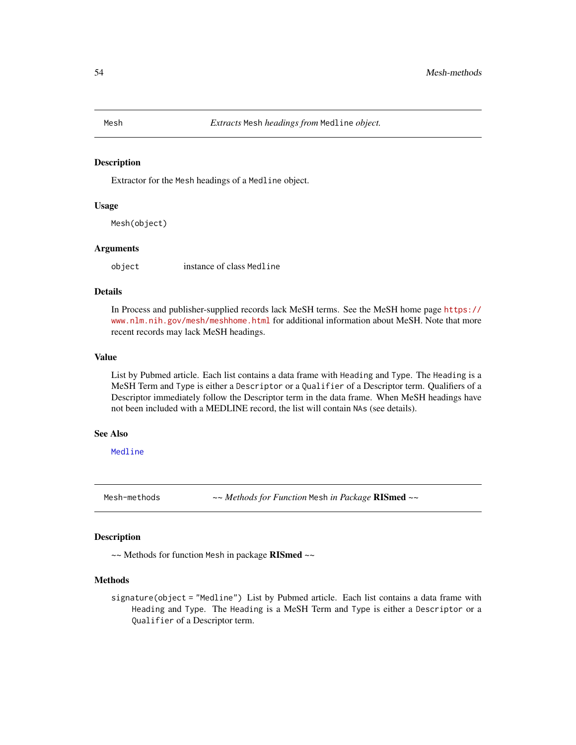Extractor for the Mesh headings of a Medline object.

#### Usage

Mesh(object)

#### Arguments

object instance of class Medline

#### Details

In Process and publisher-supplied records lack MeSH terms. See the MeSH home page [https://](https://www.nlm.nih.gov/mesh/meshhome.html) [www.nlm.nih.gov/mesh/meshhome.html](https://www.nlm.nih.gov/mesh/meshhome.html) for additional information about MeSH. Note that more recent records may lack MeSH headings.

#### Value

List by Pubmed article. Each list contains a data frame with Heading and Type. The Heading is a MeSH Term and Type is either a Descriptor or a Qualifier of a Descriptor term. Qualifiers of a Descriptor immediately follow the Descriptor term in the data frame. When MeSH headings have not been included with a MEDLINE record, the list will contain NAs (see details).

#### See Also

[Medline](#page-46-0)

Mesh-methods *~~ Methods for Function* Mesh *in Package* RISmed *~~*

#### Description

~~ Methods for function Mesh in package RISmed ~~

#### Methods

signature(object = "Medline") List by Pubmed article. Each list contains a data frame with Heading and Type. The Heading is a MeSH Term and Type is either a Descriptor or a Qualifier of a Descriptor term.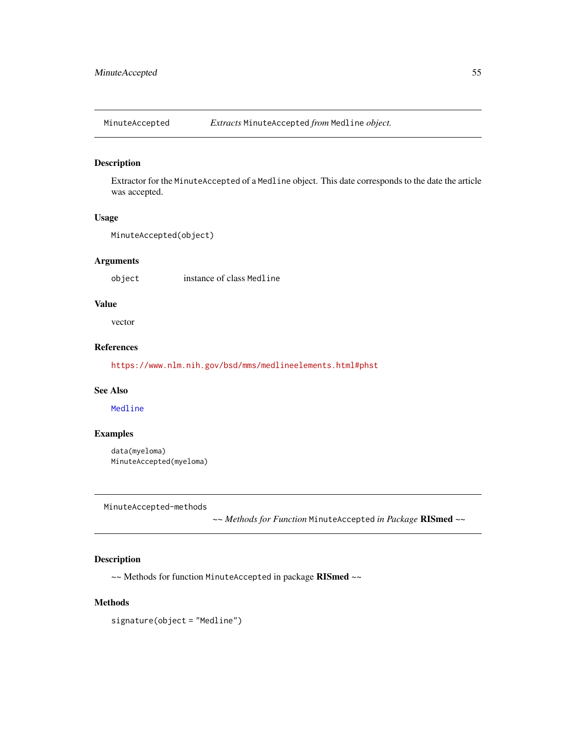MinuteAccepted *Extracts* MinuteAccepted *from* Medline *object.*

## Description

Extractor for the MinuteAccepted of a Medline object. This date corresponds to the date the article was accepted.

## Usage

```
MinuteAccepted(object)
```
## Arguments

object instance of class Medline

## Value

vector

# References

<https://www.nlm.nih.gov/bsd/mms/medlineelements.html#phst>

#### See Also

[Medline](#page-46-0)

## Examples

data(myeloma) MinuteAccepted(myeloma)

MinuteAccepted-methods

*~~ Methods for Function* MinuteAccepted *in Package* RISmed *~~*

### Description

~~ Methods for function MinuteAccepted in package RISmed ~~

## Methods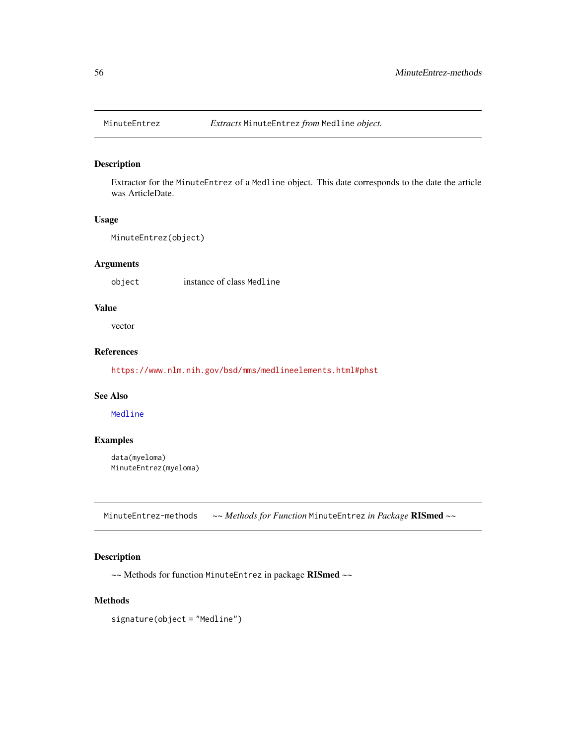Extractor for the MinuteEntrez of a Medline object. This date corresponds to the date the article was ArticleDate.

### Usage

```
MinuteEntrez(object)
```
## Arguments

object instance of class Medline

### Value

vector

# References

<https://www.nlm.nih.gov/bsd/mms/medlineelements.html#phst>

### See Also

[Medline](#page-46-0)

### Examples

data(myeloma) MinuteEntrez(myeloma)

MinuteEntrez-methods *~~ Methods for Function* MinuteEntrez *in Package* RISmed *~~*

# Description

~~ Methods for function MinuteEntrez in package RISmed ~~

#### Methods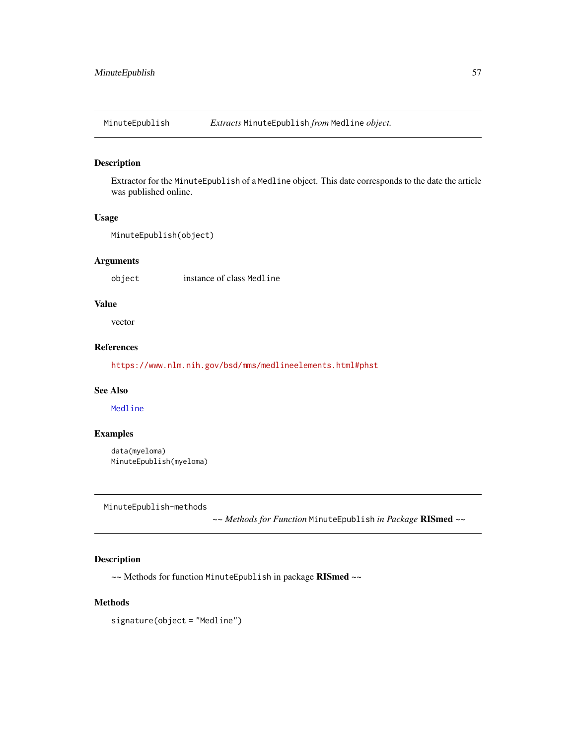MinuteEpublish *Extracts* MinuteEpublish *from* Medline *object.*

#### Description

Extractor for the MinuteEpublish of a Medline object. This date corresponds to the date the article was published online.

#### Usage

```
MinuteEpublish(object)
```
#### Arguments

object instance of class Medline

## Value

vector

## References

<https://www.nlm.nih.gov/bsd/mms/medlineelements.html#phst>

#### See Also

[Medline](#page-46-0)

## Examples

data(myeloma) MinuteEpublish(myeloma)

MinuteEpublish-methods

*~~ Methods for Function* MinuteEpublish *in Package* RISmed *~~*

### Description

~~ Methods for function MinuteEpublish in package RISmed ~~

## Methods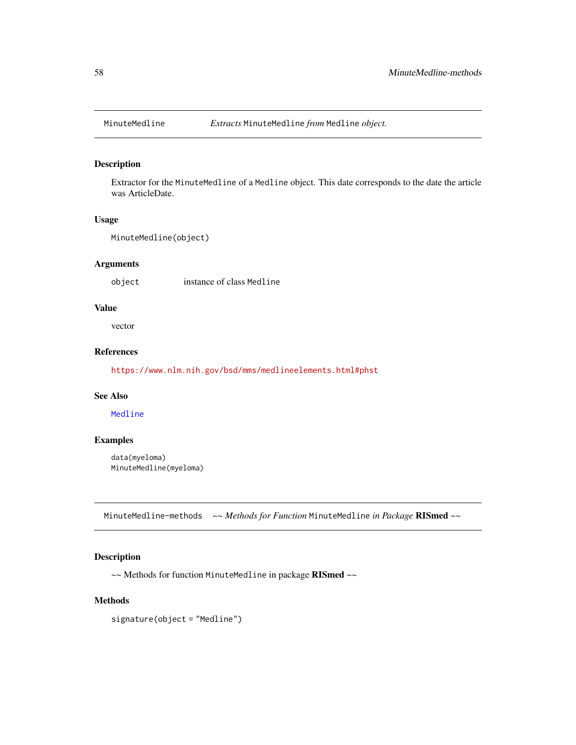Extractor for the MinuteMedline of a Medline object. This date corresponds to the date the article was ArticleDate.

## Usage

```
MinuteMedline(object)
```
## Arguments

object instance of class Medline

## Value

vector

# References

<https://www.nlm.nih.gov/bsd/mms/medlineelements.html#phst>

### See Also

[Medline](#page-46-0)

### Examples

data(myeloma) MinuteMedline(myeloma)

MinuteMedline-methods *~~ Methods for Function* MinuteMedline *in Package* RISmed *~~*

## Description

~~ Methods for function MinuteMedline in package RISmed ~~

#### Methods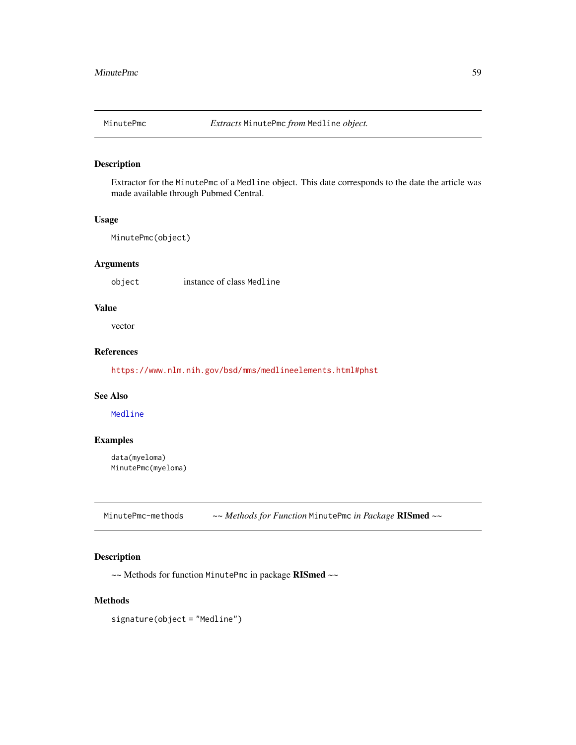Extractor for the MinutePmc of a Medline object. This date corresponds to the date the article was made available through Pubmed Central.

#### Usage

MinutePmc(object)

## Arguments

object instance of class Medline

### Value

vector

# References

<https://www.nlm.nih.gov/bsd/mms/medlineelements.html#phst>

### See Also

[Medline](#page-46-0)

### Examples

data(myeloma) MinutePmc(myeloma)

MinutePmc-methods *~~ Methods for Function* MinutePmc *in Package* RISmed *~~*

# Description

~~ Methods for function MinutePmc in package RISmed ~~

#### Methods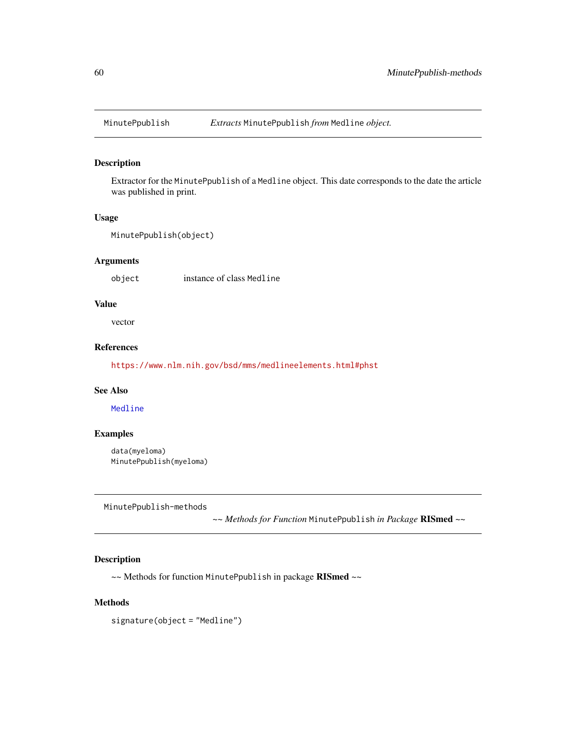Extractor for the MinutePpublish of a Medline object. This date corresponds to the date the article was published in print.

#### Usage

MinutePpublish(object)

#### Arguments

object instance of class Medline

### Value

vector

# References

<https://www.nlm.nih.gov/bsd/mms/medlineelements.html#phst>

#### See Also

[Medline](#page-46-0)

## Examples

data(myeloma) MinutePpublish(myeloma)

MinutePpublish-methods

*~~ Methods for Function* MinutePpublish *in Package* RISmed *~~*

### Description

~~ Methods for function MinutePpublish in package RISmed ~~

## Methods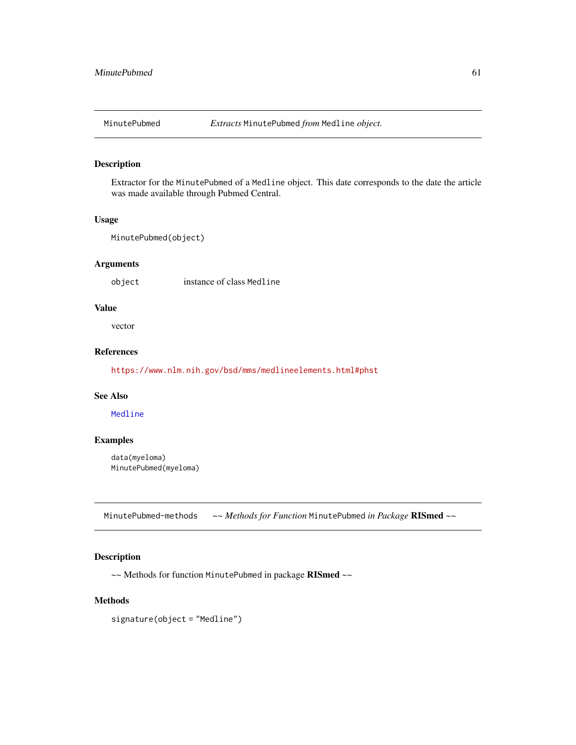Extractor for the MinutePubmed of a Medline object. This date corresponds to the date the article was made available through Pubmed Central.

#### Usage

```
MinutePubmed(object)
```
## Arguments

object instance of class Medline

### Value

vector

# References

<https://www.nlm.nih.gov/bsd/mms/medlineelements.html#phst>

### See Also

[Medline](#page-46-0)

### Examples

data(myeloma) MinutePubmed(myeloma)

MinutePubmed-methods *~~ Methods for Function* MinutePubmed *in Package* RISmed *~~*

## Description

~~ Methods for function MinutePubmed in package RISmed ~~

#### Methods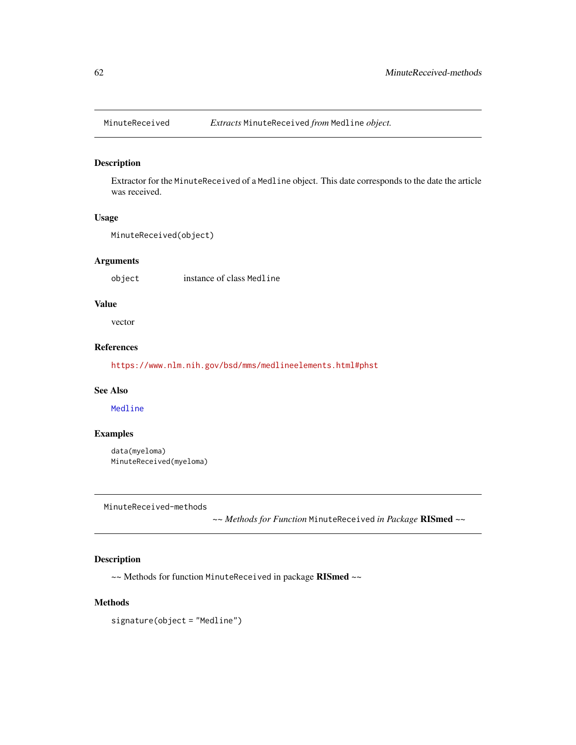Extractor for the MinuteReceived of a Medline object. This date corresponds to the date the article was received.

#### Usage

MinuteReceived(object)

## Arguments

object instance of class Medline

### Value

vector

# References

<https://www.nlm.nih.gov/bsd/mms/medlineelements.html#phst>

#### See Also

[Medline](#page-46-0)

## Examples

data(myeloma) MinuteReceived(myeloma)

MinuteReceived-methods

*~~ Methods for Function* MinuteReceived *in Package* RISmed *~~*

# Description

~~ Methods for function MinuteReceived in package RISmed ~~

## Methods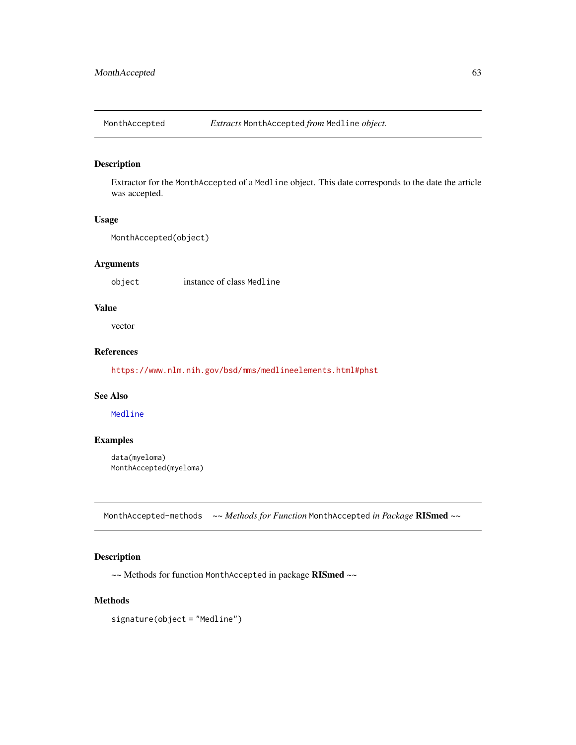Extractor for the MonthAccepted of a Medline object. This date corresponds to the date the article was accepted.

#### Usage

```
MonthAccepted(object)
```
## Arguments

object instance of class Medline

## Value

vector

# References

<https://www.nlm.nih.gov/bsd/mms/medlineelements.html#phst>

### See Also

[Medline](#page-46-0)

### Examples

data(myeloma) MonthAccepted(myeloma)

MonthAccepted-methods *~~ Methods for Function* MonthAccepted *in Package* RISmed *~~*

## Description

~~ Methods for function MonthAccepted in package RISmed ~~

#### Methods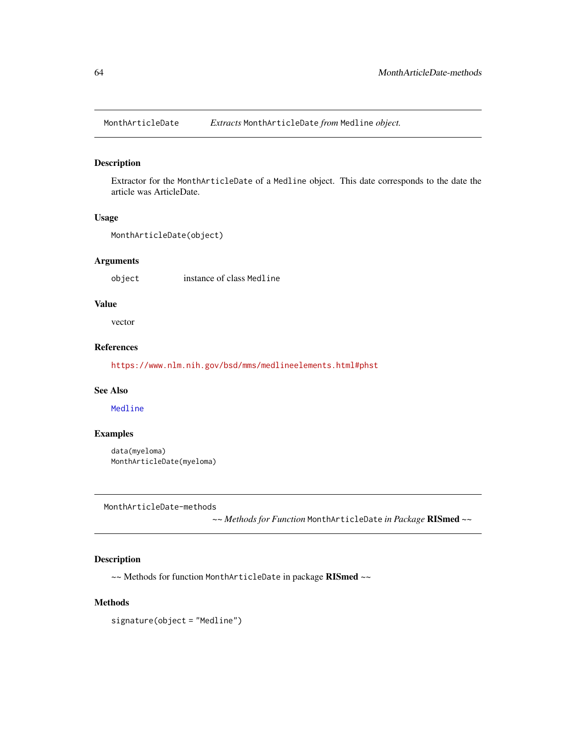MonthArticleDate *Extracts* MonthArticleDate *from* Medline *object.*

#### Description

Extractor for the MonthArticleDate of a Medline object. This date corresponds to the date the article was ArticleDate.

#### Usage

```
MonthArticleDate(object)
```
#### Arguments

object instance of class Medline

### Value

vector

# References

<https://www.nlm.nih.gov/bsd/mms/medlineelements.html#phst>

#### See Also

[Medline](#page-46-0)

## Examples

data(myeloma) MonthArticleDate(myeloma)

MonthArticleDate-methods

*~~ Methods for Function* MonthArticleDate *in Package* RISmed *~~*

### Description

~~ Methods for function MonthArticleDate in package RISmed ~~

# Methods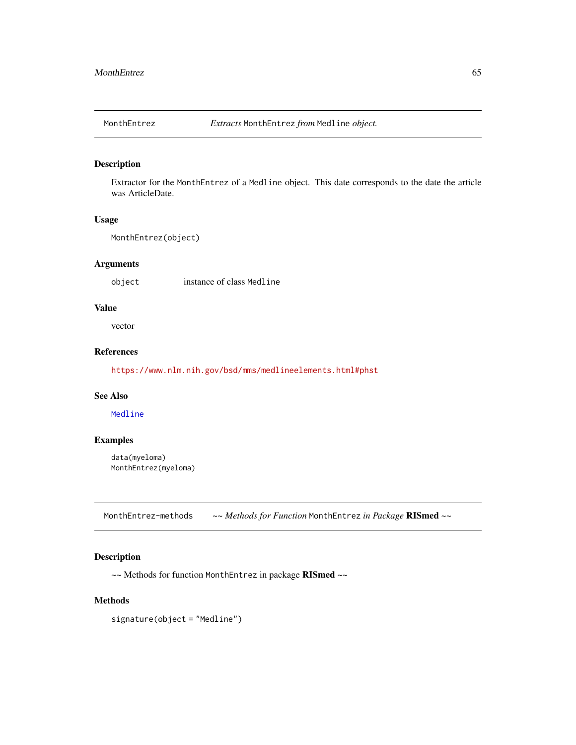Extractor for the MonthEntrez of a Medline object. This date corresponds to the date the article was ArticleDate.

### Usage

```
MonthEntrez(object)
```
## Arguments

object instance of class Medline

## Value

vector

# References

<https://www.nlm.nih.gov/bsd/mms/medlineelements.html#phst>

### See Also

[Medline](#page-46-0)

### Examples

data(myeloma) MonthEntrez(myeloma)

MonthEntrez-methods *~~ Methods for Function* MonthEntrez *in Package* RISmed *~~*

# Description

~~ Methods for function MonthEntrez in package RISmed ~~

#### Methods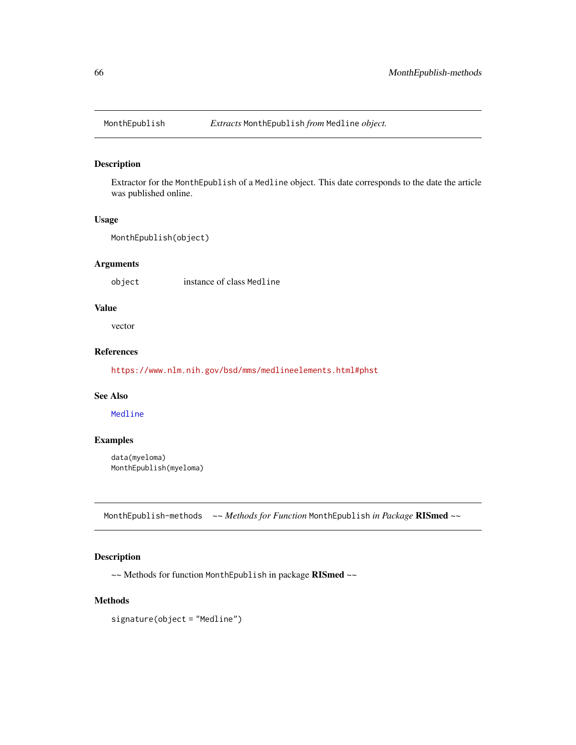Extractor for the MonthEpublish of a Medline object. This date corresponds to the date the article was published online.

#### Usage

```
MonthEpublish(object)
```
## Arguments

object instance of class Medline

## Value

vector

# References

<https://www.nlm.nih.gov/bsd/mms/medlineelements.html#phst>

### See Also

[Medline](#page-46-0)

### Examples

data(myeloma) MonthEpublish(myeloma)

MonthEpublish-methods *~~ Methods for Function* MonthEpublish *in Package* RISmed *~~*

## Description

~~ Methods for function MonthEpublish in package RISmed ~~

#### Methods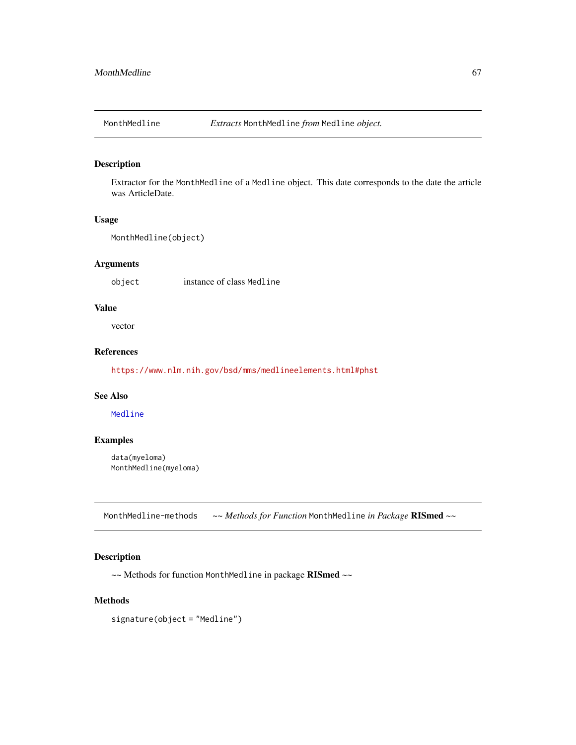Extractor for the MonthMedline of a Medline object. This date corresponds to the date the article was ArticleDate.

### Usage

```
MonthMedline(object)
```
## Arguments

object instance of class Medline

## Value

vector

# References

<https://www.nlm.nih.gov/bsd/mms/medlineelements.html#phst>

### See Also

[Medline](#page-46-0)

### Examples

data(myeloma) MonthMedline(myeloma)

MonthMedline-methods *~~ Methods for Function* MonthMedline *in Package* RISmed *~~*

## Description

~~ Methods for function MonthMedline in package RISmed ~~

#### Methods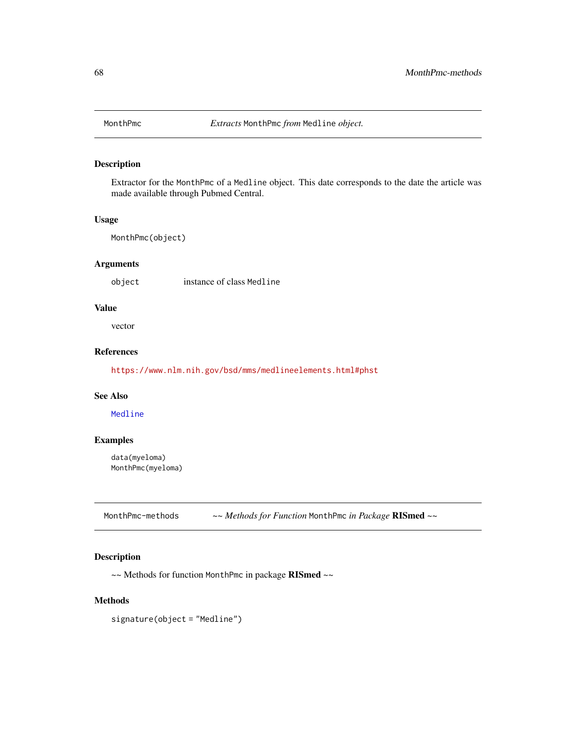Extractor for the MonthPmc of a Medline object. This date corresponds to the date the article was made available through Pubmed Central.

#### Usage

MonthPmc(object)

## Arguments

object instance of class Medline

## Value

vector

# References

<https://www.nlm.nih.gov/bsd/mms/medlineelements.html#phst>

### See Also

[Medline](#page-46-0)

### Examples

data(myeloma) MonthPmc(myeloma)

MonthPmc-methods *~~ Methods for Function* MonthPmc *in Package* RISmed *~~*

# Description

~~ Methods for function MonthPmc in package RISmed ~~

#### Methods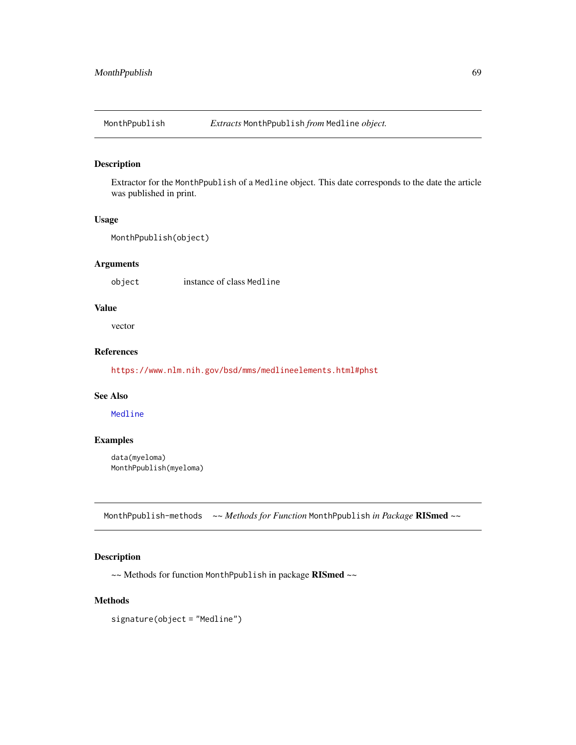Extractor for the MonthPpublish of a Medline object. This date corresponds to the date the article was published in print.

#### Usage

```
MonthPpublish(object)
```
## Arguments

object instance of class Medline

### Value

vector

# References

<https://www.nlm.nih.gov/bsd/mms/medlineelements.html#phst>

# See Also

[Medline](#page-46-0)

### Examples

data(myeloma) MonthPpublish(myeloma)

MonthPpublish-methods *~~ Methods for Function* MonthPpublish *in Package* RISmed *~~*

## Description

~~ Methods for function MonthPpublish in package RISmed ~~

#### Methods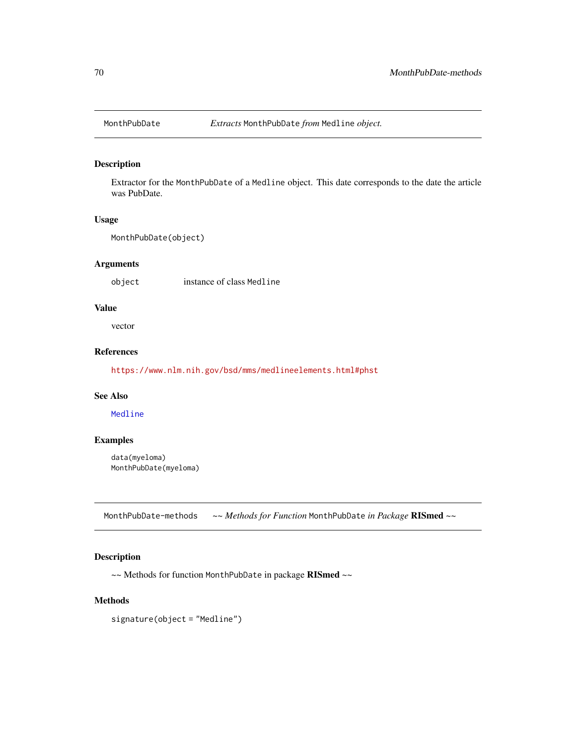Extractor for the MonthPubDate of a Medline object. This date corresponds to the date the article was PubDate.

### Usage

```
MonthPubDate(object)
```
## Arguments

object instance of class Medline

## Value

vector

# References

<https://www.nlm.nih.gov/bsd/mms/medlineelements.html#phst>

### See Also

[Medline](#page-46-0)

### Examples

data(myeloma) MonthPubDate(myeloma)

MonthPubDate-methods *~~ Methods for Function* MonthPubDate *in Package* RISmed *~~*

## Description

~~ Methods for function MonthPubDate in package RISmed ~~

#### Methods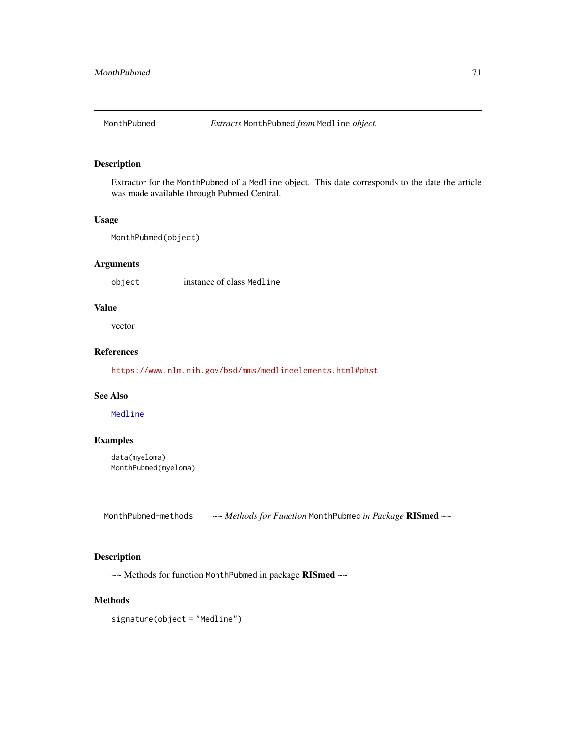Extractor for the MonthPubmed of a Medline object. This date corresponds to the date the article was made available through Pubmed Central.

#### Usage

MonthPubmed(object)

## Arguments

object instance of class Medline

## Value

vector

# References

<https://www.nlm.nih.gov/bsd/mms/medlineelements.html#phst>

### See Also

[Medline](#page-46-0)

### Examples

data(myeloma) MonthPubmed(myeloma)

MonthPubmed-methods *~~ Methods for Function* MonthPubmed *in Package* RISmed *~~*

# Description

~~ Methods for function MonthPubmed in package RISmed ~~

#### Methods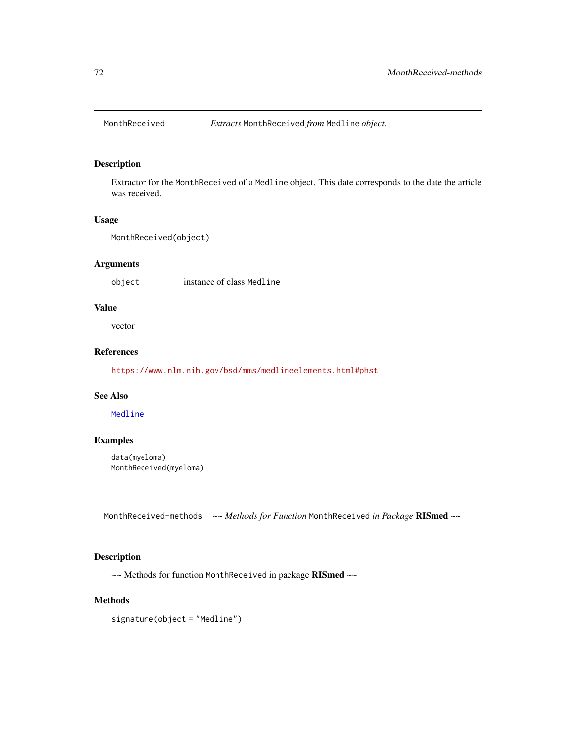Extractor for the MonthReceived of a Medline object. This date corresponds to the date the article was received.

### Usage

MonthReceived(object)

## Arguments

object instance of class Medline

### Value

vector

# References

<https://www.nlm.nih.gov/bsd/mms/medlineelements.html#phst>

### See Also

[Medline](#page-46-0)

### Examples

data(myeloma) MonthReceived(myeloma)

MonthReceived-methods *~~ Methods for Function* MonthReceived *in Package* RISmed *~~*

## Description

~~ Methods for function MonthReceived in package RISmed ~~

#### Methods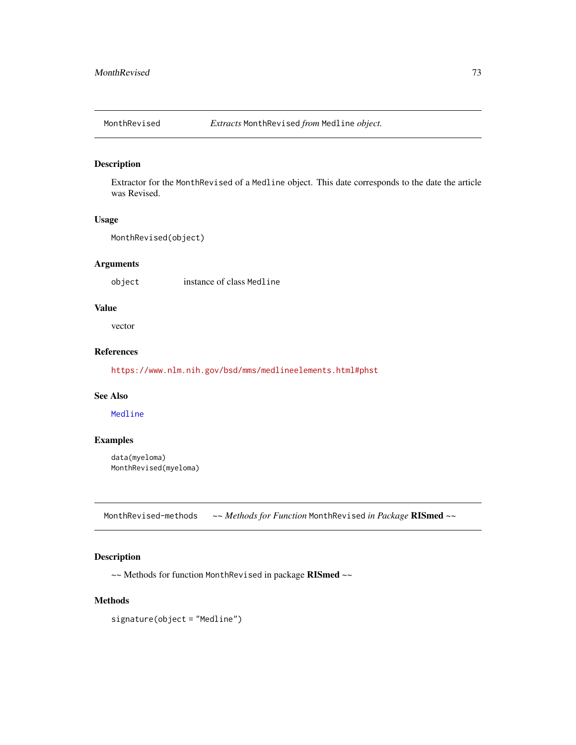<span id="page-72-0"></span>

Extractor for the MonthRevised of a Medline object. This date corresponds to the date the article was Revised.

#### Usage

```
MonthRevised(object)
```
## Arguments

object instance of class Medline

## Value

vector

## References

<https://www.nlm.nih.gov/bsd/mms/medlineelements.html#phst>

## See Also

[Medline](#page-46-0)

## Examples

data(myeloma) MonthRevised(myeloma)

MonthRevised-methods *~~ Methods for Function* MonthRevised *in Package* RISmed *~~*

## Description

~~ Methods for function MonthRevised in package RISmed ~~

## Methods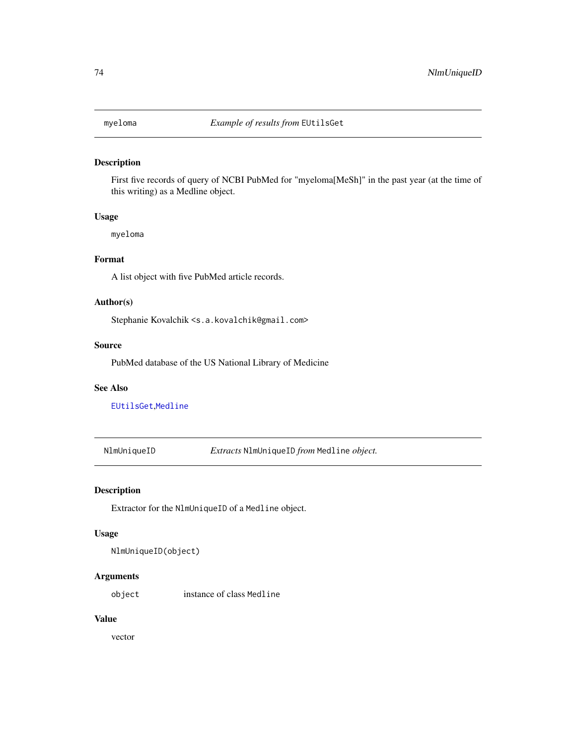<span id="page-73-0"></span>

First five records of query of NCBI PubMed for "myeloma[MeSh]" in the past year (at the time of this writing) as a Medline object.

## Usage

myeloma

## Format

A list object with five PubMed article records.

#### Author(s)

Stephanie Kovalchik <s.a.kovalchik@gmail.com>

#### Source

PubMed database of the US National Library of Medicine

#### See Also

[EUtilsGet](#page-27-0),[Medline](#page-46-0)

NlmUniqueID *Extracts* NlmUniqueID *from* Medline *object.*

## Description

Extractor for the NlmUniqueID of a Medline object.

#### Usage

```
NlmUniqueID(object)
```
## Arguments

object instance of class Medline

#### Value

vector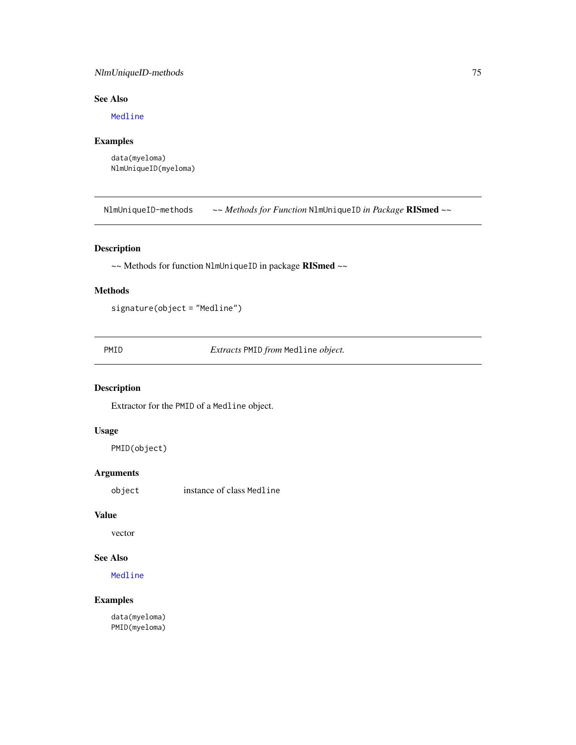## <span id="page-74-0"></span>NlmUniqueID-methods 75

## See Also

[Medline](#page-46-0)

## Examples

data(myeloma) NlmUniqueID(myeloma)

NlmUniqueID-methods *~~ Methods for Function* NlmUniqueID *in Package* RISmed *~~*

## Description

~~ Methods for function NlmUniqueID in package RISmed ~~

## Methods

signature(object = "Medline")

PMID *Extracts* PMID *from* Medline *object.*

## Description

Extractor for the PMID of a Medline object.

## Usage

PMID(object)

## Arguments

object instance of class Medline

## Value

vector

## See Also

[Medline](#page-46-0)

## Examples

data(myeloma) PMID(myeloma)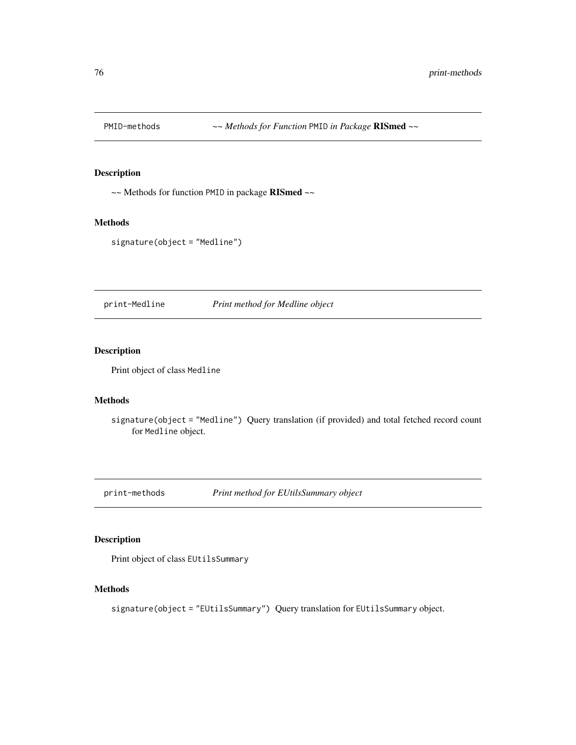<span id="page-75-0"></span>

~~ Methods for function PMID in package RISmed ~~

## Methods

signature(object = "Medline")

print-Medline *Print method for Medline object*

## Description

Print object of class Medline

#### Methods

signature(object = "Medline") Query translation (if provided) and total fetched record count for Medline object.

print-methods *Print method for EUtilsSummary object*

## Description

Print object of class EUtilsSummary

## Methods

signature(object = "EUtilsSummary") Query translation for EUtilsSummary object.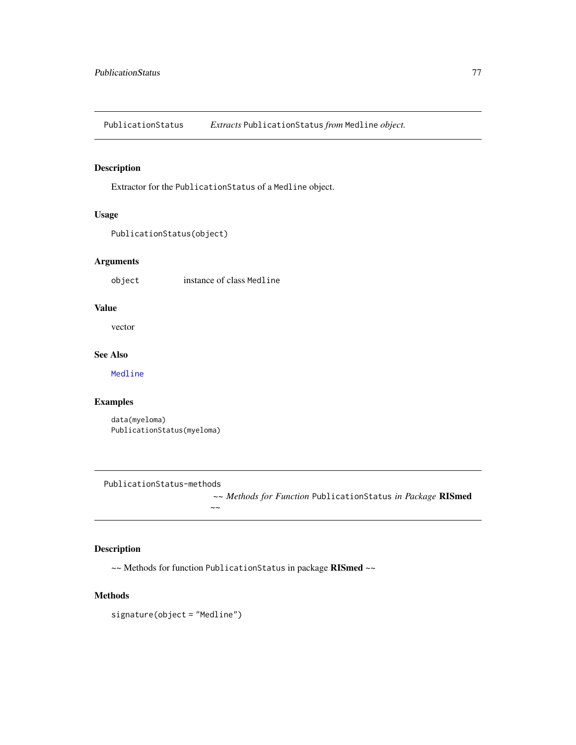<span id="page-76-0"></span>PublicationStatus *Extracts* PublicationStatus *from* Medline *object.*

## Description

Extractor for the PublicationStatus of a Medline object.

## Usage

```
PublicationStatus(object)
```
## Arguments

object instance of class Medline

#### Value

vector

## See Also

[Medline](#page-46-0)

## Examples

data(myeloma) PublicationStatus(myeloma)

PublicationStatus-methods

*~~ Methods for Function* PublicationStatus *in Package* RISmed

```
~~
```
## Description

~~ Methods for function PublicationStatus in package RISmed ~~

#### Methods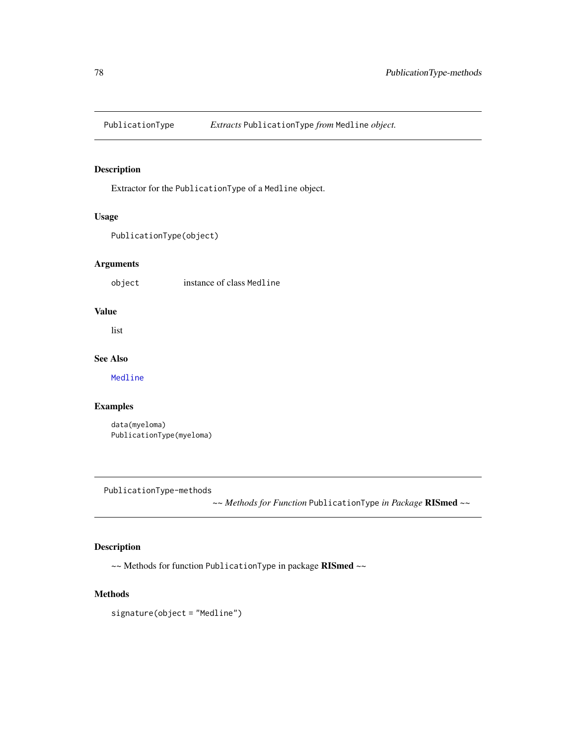<span id="page-77-0"></span>

Extractor for the PublicationType of a Medline object.

## Usage

PublicationType(object)

## Arguments

object instance of class Medline

## Value

list

## See Also

[Medline](#page-46-0)

## Examples

data(myeloma) PublicationType(myeloma)

PublicationType-methods

*~~ Methods for Function* PublicationType *in Package* RISmed *~~*

## Description

~~ Methods for function PublicationType in package RISmed ~~

## Methods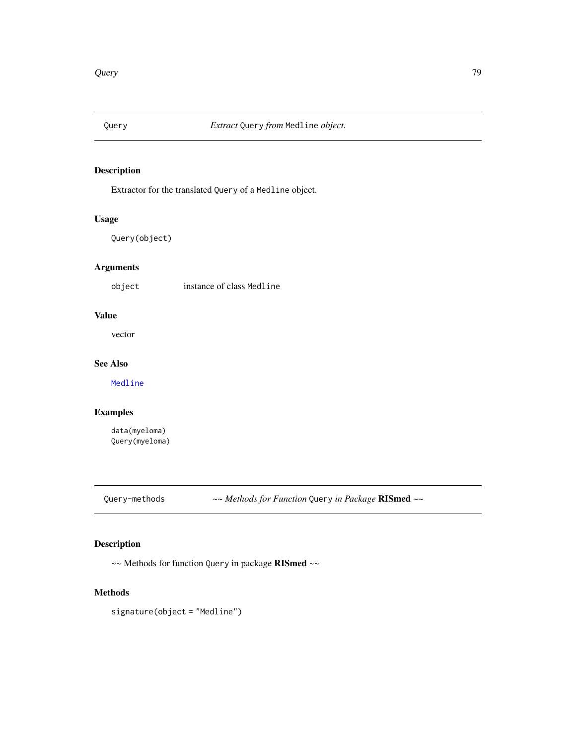<span id="page-78-0"></span>

Extractor for the translated Query of a Medline object.

## Usage

Query(object)

## Arguments

object instance of class Medline

## Value

vector

## See Also

[Medline](#page-46-0)

## Examples

data(myeloma) Query(myeloma)

Query-methods *~~ Methods for Function* Query *in Package* RISmed *~~*

## Description

~~ Methods for function Query in package RISmed ~~

## Methods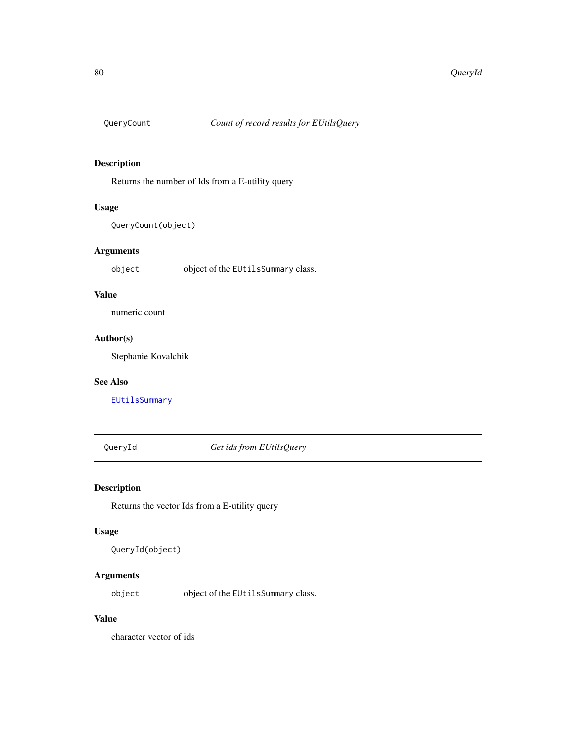<span id="page-79-0"></span>

Returns the number of Ids from a E-utility query

## Usage

QueryCount(object)

## Arguments

object object of the EUtilsSummary class.

## Value

numeric count

## Author(s)

Stephanie Kovalchik

#### See Also

[EUtilsSummary](#page-29-0)

QueryId *Get ids from EUtilsQuery*

## Description

Returns the vector Ids from a E-utility query

#### Usage

QueryId(object)

## Arguments

object object of the EUtilsSummary class.

## Value

character vector of ids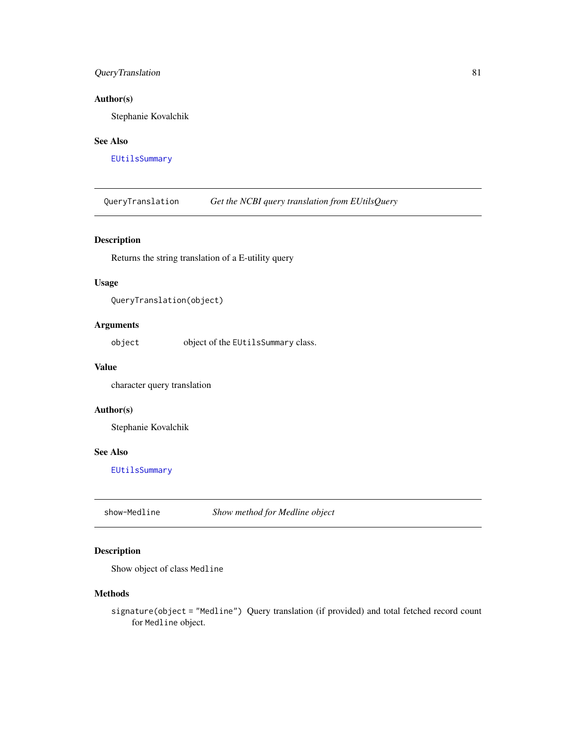## <span id="page-80-0"></span>QueryTranslation 81

## Author(s)

Stephanie Kovalchik

#### See Also

[EUtilsSummary](#page-29-0)

QueryTranslation *Get the NCBI query translation from EUtilsQuery*

## Description

Returns the string translation of a E-utility query

#### Usage

```
QueryTranslation(object)
```
## Arguments

object object of the EUtilsSummary class.

## Value

character query translation

#### Author(s)

Stephanie Kovalchik

#### See Also

[EUtilsSummary](#page-29-0)

show-Medline *Show method for Medline object*

## Description

Show object of class Medline

#### Methods

signature(object = "Medline") Query translation (if provided) and total fetched record count for Medline object.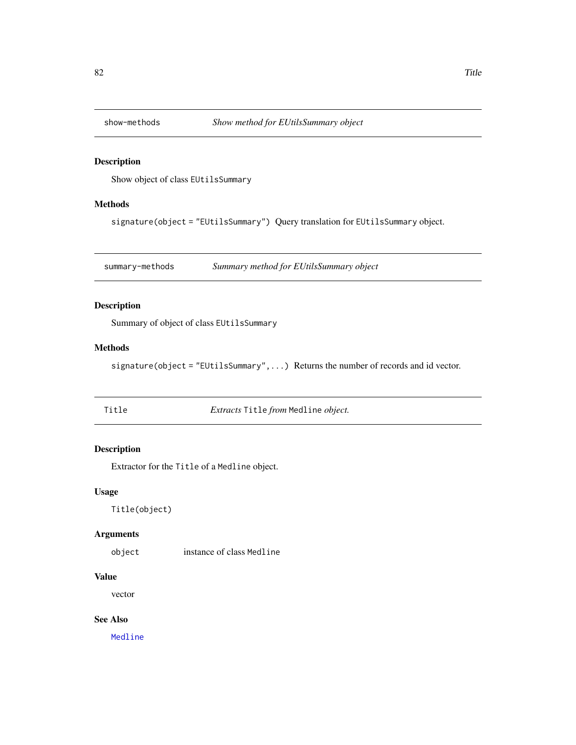<span id="page-81-0"></span>

Show object of class EUtilsSummary

## Methods

signature(object = "EUtilsSummary") Query translation for EUtilsSummary object.

summary-methods *Summary method for EUtilsSummary object*

## Description

Summary of object of class EUtilsSummary

#### Methods

signature(object = "EUtilsSummary", ...) Returns the number of records and id vector.

| × | ۰, |  |
|---|----|--|

Title *Extracts* Title *from* Medline *object.*

## Description

Extractor for the Title of a Medline object.

#### Usage

Title(object)

#### Arguments

object instance of class Medline

## Value

vector

## See Also

[Medline](#page-46-0)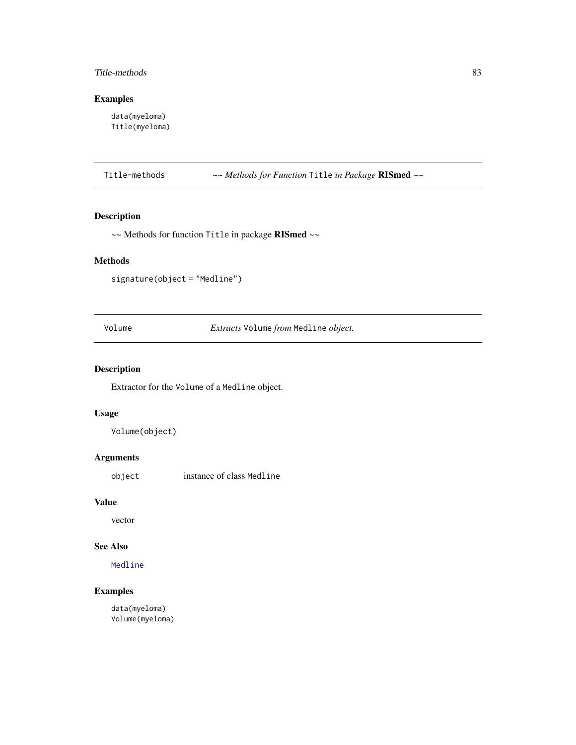## <span id="page-82-0"></span>Title-methods 83

## Examples

data(myeloma) Title(myeloma)

Title-methods *~~ Methods for Function* Title *in Package* RISmed *~~*

## Description

~~ Methods for function Title in package RISmed ~~

## Methods

signature(object = "Medline")

Volume *Extracts* Volume *from* Medline *object.*

## Description

Extractor for the Volume of a Medline object.

## Usage

Volume(object)

## Arguments

object instance of class Medline

## Value

vector

## See Also

[Medline](#page-46-0)

## Examples

data(myeloma) Volume(myeloma)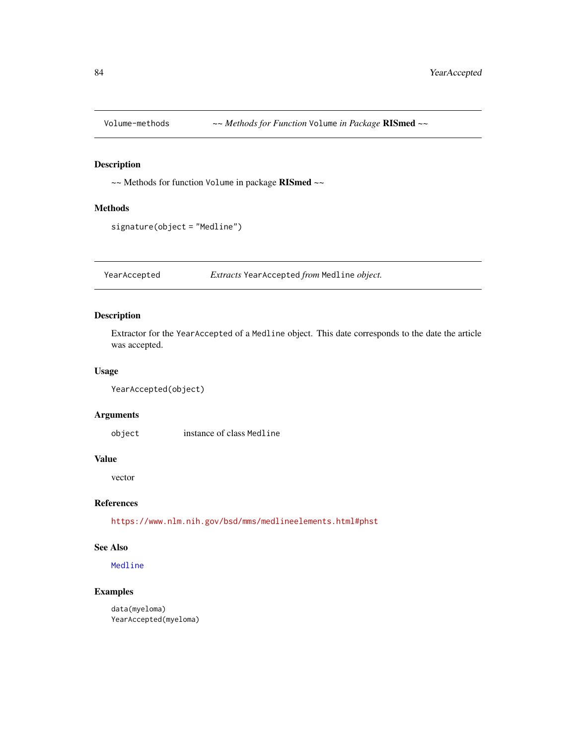<span id="page-83-0"></span>

~~ Methods for function Volume in package RISmed ~~

#### Methods

```
signature(object = "Medline")
```
YearAccepted *Extracts* YearAccepted *from* Medline *object.*

## Description

Extractor for the YearAccepted of a Medline object. This date corresponds to the date the article was accepted.

#### Usage

```
YearAccepted(object)
```
## Arguments

object instance of class Medline

#### Value

vector

## References

<https://www.nlm.nih.gov/bsd/mms/medlineelements.html#phst>

## See Also

[Medline](#page-46-0)

## Examples

data(myeloma) YearAccepted(myeloma)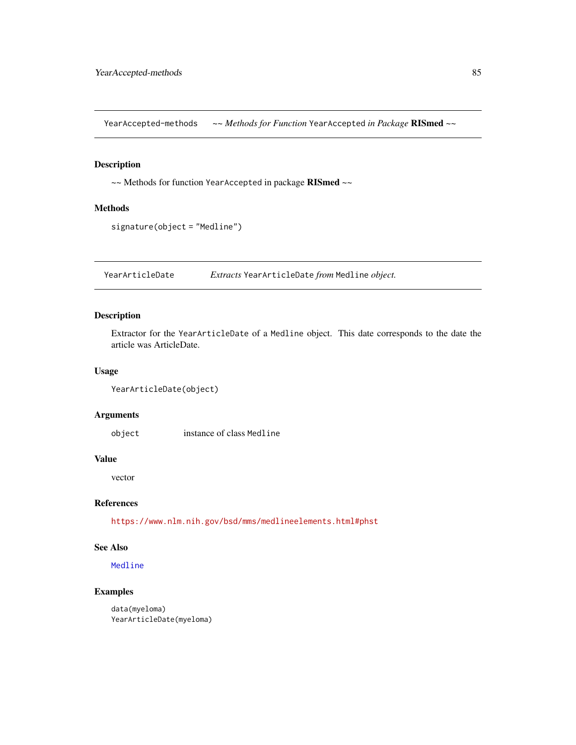<span id="page-84-0"></span>YearAccepted-methods *~~ Methods for Function* YearAccepted *in Package* RISmed *~~*

#### Description

~~ Methods for function YearAccepted in package RISmed ~~

#### Methods

signature(object = "Medline")

YearArticleDate *Extracts* YearArticleDate *from* Medline *object.*

## Description

Extractor for the YearArticleDate of a Medline object. This date corresponds to the date the article was ArticleDate.

#### Usage

```
YearArticleDate(object)
```
## Arguments

object instance of class Medline

#### Value

vector

## References

<https://www.nlm.nih.gov/bsd/mms/medlineelements.html#phst>

## See Also

[Medline](#page-46-0)

## Examples

```
data(myeloma)
YearArticleDate(myeloma)
```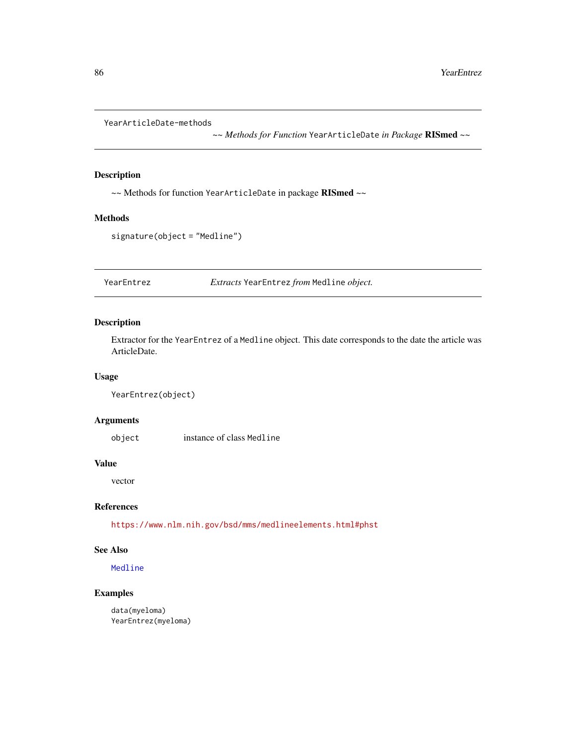<span id="page-85-0"></span>YearArticleDate-methods

*~~ Methods for Function* YearArticleDate *in Package* RISmed *~~*

## Description

~~ Methods for function YearArticleDate in package RISmed ~~

#### Methods

signature(object = "Medline")

YearEntrez *Extracts* YearEntrez *from* Medline *object.*

## Description

Extractor for the YearEntrez of a Medline object. This date corresponds to the date the article was ArticleDate.

#### Usage

```
YearEntrez(object)
```
## Arguments

object instance of class Medline

## Value

vector

## References

<https://www.nlm.nih.gov/bsd/mms/medlineelements.html#phst>

## See Also

[Medline](#page-46-0)

## Examples

data(myeloma) YearEntrez(myeloma)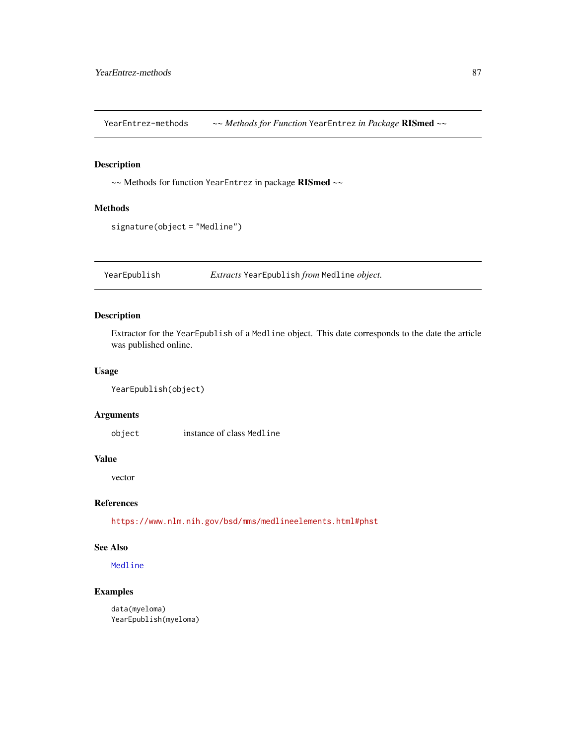<span id="page-86-0"></span>YearEntrez-methods *~~ Methods for Function* YearEntrez *in Package* RISmed *~~*

#### Description

~~ Methods for function YearEntrez in package RISmed ~~

#### Methods

```
signature(object = "Medline")
```
YearEpublish *Extracts* YearEpublish *from* Medline *object.*

## Description

Extractor for the YearEpublish of a Medline object. This date corresponds to the date the article was published online.

#### Usage

```
YearEpublish(object)
```
#### Arguments

object instance of class Medline

#### Value

vector

## References

<https://www.nlm.nih.gov/bsd/mms/medlineelements.html#phst>

## See Also

[Medline](#page-46-0)

## Examples

data(myeloma) YearEpublish(myeloma)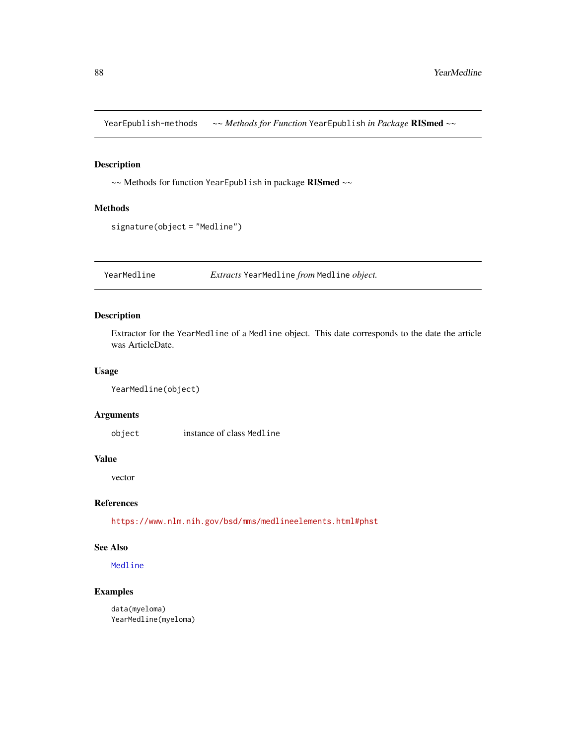<span id="page-87-0"></span>YearEpublish-methods *~~ Methods for Function* YearEpublish *in Package* RISmed *~~*

## Description

~~ Methods for function YearEpublish in package RISmed ~~

#### Methods

signature(object = "Medline")

YearMedline *Extracts* YearMedline *from* Medline *object.*

## Description

Extractor for the YearMedline of a Medline object. This date corresponds to the date the article was ArticleDate.

#### Usage

```
YearMedline(object)
```
#### Arguments

object instance of class Medline

#### Value

vector

## References

<https://www.nlm.nih.gov/bsd/mms/medlineelements.html#phst>

## See Also

[Medline](#page-46-0)

## Examples

data(myeloma) YearMedline(myeloma)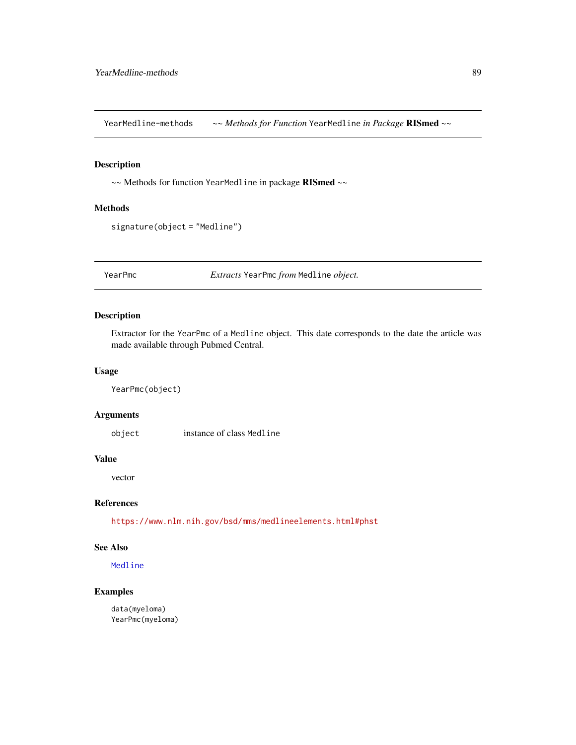<span id="page-88-0"></span>YearMedline-methods *~~ Methods for Function* YearMedline *in Package* RISmed *~~*

#### Description

~~ Methods for function YearMedline in package RISmed ~~

#### Methods

signature(object = "Medline")

YearPmc *Extracts* YearPmc *from* Medline *object.*

## Description

Extractor for the YearPmc of a Medline object. This date corresponds to the date the article was made available through Pubmed Central.

#### Usage

YearPmc(object)

#### Arguments

object instance of class Medline

#### Value

vector

## References

<https://www.nlm.nih.gov/bsd/mms/medlineelements.html#phst>

## See Also

[Medline](#page-46-0)

## Examples

data(myeloma) YearPmc(myeloma)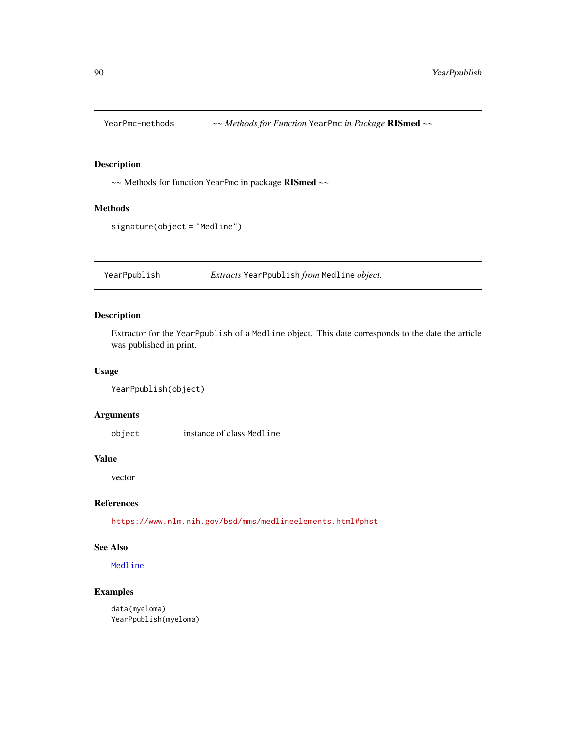<span id="page-89-0"></span>

~~ Methods for function YearPmc in package RISmed ~~

#### Methods

```
signature(object = "Medline")
```
YearPpublish *Extracts* YearPpublish *from* Medline *object.*

## Description

Extractor for the YearPpublish of a Medline object. This date corresponds to the date the article was published in print.

#### Usage

```
YearPpublish(object)
```
#### Arguments

object instance of class Medline

#### Value

vector

## References

<https://www.nlm.nih.gov/bsd/mms/medlineelements.html#phst>

## See Also

[Medline](#page-46-0)

## Examples

data(myeloma) YearPpublish(myeloma)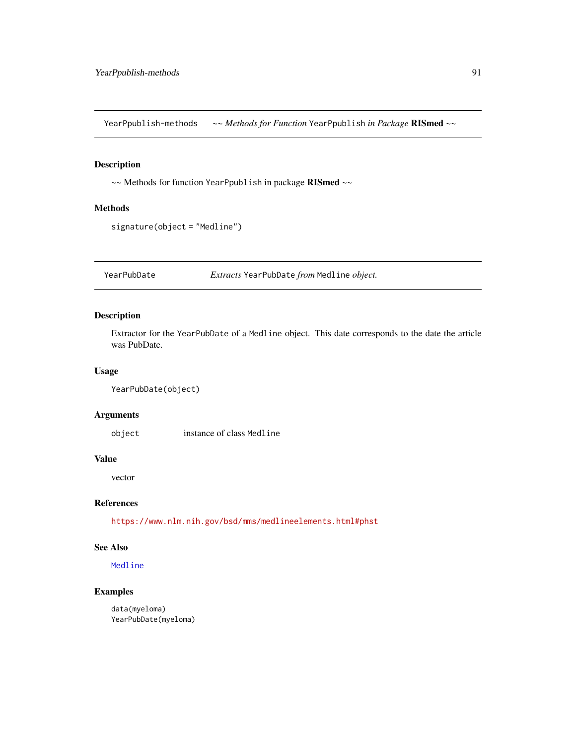<span id="page-90-0"></span>YearPpublish-methods *~~ Methods for Function* YearPpublish *in Package* RISmed *~~*

#### Description

~~ Methods for function YearPpublish in package RISmed ~~

#### Methods

signature(object = "Medline")

YearPubDate *Extracts* YearPubDate *from* Medline *object.*

## Description

Extractor for the YearPubDate of a Medline object. This date corresponds to the date the article was PubDate.

#### Usage

```
YearPubDate(object)
```
## Arguments

object instance of class Medline

#### Value

vector

## References

<https://www.nlm.nih.gov/bsd/mms/medlineelements.html#phst>

## See Also

[Medline](#page-46-0)

## Examples

data(myeloma) YearPubDate(myeloma)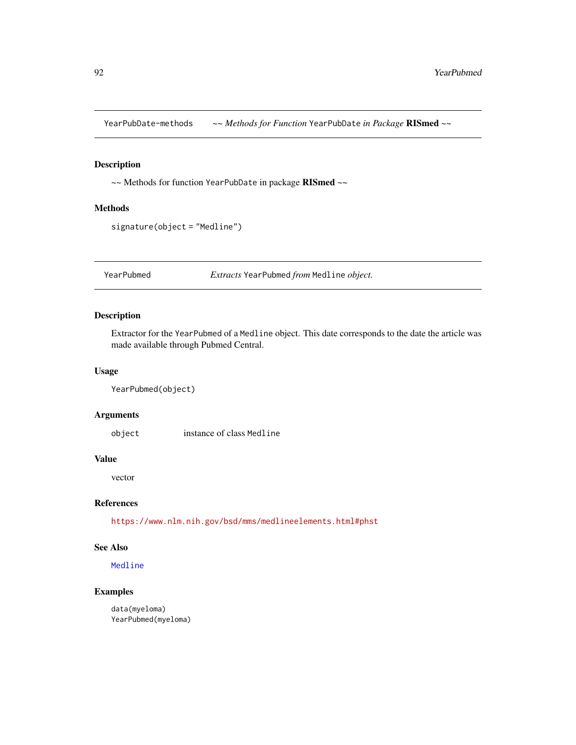<span id="page-91-0"></span>YearPubDate-methods *~~ Methods for Function* YearPubDate *in Package* RISmed *~~*

## Description

~~ Methods for function YearPubDate in package RISmed ~~

#### Methods

signature(object = "Medline")

YearPubmed *Extracts* YearPubmed *from* Medline *object.*

#### Description

Extractor for the YearPubmed of a Medline object. This date corresponds to the date the article was made available through Pubmed Central.

#### Usage

```
YearPubmed(object)
```
## Arguments

object instance of class Medline

#### Value

vector

## References

<https://www.nlm.nih.gov/bsd/mms/medlineelements.html#phst>

## See Also

[Medline](#page-46-0)

## Examples

data(myeloma) YearPubmed(myeloma)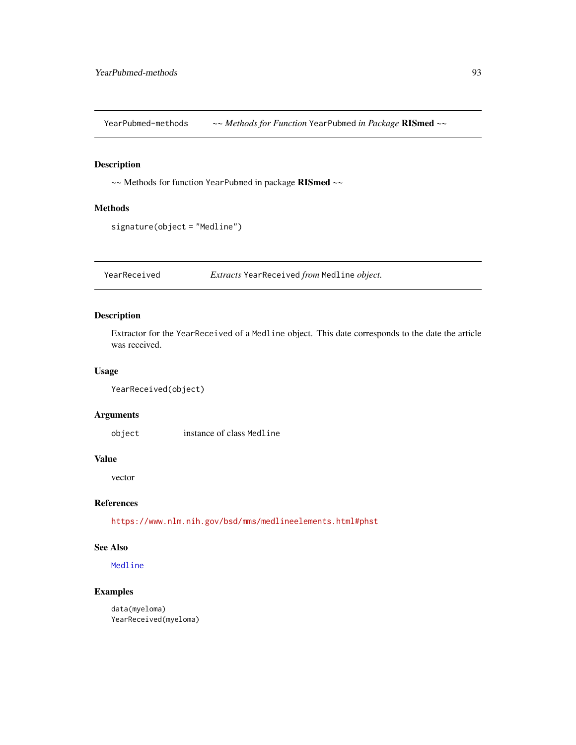<span id="page-92-0"></span>YearPubmed-methods *~~ Methods for Function* YearPubmed *in Package* RISmed *~~*

#### Description

~~ Methods for function YearPubmed in package RISmed ~~

#### Methods

```
signature(object = "Medline")
```
YearReceived *Extracts* YearReceived *from* Medline *object.*

## Description

Extractor for the YearReceived of a Medline object. This date corresponds to the date the article was received.

#### Usage

```
YearReceived(object)
```
#### Arguments

object instance of class Medline

#### Value

vector

## References

<https://www.nlm.nih.gov/bsd/mms/medlineelements.html#phst>

## See Also

[Medline](#page-46-0)

## Examples

data(myeloma) YearReceived(myeloma)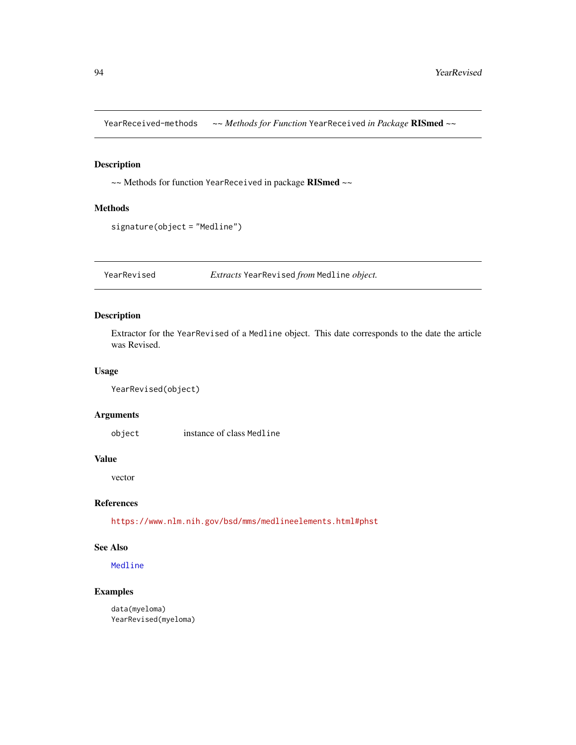<span id="page-93-0"></span>YearReceived-methods *~~ Methods for Function* YearReceived *in Package* RISmed *~~*

## Description

~~ Methods for function YearReceived in package RISmed ~~

#### Methods

signature(object = "Medline")

YearRevised *Extracts* YearRevised *from* Medline *object.*

## Description

Extractor for the YearRevised of a Medline object. This date corresponds to the date the article was Revised.

#### Usage

```
YearRevised(object)
```
## Arguments

object instance of class Medline

#### Value

vector

## References

<https://www.nlm.nih.gov/bsd/mms/medlineelements.html#phst>

## See Also

[Medline](#page-46-0)

## Examples

data(myeloma) YearRevised(myeloma)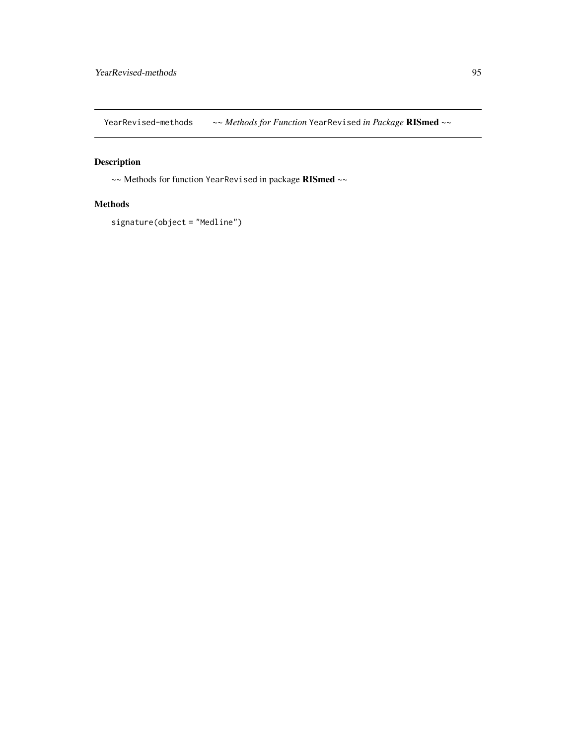<span id="page-94-0"></span>YearRevised-methods *~~ Methods for Function* YearRevised *in Package* RISmed *~~*

## Description

~~ Methods for function YearRevised in package RISmed ~~

## Methods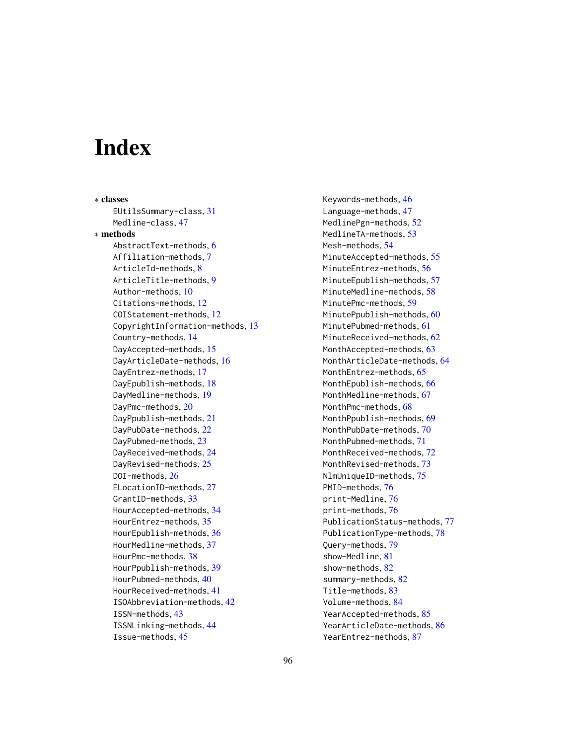# **Index**

∗ classes EUtilsSummary-class, [31](#page-30-0) Medline-class, [47](#page-46-1) ∗ methods AbstractText-methods, [6](#page-5-0) Affiliation-methods, [7](#page-6-0) ArticleId-methods, [8](#page-7-0) ArticleTitle-methods, [9](#page-8-0) Author-methods, [10](#page-9-0) Citations-methods, [12](#page-11-0) COIStatement-methods, [12](#page-11-0) CopyrightInformation-methods, [13](#page-12-0) Country-methods, [14](#page-13-0) DayAccepted-methods, [15](#page-14-0) DayArticleDate-methods, [16](#page-15-0) DayEntrez-methods, [17](#page-16-0) DayEpublish-methods, [18](#page-17-0) DayMedline-methods, [19](#page-18-0) DayPmc-methods, [20](#page-19-0) DayPpublish-methods, [21](#page-20-0) DayPubDate-methods, [22](#page-21-0) DayPubmed-methods, [23](#page-22-0) DayReceived-methods, [24](#page-23-0) DayRevised-methods, [25](#page-24-0) DOI-methods, [26](#page-25-0) ELocationID-methods, [27](#page-26-0) GrantID-methods, [33](#page-32-0) HourAccepted-methods, [34](#page-33-0) HourEntrez-methods, [35](#page-34-0) HourEpublish-methods, [36](#page-35-0) HourMedline-methods, [37](#page-36-0) HourPmc-methods, [38](#page-37-0) HourPpublish-methods, [39](#page-38-0) HourPubmed-methods, [40](#page-39-0) HourReceived-methods, [41](#page-40-0) ISOAbbreviation-methods, [42](#page-41-0) ISSN-methods, [43](#page-42-0) ISSNLinking-methods, [44](#page-43-0) Issue-methods, [45](#page-44-0)

Keywords-methods, [46](#page-45-0) Language-methods, [47](#page-46-1) MedlinePgn-methods, [52](#page-51-0) MedlineTA-methods, [53](#page-52-0) Mesh-methods, [54](#page-53-0) MinuteAccepted-methods, [55](#page-54-0) MinuteEntrez-methods, [56](#page-55-0) MinuteEpublish-methods, [57](#page-56-0) MinuteMedline-methods, [58](#page-57-0) MinutePmc-methods, [59](#page-58-0) MinutePpublish-methods, [60](#page-59-0) MinutePubmed-methods, [61](#page-60-0) MinuteReceived-methods, [62](#page-61-0) MonthAccepted-methods, [63](#page-62-0) MonthArticleDate-methods, [64](#page-63-0) MonthEntrez-methods, [65](#page-64-0) MonthEpublish-methods, [66](#page-65-0) MonthMedline-methods. [67](#page-66-0) MonthPmc-methods, [68](#page-67-0) MonthPpublish-methods, [69](#page-68-0) MonthPubDate-methods, [70](#page-69-0) MonthPubmed-methods, [71](#page-70-0) MonthReceived-methods, [72](#page-71-0) MonthRevised-methods, [73](#page-72-0) NlmUniqueID-methods, [75](#page-74-0) PMID-methods, [76](#page-75-0) print-Medline, [76](#page-75-0) print-methods, [76](#page-75-0) PublicationStatus-methods, [77](#page-76-0) PublicationType-methods, [78](#page-77-0) Query-methods, [79](#page-78-0) show-Medline, [81](#page-80-0) show-methods, [82](#page-81-0) summary-methods, [82](#page-81-0) Title-methods, [83](#page-82-0) Volume-methods, [84](#page-83-0) YearAccepted-methods, [85](#page-84-0) YearArticleDate-methods, [86](#page-85-0) YearEntrez-methods, [87](#page-86-0)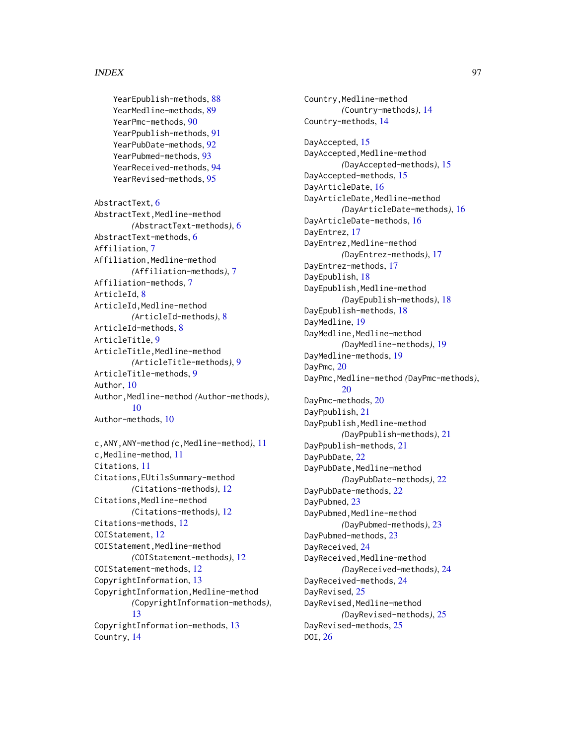#### INDEX  $\sim$  97

```
YearEpublish-methods, 88
89
YearPmc-methods, 90
YearPpublish-methods, 91
YearPubDate-methods, 92
YearPubmed-methods, 93
YearReceived-methods, 94
YearRevised-methods, 95
```

```
AbstractText, 6
AbstractText,Medline-method
        (AbstractText-methods), 6
AbstractText-methods, 6
Affiliation, 7
Affiliation,Medline-method
        (Affiliation-methods), 7
Affiliation-methods, 7
ArticleId, 8
ArticleId,Medline-method
        (ArticleId-methods), 8
ArticleId-methods, 8
ArticleTitle, 9
ArticleTitle,Medline-method
        (ArticleTitle-methods), 9
ArticleTitle-methods, 9
Author, 10
Author,Medline-method (Author-methods),
        10
Author-methods, 10
```

```
c,ANY,ANY-method (c,Medline-method), 11
c,Medline-method, 11
Citations, 11
Citations,EUtilsSummary-method
        (Citations-methods), 12
Citations,Medline-method
        (Citations-methods), 12
Citations-methods, 12
COIStatement, 12
COIStatement,Medline-method
        (COIStatement-methods), 12
COIStatement-methods, 12
CopyrightInformation, 13
CopyrightInformation,Medline-method
        (CopyrightInformation-methods),
        13
CopyrightInformation-methods, 13
Country, 14
```
Country, Medline-method *(*Country-methods*)*, [14](#page-13-0) Country-methods, [14](#page-13-0) DayAccepted, [15](#page-14-0) DayAccepted, Medline-method *(*DayAccepted-methods*)*, [15](#page-14-0) DayAccepted-methods, [15](#page-14-0) DayArticleDate, [16](#page-15-0) DayArticleDate,Medline-method *(*DayArticleDate-methods*)*, [16](#page-15-0) DayArticleDate-methods, [16](#page-15-0) DayEntrez, [17](#page-16-0) DayEntrez,Medline-method *(*DayEntrez-methods*)*, [17](#page-16-0) DayEntrez-methods, [17](#page-16-0) DayEpublish, [18](#page-17-0) DayEpublish,Medline-method *(*DayEpublish-methods*)*, [18](#page-17-0) DayEpublish-methods, [18](#page-17-0) DayMedline, [19](#page-18-0) DayMedline, Medline-method *(*DayMedline-methods*)*, [19](#page-18-0) DayMedline-methods, [19](#page-18-0) DayPmc, [20](#page-19-0) DayPmc,Medline-method *(*DayPmc-methods*)*, [20](#page-19-0) DayPmc-methods, [20](#page-19-0) DayPpublish, [21](#page-20-0) DayPpublish,Medline-method *(*DayPpublish-methods*)*, [21](#page-20-0) DayPpublish-methods, [21](#page-20-0) DayPubDate, [22](#page-21-0) DayPubDate,Medline-method *(*DayPubDate-methods*)*, [22](#page-21-0) DayPubDate-methods, [22](#page-21-0) DayPubmed, [23](#page-22-0) DayPubmed, Medline-method *(*DayPubmed-methods*)*, [23](#page-22-0) DayPubmed-methods, [23](#page-22-0) DayReceived, [24](#page-23-0) DayReceived,Medline-method *(*DayReceived-methods*)*, [24](#page-23-0) DayReceived-methods, [24](#page-23-0) DayRevised, [25](#page-24-0) DayRevised,Medline-method *(*DayRevised-methods*)*, [25](#page-24-0) DayRevised-methods, [25](#page-24-0) DOI, [26](#page-25-0)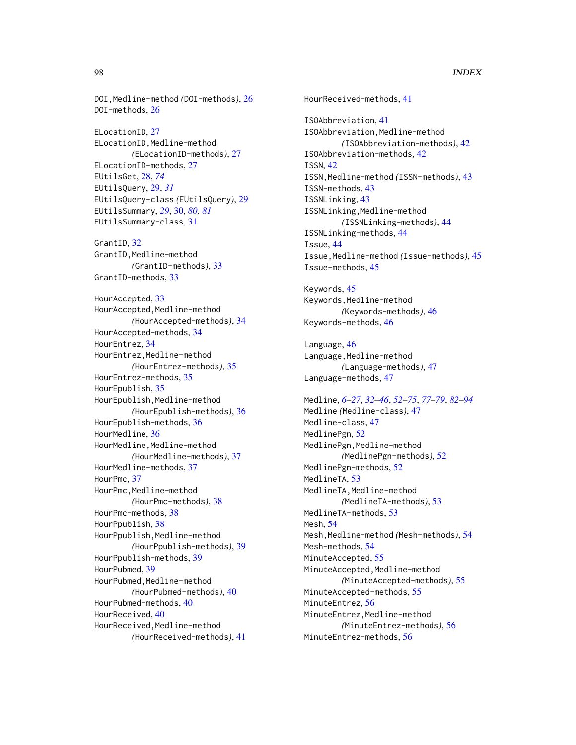DOI,Medline-method *(*DOI-methods*)*, [26](#page-25-0) DOI-methods, [26](#page-25-0) ELocationID, [27](#page-26-0) ELocationID,Medline-method *(*ELocationID-methods*)*, [27](#page-26-0) ELocationID-methods, [27](#page-26-0) EUtilsGet, [28,](#page-27-1) *[74](#page-73-0)* EUtilsQuery, [29,](#page-28-0) *[31](#page-30-0)* EUtilsQuery-class *(*EUtilsQuery*)*, [29](#page-28-0) EUtilsSummary, *[29](#page-28-0)*, [30,](#page-29-1) *[80,](#page-79-0) [81](#page-80-0)* EUtilsSummary-class, [31](#page-30-0) GrantID, [32](#page-31-0) GrantID, Medline-method *(*GrantID-methods*)*, [33](#page-32-0) GrantID-methods, [33](#page-32-0) HourAccepted, [33](#page-32-0) HourAccepted,Medline-method *(*HourAccepted-methods*)*, [34](#page-33-0) HourAccepted-methods, [34](#page-33-0) HourEntrez, [34](#page-33-0) HourEntrez,Medline-method *(*HourEntrez-methods*)*, [35](#page-34-0) HourEntrez-methods, [35](#page-34-0) HourEpublish, [35](#page-34-0) HourEpublish,Medline-method *(*HourEpublish-methods*)*, [36](#page-35-0) HourEpublish-methods, [36](#page-35-0) HourMedline, [36](#page-35-0) HourMedline,Medline-method *(*HourMedline-methods*)*, [37](#page-36-0) HourMedline-methods, [37](#page-36-0) HourPmc, [37](#page-36-0) HourPmc,Medline-method *(*HourPmc-methods*)*, [38](#page-37-0) HourPmc-methods, [38](#page-37-0) HourPpublish, [38](#page-37-0) HourPpublish,Medline-method *(*HourPpublish-methods*)*, [39](#page-38-0) HourPpublish-methods, [39](#page-38-0) HourPubmed, [39](#page-38-0) HourPubmed,Medline-method *(*HourPubmed-methods*)*, [40](#page-39-0) HourPubmed-methods, [40](#page-39-0) HourReceived, [40](#page-39-0) HourReceived,Medline-method *(*HourReceived-methods*)*, [41](#page-40-0)

HourReceived-methods, [41](#page-40-0) ISOAbbreviation, [41](#page-40-0) ISOAbbreviation,Medline-method *(*ISOAbbreviation-methods*)*, [42](#page-41-0) ISOAbbreviation-methods, [42](#page-41-0) ISSN, [42](#page-41-0) ISSN,Medline-method *(*ISSN-methods*)*, [43](#page-42-0) ISSN-methods, [43](#page-42-0) ISSNLinking, [43](#page-42-0) ISSNLinking,Medline-method *(*ISSNLinking-methods*)*, [44](#page-43-0) ISSNLinking-methods, [44](#page-43-0) Issue, [44](#page-43-0) Issue,Medline-method *(*Issue-methods*)*, [45](#page-44-0) Issue-methods, [45](#page-44-0) Keywords, [45](#page-44-0) Keywords,Medline-method *(*Keywords-methods*)*, [46](#page-45-0) Keywords-methods, [46](#page-45-0) Language, [46](#page-45-0) Language, Medline-method *(*Language-methods*)*, [47](#page-46-1) Language-methods, [47](#page-46-1) Medline, *[6](#page-5-0)[–27](#page-26-0)*, *[32](#page-31-0)[–46](#page-45-0)*, *[52](#page-51-0)[–75](#page-74-0)*, *[77](#page-76-0)[–79](#page-78-0)*, *[82](#page-81-0)[–94](#page-93-0)* Medline *(*Medline-class*)*, [47](#page-46-1) Medline-class, [47](#page-46-1) MedlinePgn, [52](#page-51-0) MedlinePgn,Medline-method *(*MedlinePgn-methods*)*, [52](#page-51-0) MedlinePgn-methods, [52](#page-51-0) MedlineTA, [53](#page-52-0) MedlineTA, Medline-method *(*MedlineTA-methods*)*, [53](#page-52-0) MedlineTA-methods, [53](#page-52-0) Mesh, [54](#page-53-0) Mesh,Medline-method *(*Mesh-methods*)*, [54](#page-53-0) Mesh-methods, [54](#page-53-0) MinuteAccepted, [55](#page-54-0) MinuteAccepted, Medline-method *(*MinuteAccepted-methods*)*, [55](#page-54-0) MinuteAccepted-methods, [55](#page-54-0) MinuteEntrez, [56](#page-55-0) MinuteEntrez,Medline-method *(*MinuteEntrez-methods*)*, [56](#page-55-0) MinuteEntrez-methods, [56](#page-55-0)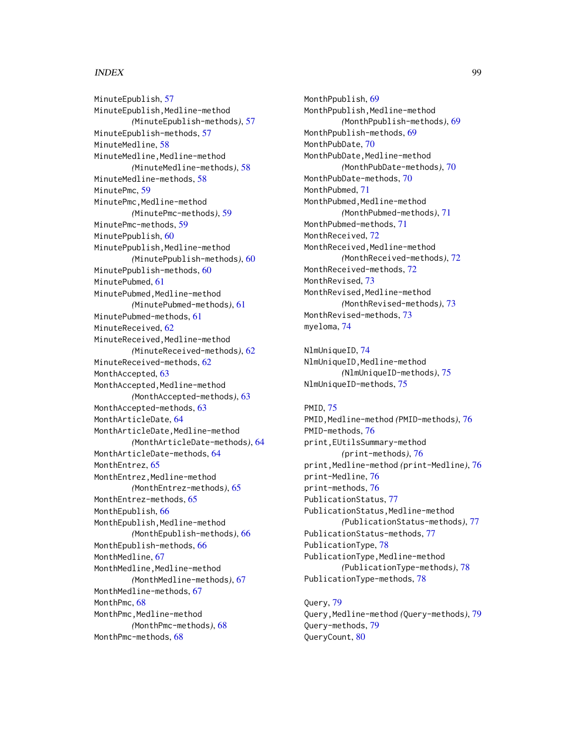#### INDEX 99

MinuteEpublish, [57](#page-56-0) MinuteEpublish,Medline-method *(*MinuteEpublish-methods*)*, [57](#page-56-0) MinuteEpublish-methods, [57](#page-56-0) MinuteMedline, [58](#page-57-0) MinuteMedline,Medline-method *(*MinuteMedline-methods*)*, [58](#page-57-0) MinuteMedline-methods, [58](#page-57-0) MinutePmc, [59](#page-58-0) MinutePmc, Medline-method *(*MinutePmc-methods*)*, [59](#page-58-0) MinutePmc-methods, [59](#page-58-0) MinutePpublish, [60](#page-59-0) MinutePpublish, Medline-method *(*MinutePpublish-methods*)*, [60](#page-59-0) MinutePpublish-methods. [60](#page-59-0) MinutePubmed, [61](#page-60-0) MinutePubmed,Medline-method *(*MinutePubmed-methods*)*, [61](#page-60-0) MinutePubmed-methods, [61](#page-60-0) MinuteReceived, [62](#page-61-0) MinuteReceived,Medline-method *(*MinuteReceived-methods*)*, [62](#page-61-0) MinuteReceived-methods, [62](#page-61-0) MonthAccepted, [63](#page-62-0) MonthAccepted,Medline-method *(*MonthAccepted-methods*)*, [63](#page-62-0) MonthAccepted-methods, [63](#page-62-0) MonthArticleDate, [64](#page-63-0) MonthArticleDate,Medline-method *(*MonthArticleDate-methods*)*, [64](#page-63-0) MonthArticleDate-methods, [64](#page-63-0) MonthEntrez. [65](#page-64-0) MonthEntrez,Medline-method *(*MonthEntrez-methods*)*, [65](#page-64-0) MonthEntrez-methods, [65](#page-64-0) MonthEpublish, [66](#page-65-0) MonthEpublish, Medline-method *(*MonthEpublish-methods*)*, [66](#page-65-0) MonthEpublish-methods, [66](#page-65-0) MonthMedline, [67](#page-66-0) MonthMedline, Medline-method *(*MonthMedline-methods*)*, [67](#page-66-0) MonthMedline-methods, [67](#page-66-0) MonthPmc, [68](#page-67-0) MonthPmc, Medline-method *(*MonthPmc-methods*)*, [68](#page-67-0) MonthPmc-methods, [68](#page-67-0)

MonthPpublish, [69](#page-68-0) MonthPpublish, Medline-method *(*MonthPpublish-methods*)*, [69](#page-68-0) MonthPpublish-methods, [69](#page-68-0) MonthPubDate, [70](#page-69-0) MonthPubDate,Medline-method *(*MonthPubDate-methods*)*, [70](#page-69-0) MonthPubDate-methods, [70](#page-69-0) MonthPubmed, [71](#page-70-0) MonthPubmed, Medline-method *(*MonthPubmed-methods*)*, [71](#page-70-0) MonthPubmed-methods, [71](#page-70-0) MonthReceived, [72](#page-71-0) MonthReceived,Medline-method *(*MonthReceived-methods*)*, [72](#page-71-0) MonthReceived-methods, [72](#page-71-0) MonthRevised, [73](#page-72-0) MonthRevised,Medline-method *(*MonthRevised-methods*)*, [73](#page-72-0) MonthRevised-methods, [73](#page-72-0) myeloma, [74](#page-73-0)

NlmUniqueID, [74](#page-73-0) NlmUniqueID,Medline-method *(*NlmUniqueID-methods*)*, [75](#page-74-0) NlmUniqueID-methods, [75](#page-74-0)

## PMID, [75](#page-74-0)

PMID,Medline-method *(*PMID-methods*)*, [76](#page-75-0) PMID-methods, [76](#page-75-0) print,EUtilsSummary-method *(*print-methods*)*, [76](#page-75-0) print,Medline-method *(*print-Medline*)*, [76](#page-75-0) print-Medline, [76](#page-75-0) print-methods, [76](#page-75-0) PublicationStatus, [77](#page-76-0) PublicationStatus, Medline-method *(*PublicationStatus-methods*)*, [77](#page-76-0) PublicationStatus-methods, [77](#page-76-0) PublicationType, [78](#page-77-0) PublicationType, Medline-method *(*PublicationType-methods*)*, [78](#page-77-0) PublicationType-methods, [78](#page-77-0)

Query, [79](#page-78-0) Query,Medline-method *(*Query-methods*)*, [79](#page-78-0) Query-methods, [79](#page-78-0) QueryCount, [80](#page-79-0)